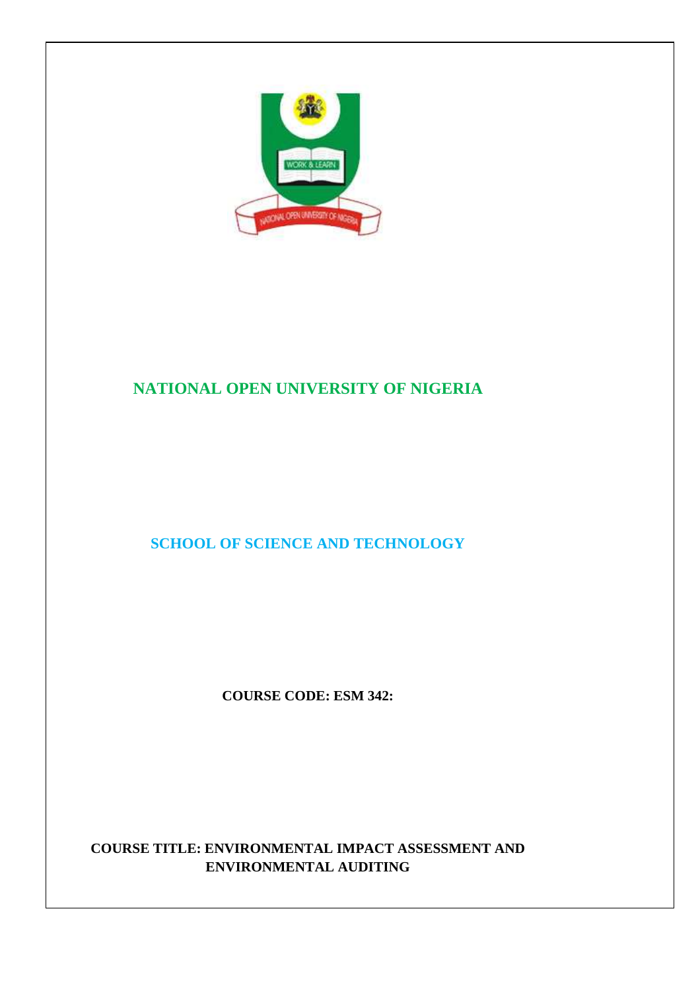

# **NATIONAL OPEN UNIVERSITY OF NIGERIA**

# **SCHOOL OF SCIENCE AND TECHNOLOGY**

**COURSE CODE: ESM 342:** 

# **COURSE TITLE: ENVIRONMENTAL IMPACT ASSESSMENT AND ENVIRONMENTAL AUDITING**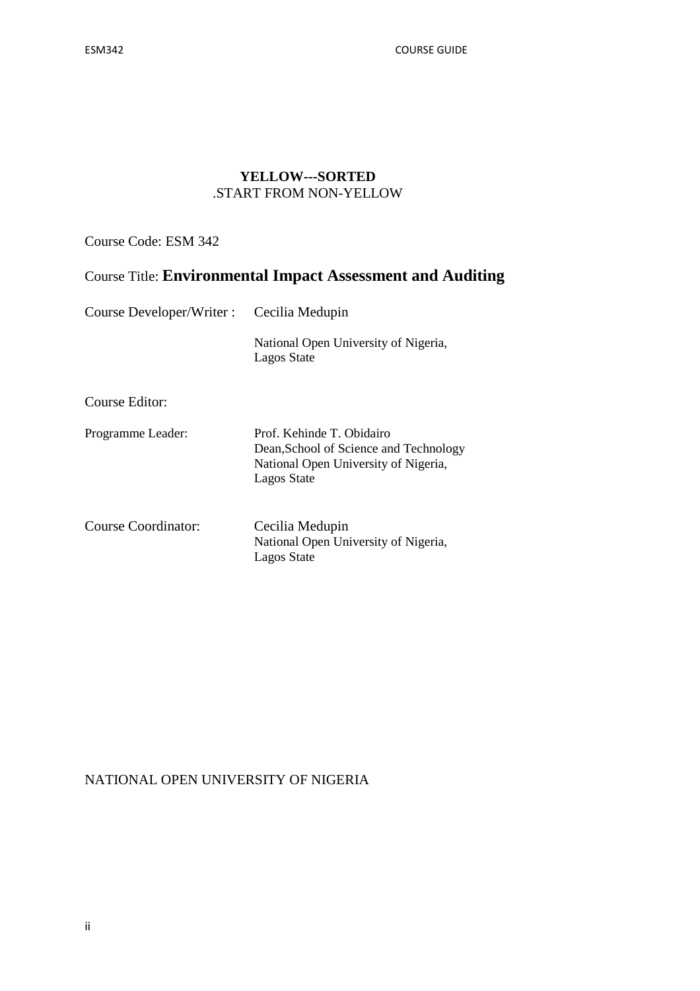ESM342 COURSE GUIDE

### **YELLOW---SORTED**  .START FROM NON-YELLOW

Course Code: ESM 342

# Course Title: **Environmental Impact Assessment and Auditing**

| Course Developer/Writer : | Cecilia Medupin                                                                                                            |  |
|---------------------------|----------------------------------------------------------------------------------------------------------------------------|--|
|                           | National Open University of Nigeria,<br>Lagos State                                                                        |  |
| Course Editor:            |                                                                                                                            |  |
| Programme Leader:         | Prof. Kehinde T. Obidairo<br>Dean, School of Science and Technology<br>National Open University of Nigeria,<br>Lagos State |  |
| Course Coordinator:       | Cecilia Medupin<br>National Open University of Nigeria,<br><b>Lagos State</b>                                              |  |

# NATIONAL OPEN UNIVERSITY OF NIGERIA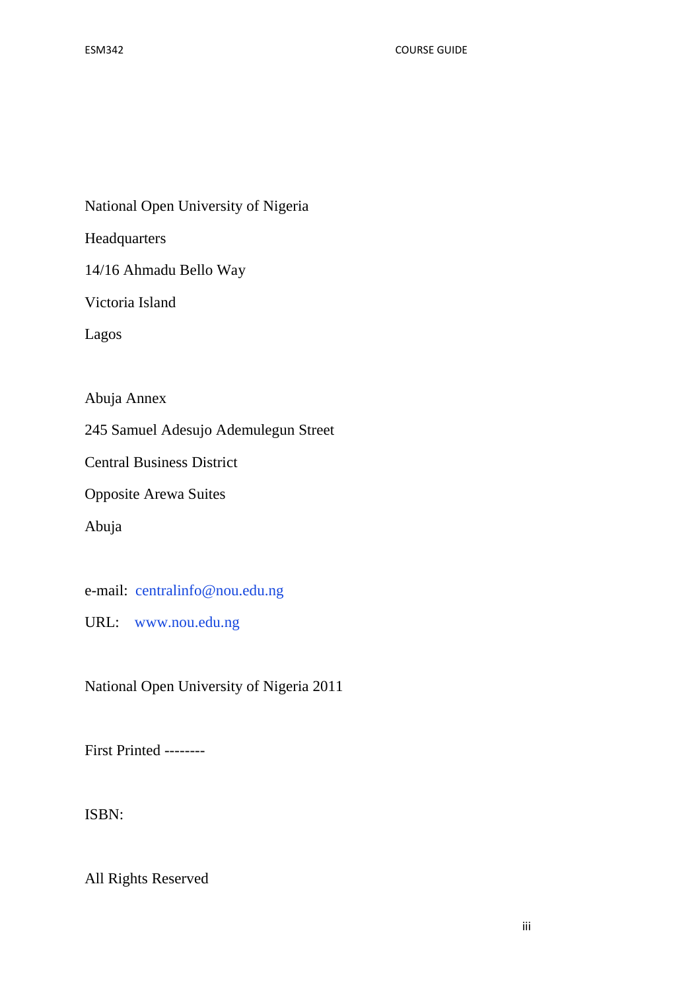National Open University of Nigeria

Headquarters

14/16 Ahmadu Bello Way

Victoria Island

Lagos

Abuja Annex

245 Samuel Adesujo Ademulegun Street

Central Business District

Opposite Arewa Suites

Abuja

e-mail: centralinfo@nou.edu.ng

URL: www.nou.edu.ng

National Open University of Nigeria 2011

First Printed --------

ISBN:

All Rights Reserved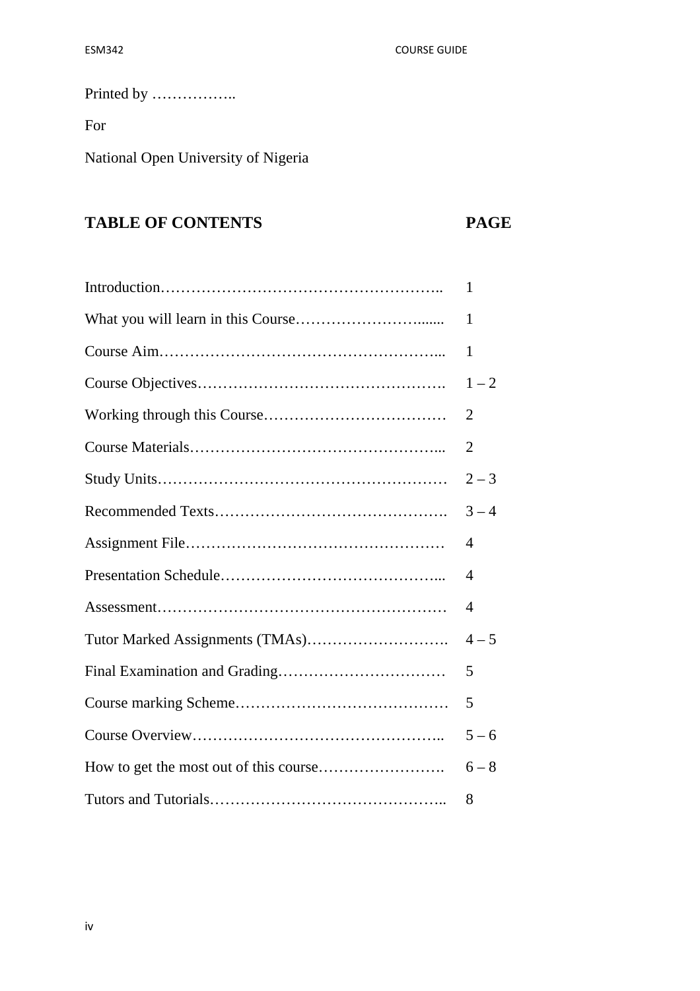# Printed by ……………..

For

National Open University of Nigeria

# **TABLE OF CONTENTS PAGE**

| 1                           |
|-----------------------------|
| 1                           |
| 1                           |
| $1 - 2$                     |
| $\overline{2}$              |
| 2                           |
| $2 - 3$                     |
| $3 - 4$                     |
| 4                           |
| $\boldsymbol{\vartriangle}$ |
| 4                           |
| $4 - 5$                     |
| 5                           |
| 5                           |
| $5 - 6$                     |
| $6 - 8$                     |
| 8                           |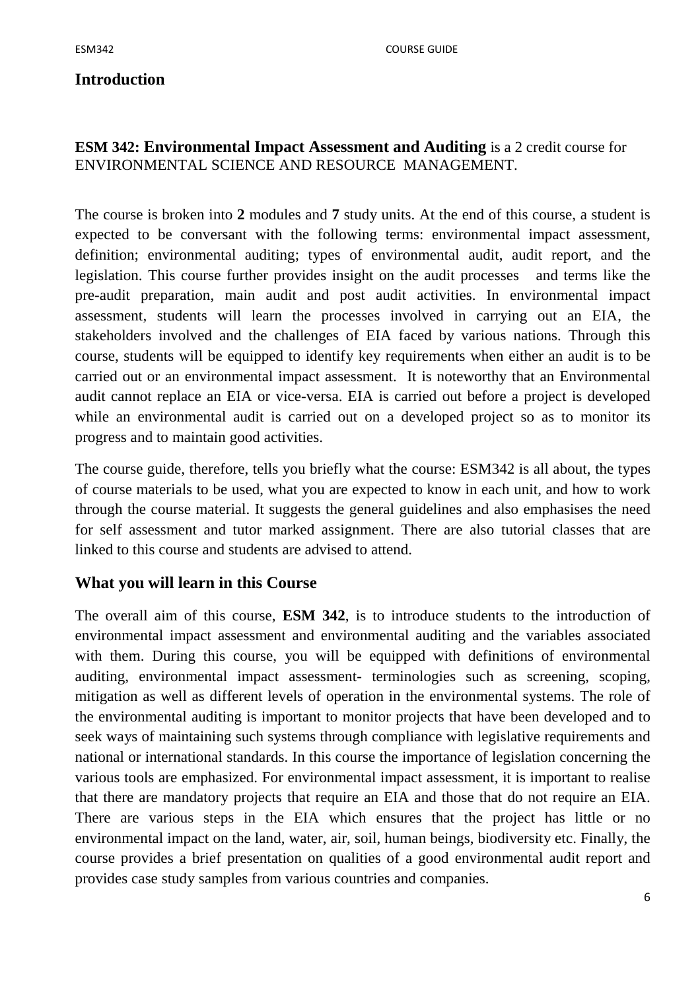# **Introduction**

# **ESM 342: Environmental Impact Assessment and Auditing** is a 2 credit course for ENVIRONMENTAL SCIENCE AND RESOURCE MANAGEMENT.

The course is broken into **2** modules and **7** study units. At the end of this course, a student is expected to be conversant with the following terms: environmental impact assessment, definition; environmental auditing; types of environmental audit, audit report, and the legislation. This course further provides insight on the audit processes and terms like the pre-audit preparation, main audit and post audit activities. In environmental impact assessment, students will learn the processes involved in carrying out an EIA, the stakeholders involved and the challenges of EIA faced by various nations. Through this course, students will be equipped to identify key requirements when either an audit is to be carried out or an environmental impact assessment. It is noteworthy that an Environmental audit cannot replace an EIA or vice-versa. EIA is carried out before a project is developed while an environmental audit is carried out on a developed project so as to monitor its progress and to maintain good activities.

The course guide, therefore, tells you briefly what the course: ESM342 is all about, the types of course materials to be used, what you are expected to know in each unit, and how to work through the course material. It suggests the general guidelines and also emphasises the need for self assessment and tutor marked assignment. There are also tutorial classes that are linked to this course and students are advised to attend.

# **What you will learn in this Course**

The overall aim of this course, **ESM 342**, is to introduce students to the introduction of environmental impact assessment and environmental auditing and the variables associated with them. During this course, you will be equipped with definitions of environmental auditing, environmental impact assessment- terminologies such as screening, scoping, mitigation as well as different levels of operation in the environmental systems. The role of the environmental auditing is important to monitor projects that have been developed and to seek ways of maintaining such systems through compliance with legislative requirements and national or international standards. In this course the importance of legislation concerning the various tools are emphasized. For environmental impact assessment, it is important to realise that there are mandatory projects that require an EIA and those that do not require an EIA. There are various steps in the EIA which ensures that the project has little or no environmental impact on the land, water, air, soil, human beings, biodiversity etc. Finally, the course provides a brief presentation on qualities of a good environmental audit report and provides case study samples from various countries and companies.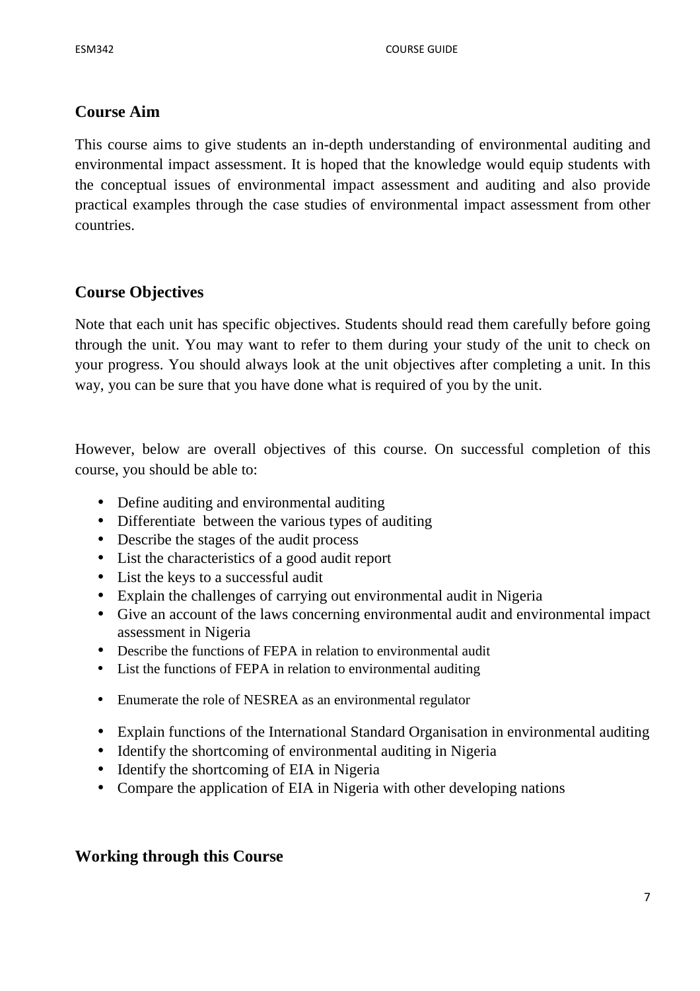# **Course Aim**

This course aims to give students an in-depth understanding of environmental auditing and environmental impact assessment. It is hoped that the knowledge would equip students with the conceptual issues of environmental impact assessment and auditing and also provide practical examples through the case studies of environmental impact assessment from other countries.

# **Course Objectives**

Note that each unit has specific objectives. Students should read them carefully before going through the unit. You may want to refer to them during your study of the unit to check on your progress. You should always look at the unit objectives after completing a unit. In this way, you can be sure that you have done what is required of you by the unit.

However, below are overall objectives of this course. On successful completion of this course, you should be able to:

- Define auditing and environmental auditing
- Differentiate between the various types of auditing
- Describe the stages of the audit process
- List the characteristics of a good audit report
- List the keys to a successful audit
- Explain the challenges of carrying out environmental audit in Nigeria
- Give an account of the laws concerning environmental audit and environmental impact assessment in Nigeria
- Describe the functions of FEPA in relation to environmental audit
- List the functions of FEPA in relation to environmental auditing
- Enumerate the role of NESREA as an environmental regulator
- Explain functions of the International Standard Organisation in environmental auditing
- Identify the shortcoming of environmental auditing in Nigeria
- Identify the shortcoming of EIA in Nigeria
- Compare the application of EIA in Nigeria with other developing nations

# **Working through this Course**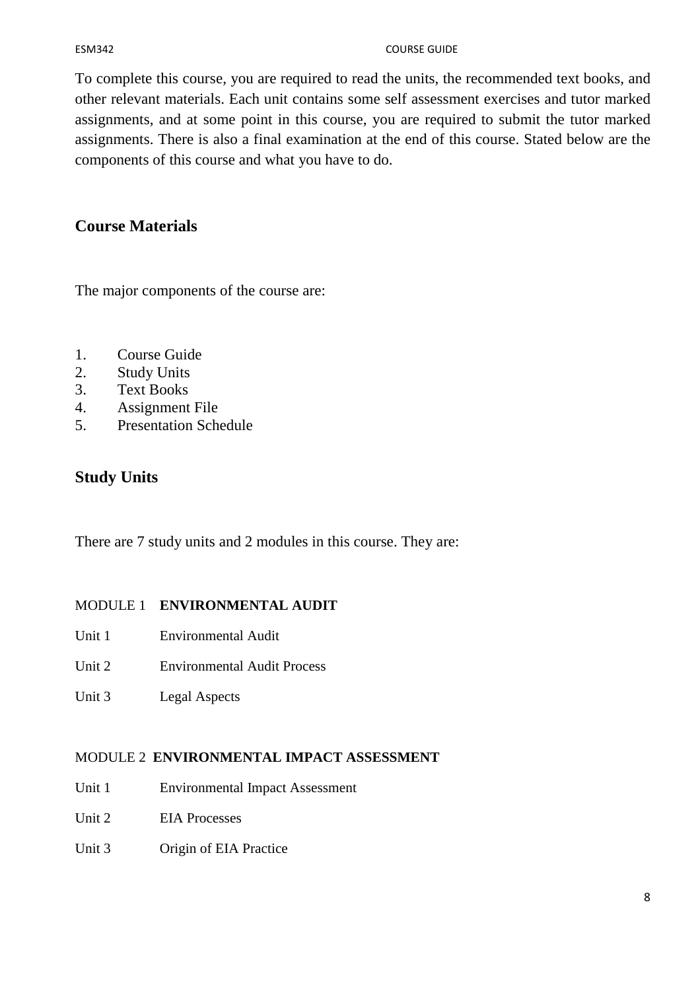#### ESM342 COURSE GUIDE

To complete this course, you are required to read the units, the recommended text books, and other relevant materials. Each unit contains some self assessment exercises and tutor marked assignments, and at some point in this course, you are required to submit the tutor marked assignments. There is also a final examination at the end of this course. Stated below are the components of this course and what you have to do.

# **Course Materials**

The major components of the course are:

- 1. Course Guide
- 2. Study Units
- 3. Text Books
- 4. Assignment File
- 5. Presentation Schedule

# **Study Units**

There are 7 study units and 2 modules in this course. They are:

# MODULE 1 **ENVIRONMENTAL AUDIT**

- Unit 1 Environmental Audit
- Unit 2 Environmental Audit Process
- Unit 3 Legal Aspects

# MODULE 2 **ENVIRONMENTAL IMPACT ASSESSMENT**

- Unit 1 Environmental Impact Assessment
- Unit 2 EIA Processes
- Unit 3 Origin of EIA Practice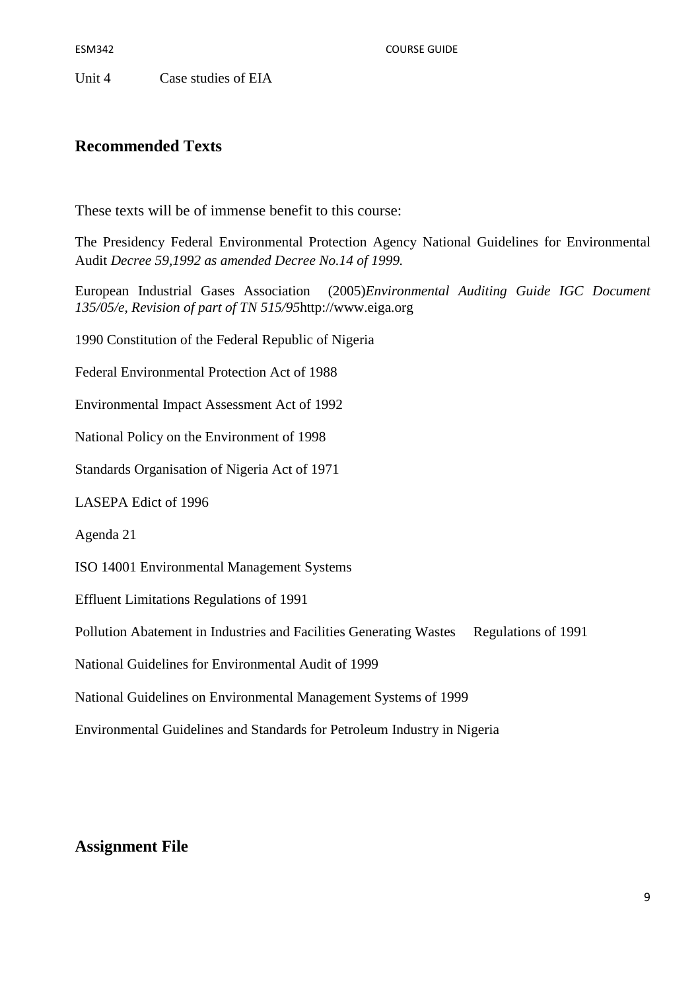ESM342 COURSE GUIDE

Unit 4 Case studies of EIA

# **Recommended Texts**

These texts will be of immense benefit to this course:

The Presidency Federal Environmental Protection Agency National Guidelines for Environmental Audit *Decree 59,1992 as amended Decree No.14 of 1999.* 

European Industrial Gases Association (2005)*Environmental Auditing Guide IGC Document 135/05/e, Revision of part of TN 515/95*http://www.eiga.org

1990 Constitution of the Federal Republic of Nigeria

Federal Environmental Protection Act of 1988

Environmental Impact Assessment Act of 1992

National Policy on the Environment of 1998

Standards Organisation of Nigeria Act of 1971

LASEPA Edict of 1996

Agenda 21

ISO 14001 Environmental Management Systems

Effluent Limitations Regulations of 1991

Pollution Abatement in Industries and Facilities Generating Wastes Regulations of 1991

National Guidelines for Environmental Audit of 1999

National Guidelines on Environmental Management Systems of 1999

Environmental Guidelines and Standards for Petroleum Industry in Nigeria

# **Assignment File**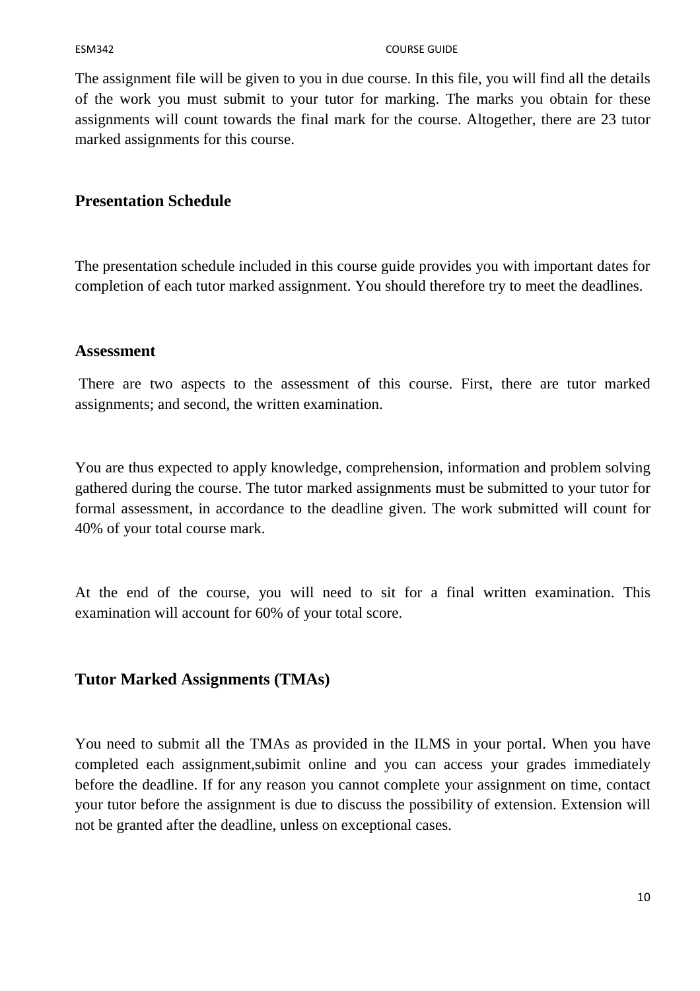The assignment file will be given to you in due course. In this file, you will find all the details of the work you must submit to your tutor for marking. The marks you obtain for these assignments will count towards the final mark for the course. Altogether, there are 23 tutor marked assignments for this course.

# **Presentation Schedule**

The presentation schedule included in this course guide provides you with important dates for completion of each tutor marked assignment. You should therefore try to meet the deadlines.

# **Assessment**

 There are two aspects to the assessment of this course. First, there are tutor marked assignments; and second, the written examination.

You are thus expected to apply knowledge, comprehension, information and problem solving gathered during the course. The tutor marked assignments must be submitted to your tutor for formal assessment, in accordance to the deadline given. The work submitted will count for 40% of your total course mark.

At the end of the course, you will need to sit for a final written examination. This examination will account for 60% of your total score.

# **Tutor Marked Assignments (TMAs)**

You need to submit all the TMAs as provided in the ILMS in your portal. When you have completed each assignment,subimit online and you can access your grades immediately before the deadline. If for any reason you cannot complete your assignment on time, contact your tutor before the assignment is due to discuss the possibility of extension. Extension will not be granted after the deadline, unless on exceptional cases.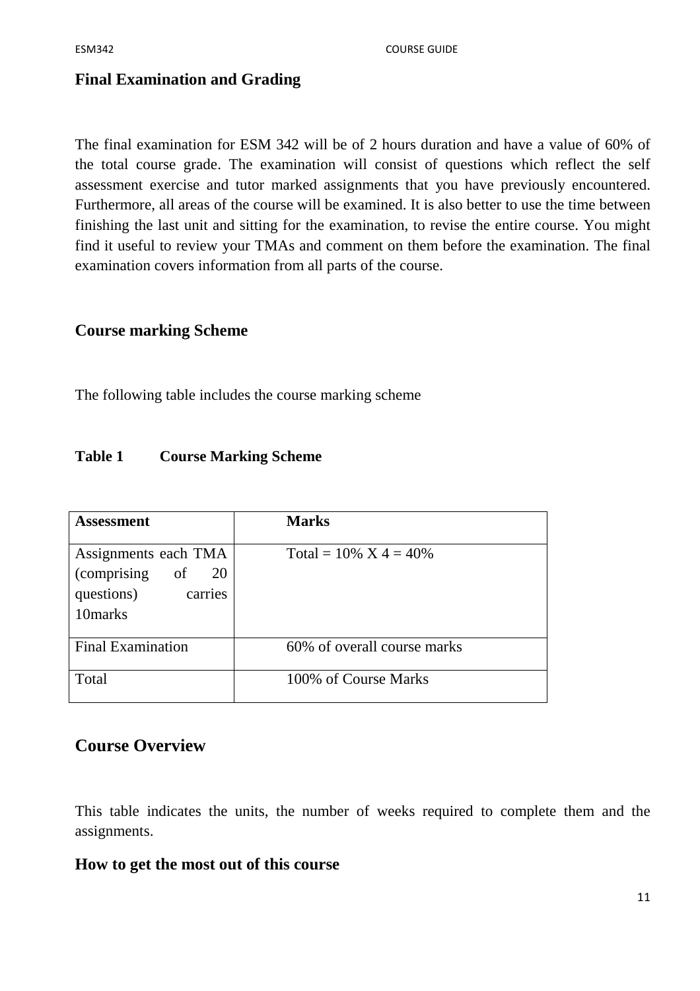# **Final Examination and Grading**

The final examination for ESM 342 will be of 2 hours duration and have a value of 60% of the total course grade. The examination will consist of questions which reflect the self assessment exercise and tutor marked assignments that you have previously encountered. Furthermore, all areas of the course will be examined. It is also better to use the time between finishing the last unit and sitting for the examination, to revise the entire course. You might find it useful to review your TMAs and comment on them before the examination. The final examination covers information from all parts of the course.

# **Course marking Scheme**

The following table includes the course marking scheme

# **Table 1 Course Marking Scheme**

| Assessment                                                                          | <b>Marks</b>                |
|-------------------------------------------------------------------------------------|-----------------------------|
| Assignments each TMA<br>(comprising)<br>of $20$<br>questions)<br>carries<br>10marks | Total = $10\%$ X 4 = 40%    |
| <b>Final Examination</b>                                                            | 60% of overall course marks |
| Total                                                                               | 100% of Course Marks        |

# **Course Overview**

This table indicates the units, the number of weeks required to complete them and the assignments.

# **How to get the most out of this course**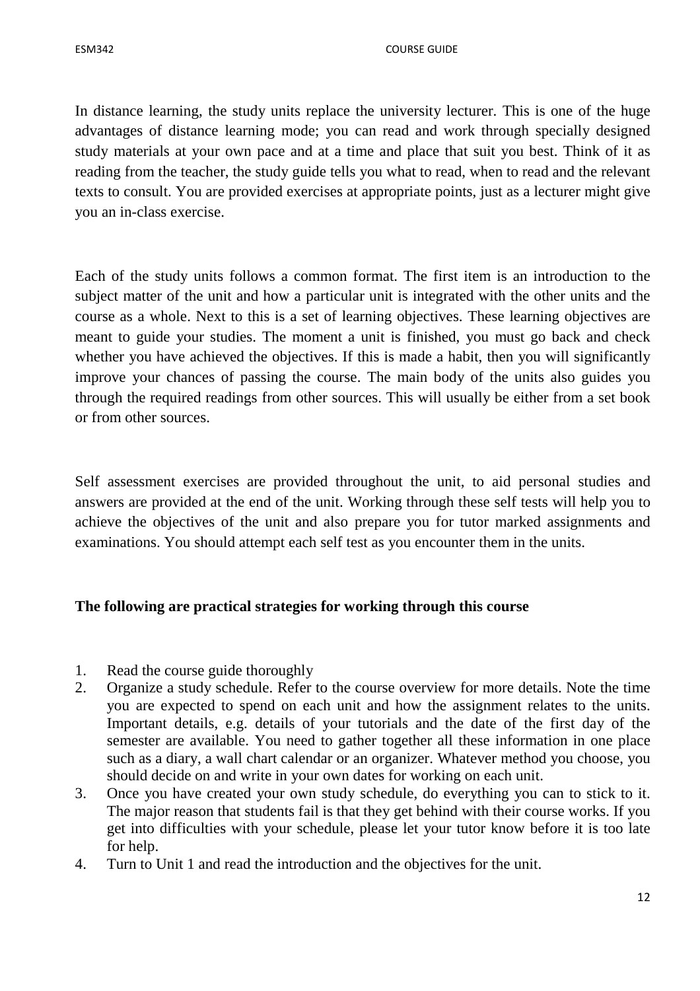In distance learning, the study units replace the university lecturer. This is one of the huge advantages of distance learning mode; you can read and work through specially designed study materials at your own pace and at a time and place that suit you best. Think of it as reading from the teacher, the study guide tells you what to read, when to read and the relevant texts to consult. You are provided exercises at appropriate points, just as a lecturer might give you an in-class exercise.

Each of the study units follows a common format. The first item is an introduction to the subject matter of the unit and how a particular unit is integrated with the other units and the course as a whole. Next to this is a set of learning objectives. These learning objectives are meant to guide your studies. The moment a unit is finished, you must go back and check whether you have achieved the objectives. If this is made a habit, then you will significantly improve your chances of passing the course. The main body of the units also guides you through the required readings from other sources. This will usually be either from a set book or from other sources.

Self assessment exercises are provided throughout the unit, to aid personal studies and answers are provided at the end of the unit. Working through these self tests will help you to achieve the objectives of the unit and also prepare you for tutor marked assignments and examinations. You should attempt each self test as you encounter them in the units.

# **The following are practical strategies for working through this course**

- 1. Read the course guide thoroughly
- 2. Organize a study schedule. Refer to the course overview for more details. Note the time you are expected to spend on each unit and how the assignment relates to the units. Important details, e.g. details of your tutorials and the date of the first day of the semester are available. You need to gather together all these information in one place such as a diary, a wall chart calendar or an organizer. Whatever method you choose, you should decide on and write in your own dates for working on each unit.
- 3. Once you have created your own study schedule, do everything you can to stick to it. The major reason that students fail is that they get behind with their course works. If you get into difficulties with your schedule, please let your tutor know before it is too late for help.
- 4. Turn to Unit 1 and read the introduction and the objectives for the unit.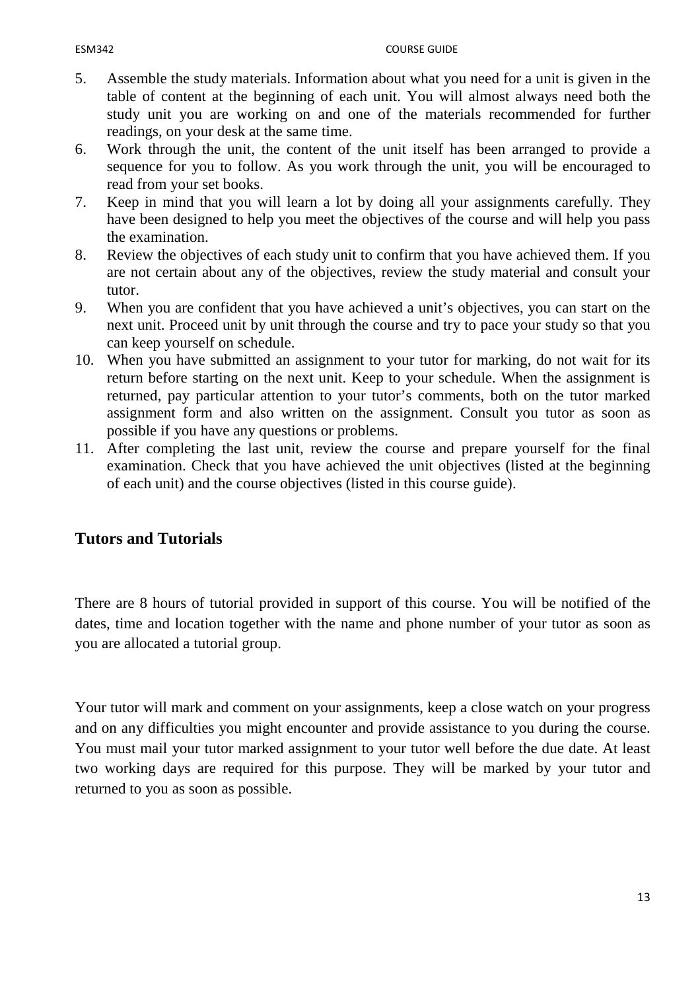- 5. Assemble the study materials. Information about what you need for a unit is given in the table of content at the beginning of each unit. You will almost always need both the study unit you are working on and one of the materials recommended for further readings, on your desk at the same time.
- 6. Work through the unit, the content of the unit itself has been arranged to provide a sequence for you to follow. As you work through the unit, you will be encouraged to read from your set books.
- 7. Keep in mind that you will learn a lot by doing all your assignments carefully. They have been designed to help you meet the objectives of the course and will help you pass the examination.
- 8. Review the objectives of each study unit to confirm that you have achieved them. If you are not certain about any of the objectives, review the study material and consult your tutor.
- 9. When you are confident that you have achieved a unit's objectives, you can start on the next unit. Proceed unit by unit through the course and try to pace your study so that you can keep yourself on schedule.
- 10. When you have submitted an assignment to your tutor for marking, do not wait for its return before starting on the next unit. Keep to your schedule. When the assignment is returned, pay particular attention to your tutor's comments, both on the tutor marked assignment form and also written on the assignment. Consult you tutor as soon as possible if you have any questions or problems.
- 11. After completing the last unit, review the course and prepare yourself for the final examination. Check that you have achieved the unit objectives (listed at the beginning of each unit) and the course objectives (listed in this course guide).

# **Tutors and Tutorials**

There are 8 hours of tutorial provided in support of this course. You will be notified of the dates, time and location together with the name and phone number of your tutor as soon as you are allocated a tutorial group.

Your tutor will mark and comment on your assignments, keep a close watch on your progress and on any difficulties you might encounter and provide assistance to you during the course. You must mail your tutor marked assignment to your tutor well before the due date. At least two working days are required for this purpose. They will be marked by your tutor and returned to you as soon as possible.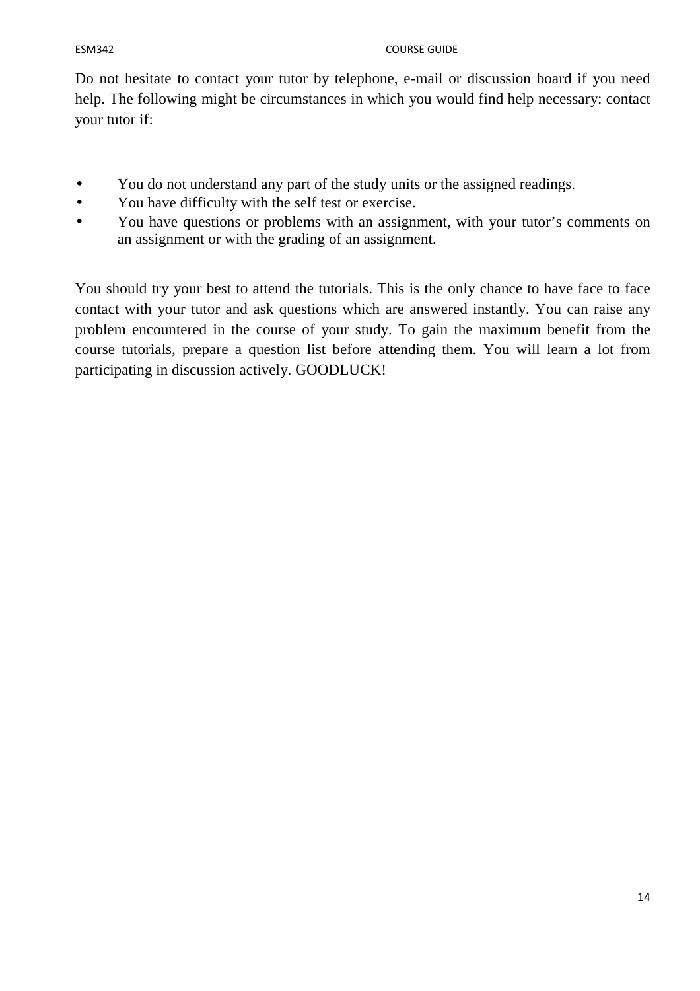Do not hesitate to contact your tutor by telephone, e-mail or discussion board if you need help. The following might be circumstances in which you would find help necessary: contact your tutor if:

- You do not understand any part of the study units or the assigned readings.
- You have difficulty with the self test or exercise.
- You have questions or problems with an assignment, with your tutor's comments on an assignment or with the grading of an assignment.

You should try your best to attend the tutorials. This is the only chance to have face to face contact with your tutor and ask questions which are answered instantly. You can raise any problem encountered in the course of your study. To gain the maximum benefit from the course tutorials, prepare a question list before attending them. You will learn a lot from participating in discussion actively. GOODLUCK!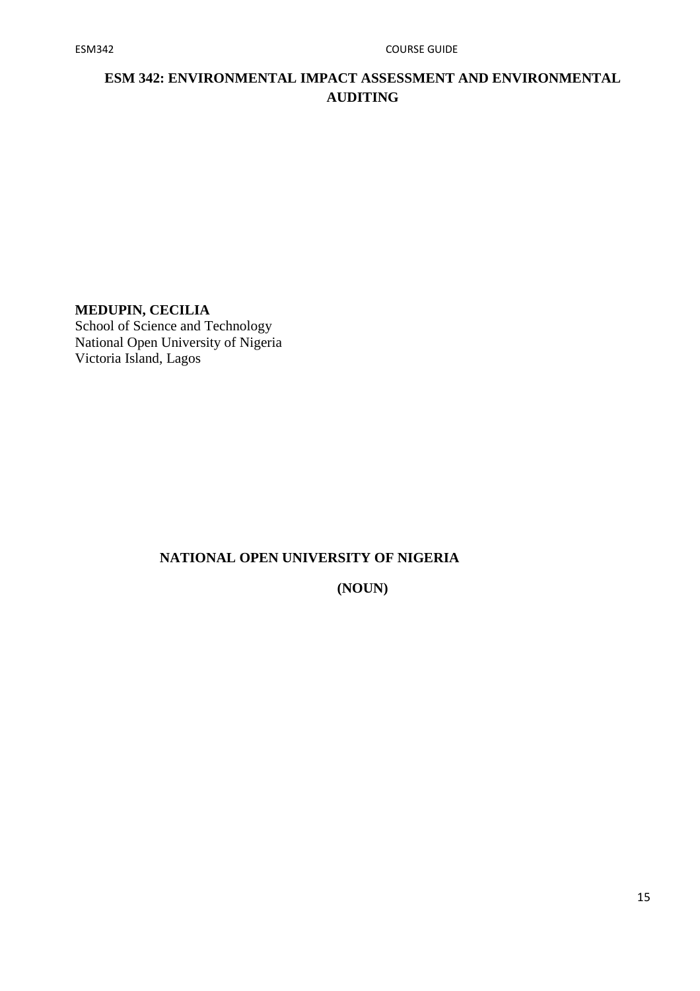# **ESM 342: ENVIRONMENTAL IMPACT ASSESSMENT AND ENVIRONMENTAL AUDITING**

# **MEDUPIN, CECILIA**

School of Science and Technology National Open University of Nigeria Victoria Island, Lagos

# **NATIONAL OPEN UNIVERSITY OF NIGERIA**

**(NOUN)**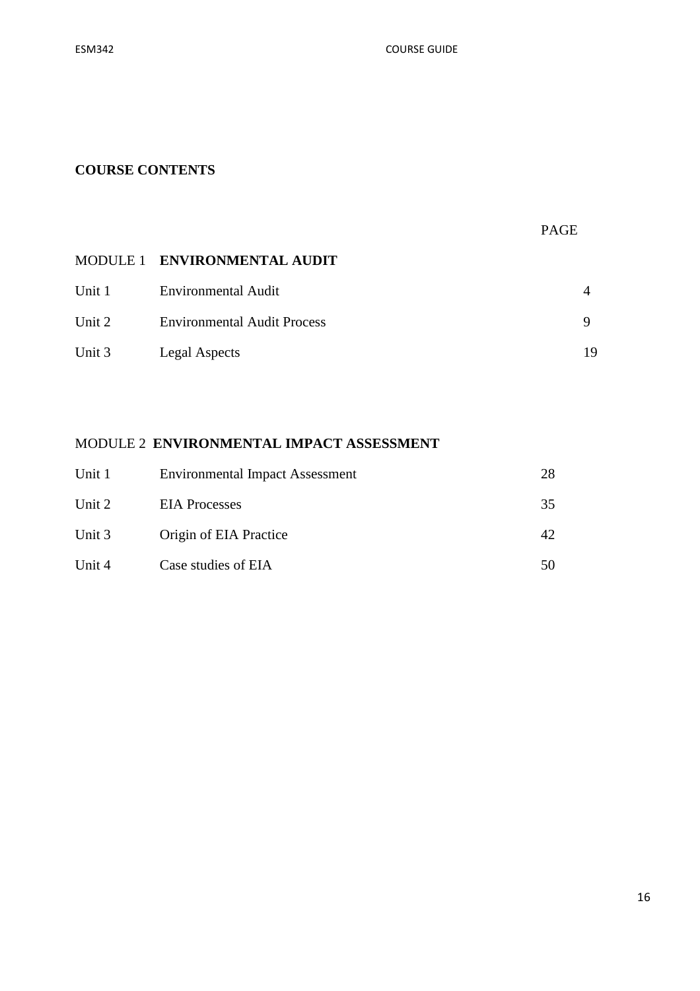# **COURSE CONTENTS**

|        |                                    | <b>PAGE</b> |    |
|--------|------------------------------------|-------------|----|
|        | MODULE 1 ENVIRONMENTAL AUDIT       |             |    |
| Unit 1 | <b>Environmental Audit</b>         |             | 4  |
| Unit 2 | <b>Environmental Audit Process</b> |             | 9  |
| Unit 3 | Legal Aspects                      |             | 19 |

# MODULE 2 **ENVIRONMENTAL IMPACT ASSESSMENT**

| Unit 1 | <b>Environmental Impact Assessment</b> | 28 |
|--------|----------------------------------------|----|
| Unit 2 | <b>EIA</b> Processes                   | 35 |
| Unit 3 | Origin of EIA Practice                 | 42 |
| Unit 4 | Case studies of EIA                    | 50 |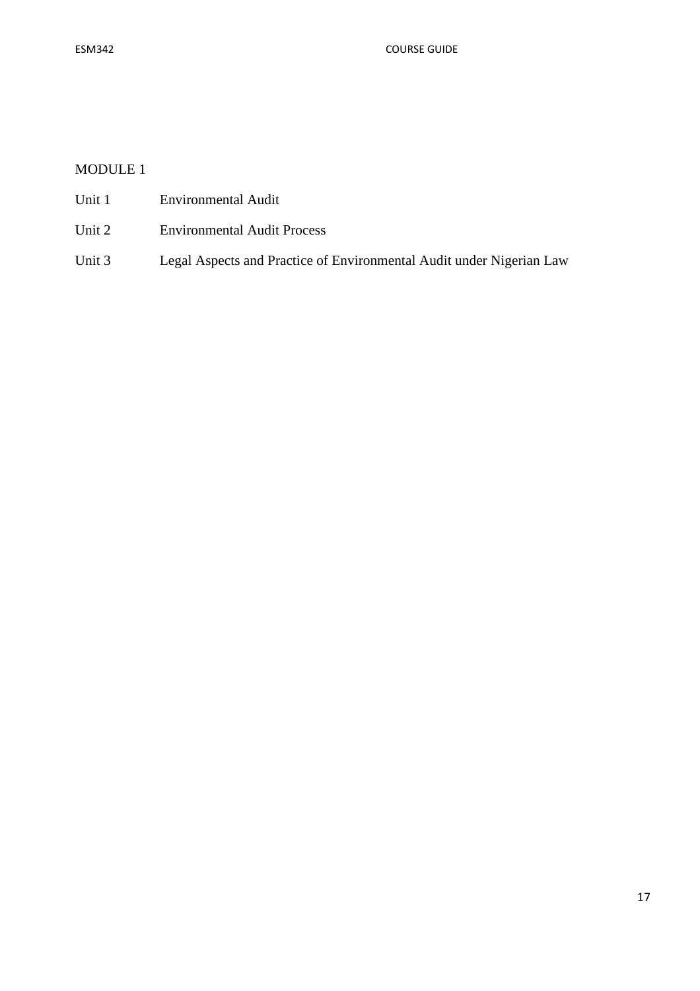# MODULE 1

- Unit 1 Environmental Audit
- Unit 2 Environmental Audit Process
- Unit 3 Legal Aspects and Practice of Environmental Audit under Nigerian Law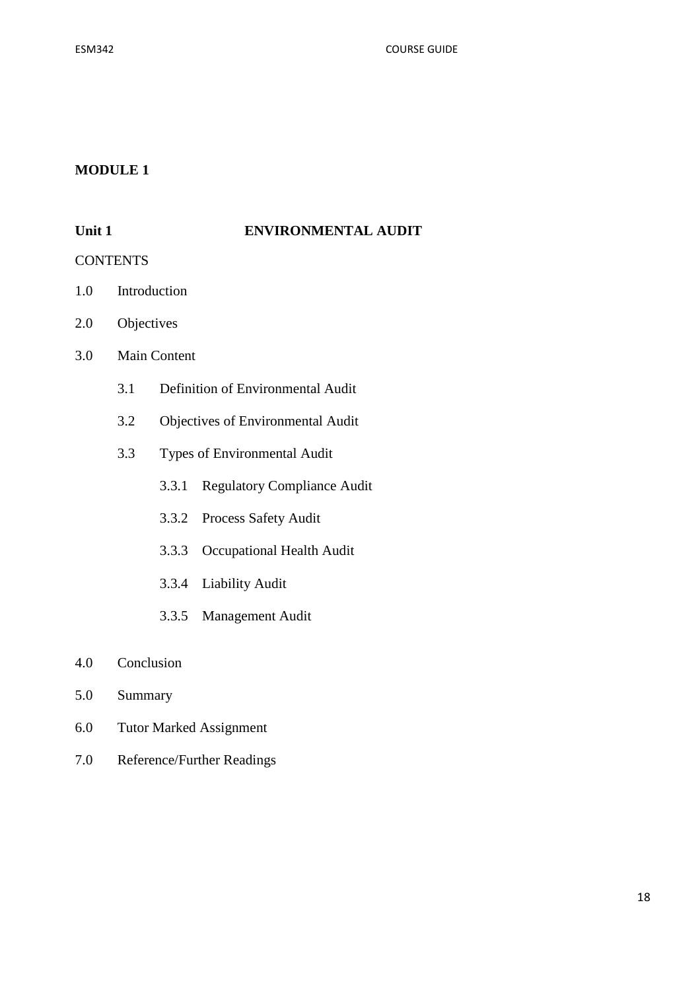### **MODULE 1**

#### Unit 1 **ENVIRONMENTAL AUDIT**

#### CONTENTS

- 1.0 Introduction
- 2.0 Objectives
- 3.0 Main Content
	- 3.1 Definition of Environmental Audit
	- 3.2 Objectives of Environmental Audit
	- 3.3 Types of Environmental Audit
		- 3.3.1 Regulatory Compliance Audit
		- 3.3.2 Process Safety Audit
		- 3.3.3 Occupational Health Audit
		- 3.3.4 Liability Audit
		- 3.3.5 Management Audit
- 4.0 Conclusion
- 5.0 Summary
- 6.0 Tutor Marked Assignment
- 7.0 Reference/Further Readings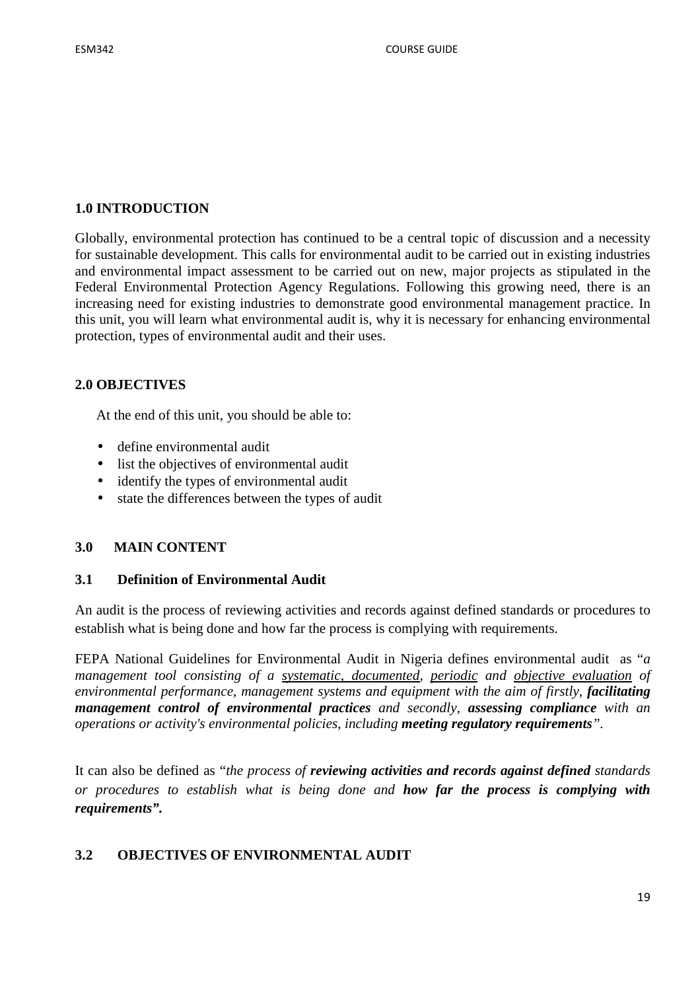# **1.0 INTRODUCTION**

Globally, environmental protection has continued to be a central topic of discussion and a necessity for sustainable development. This calls for environmental audit to be carried out in existing industries and environmental impact assessment to be carried out on new, major projects as stipulated in the Federal Environmental Protection Agency Regulations. Following this growing need, there is an increasing need for existing industries to demonstrate good environmental management practice. In this unit, you will learn what environmental audit is, why it is necessary for enhancing environmental protection, types of environmental audit and their uses.

### **2.0 OBJECTIVES**

At the end of this unit, you should be able to:

- define environmental audit
- list the objectives of environmental audit
- identify the types of environmental audit
- state the differences between the types of audit

# **3.0 MAIN CONTENT**

#### **3.1 Definition of Environmental Audit**

An audit is the process of reviewing activities and records against defined standards or procedures to establish what is being done and how far the process is complying with requirements.

FEPA National Guidelines for Environmental Audit in Nigeria defines environmental audit as "*a management tool consisting of a systematic, documented, periodic and objective evaluation of environmental performance, management systems and equipment with the aim of firstly, facilitating management control of environmental practices and secondly, assessing compliance with an operations or activity's environmental policies, including meeting regulatory requirements".*

It can also be defined as "*the process of reviewing activities and records against defined standards or procedures to establish what is being done and how far the process is complying with requirements".* 

# **3.2 OBJECTIVES OF ENVIRONMENTAL AUDIT**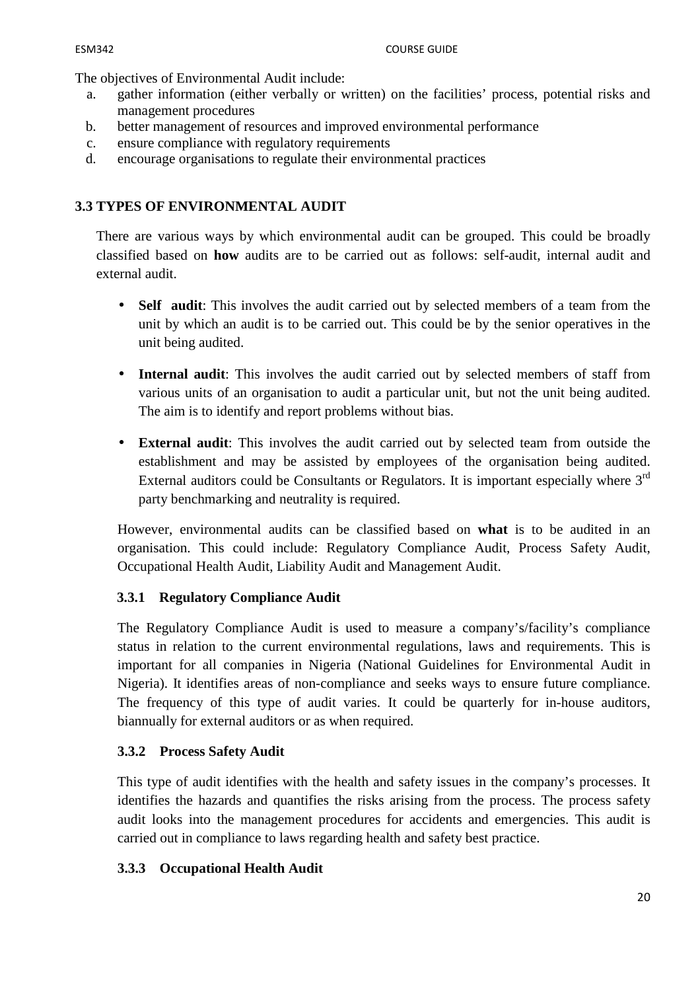The objectives of Environmental Audit include:

- a. gather information (either verbally or written) on the facilities' process, potential risks and management procedures
- b. better management of resources and improved environmental performance
- c. ensure compliance with regulatory requirements
- d. encourage organisations to regulate their environmental practices

# **3.3 TYPES OF ENVIRONMENTAL AUDIT**

There are various ways by which environmental audit can be grouped. This could be broadly classified based on **how** audits are to be carried out as follows: self-audit, internal audit and external audit.

- **Self audit:** This involves the audit carried out by selected members of a team from the unit by which an audit is to be carried out. This could be by the senior operatives in the unit being audited.
- **Internal audit**: This involves the audit carried out by selected members of staff from various units of an organisation to audit a particular unit, but not the unit being audited. The aim is to identify and report problems without bias.
- **External audit**: This involves the audit carried out by selected team from outside the establishment and may be assisted by employees of the organisation being audited. External auditors could be Consultants or Regulators. It is important especially where 3rd party benchmarking and neutrality is required.

However, environmental audits can be classified based on **what** is to be audited in an organisation. This could include: Regulatory Compliance Audit, Process Safety Audit, Occupational Health Audit, Liability Audit and Management Audit.

# **3.3.1 Regulatory Compliance Audit**

The Regulatory Compliance Audit is used to measure a company's/facility's compliance status in relation to the current environmental regulations, laws and requirements. This is important for all companies in Nigeria (National Guidelines for Environmental Audit in Nigeria). It identifies areas of non-compliance and seeks ways to ensure future compliance. The frequency of this type of audit varies. It could be quarterly for in-house auditors, biannually for external auditors or as when required.

# **3.3.2 Process Safety Audit**

This type of audit identifies with the health and safety issues in the company's processes. It identifies the hazards and quantifies the risks arising from the process. The process safety audit looks into the management procedures for accidents and emergencies. This audit is carried out in compliance to laws regarding health and safety best practice.

# **3.3.3 Occupational Health Audit**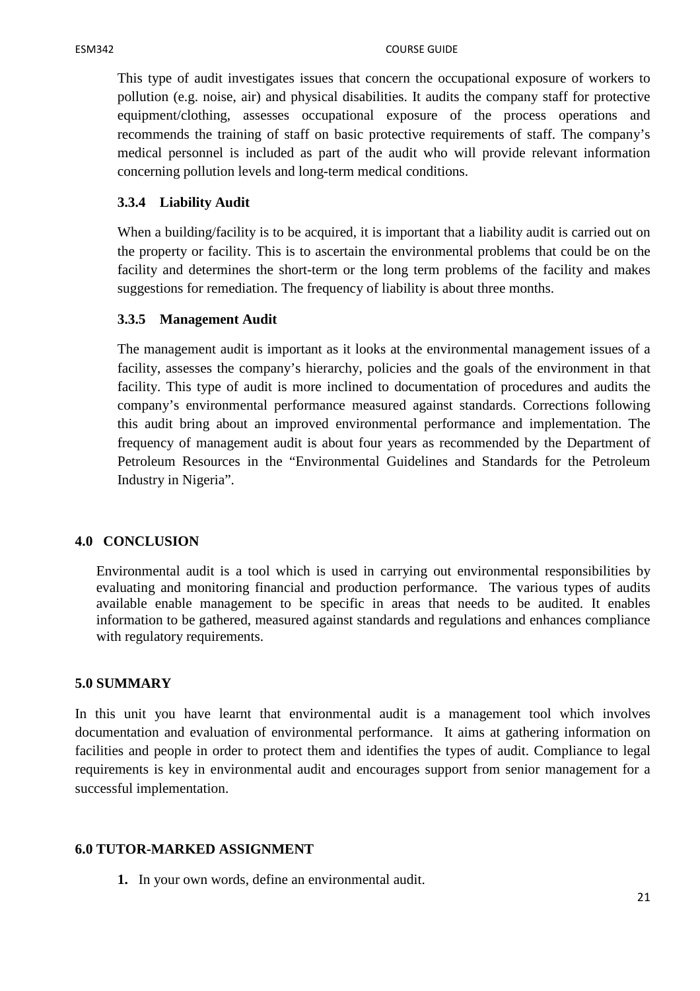This type of audit investigates issues that concern the occupational exposure of workers to pollution (e.g. noise, air) and physical disabilities. It audits the company staff for protective equipment/clothing, assesses occupational exposure of the process operations and recommends the training of staff on basic protective requirements of staff. The company's medical personnel is included as part of the audit who will provide relevant information concerning pollution levels and long-term medical conditions.

## **3.3.4 Liability Audit**

When a building/facility is to be acquired, it is important that a liability audit is carried out on the property or facility. This is to ascertain the environmental problems that could be on the facility and determines the short-term or the long term problems of the facility and makes suggestions for remediation. The frequency of liability is about three months.

#### **3.3.5 Management Audit**

The management audit is important as it looks at the environmental management issues of a facility, assesses the company's hierarchy, policies and the goals of the environment in that facility. This type of audit is more inclined to documentation of procedures and audits the company's environmental performance measured against standards. Corrections following this audit bring about an improved environmental performance and implementation. The frequency of management audit is about four years as recommended by the Department of Petroleum Resources in the "Environmental Guidelines and Standards for the Petroleum Industry in Nigeria".

#### **4.0 CONCLUSION**

Environmental audit is a tool which is used in carrying out environmental responsibilities by evaluating and monitoring financial and production performance. The various types of audits available enable management to be specific in areas that needs to be audited. It enables information to be gathered, measured against standards and regulations and enhances compliance with regulatory requirements.

#### **5.0 SUMMARY**

In this unit you have learnt that environmental audit is a management tool which involves documentation and evaluation of environmental performance. It aims at gathering information on facilities and people in order to protect them and identifies the types of audit. Compliance to legal requirements is key in environmental audit and encourages support from senior management for a successful implementation.

#### **6.0 TUTOR-MARKED ASSIGNMENT**

**1.** In your own words, define an environmental audit.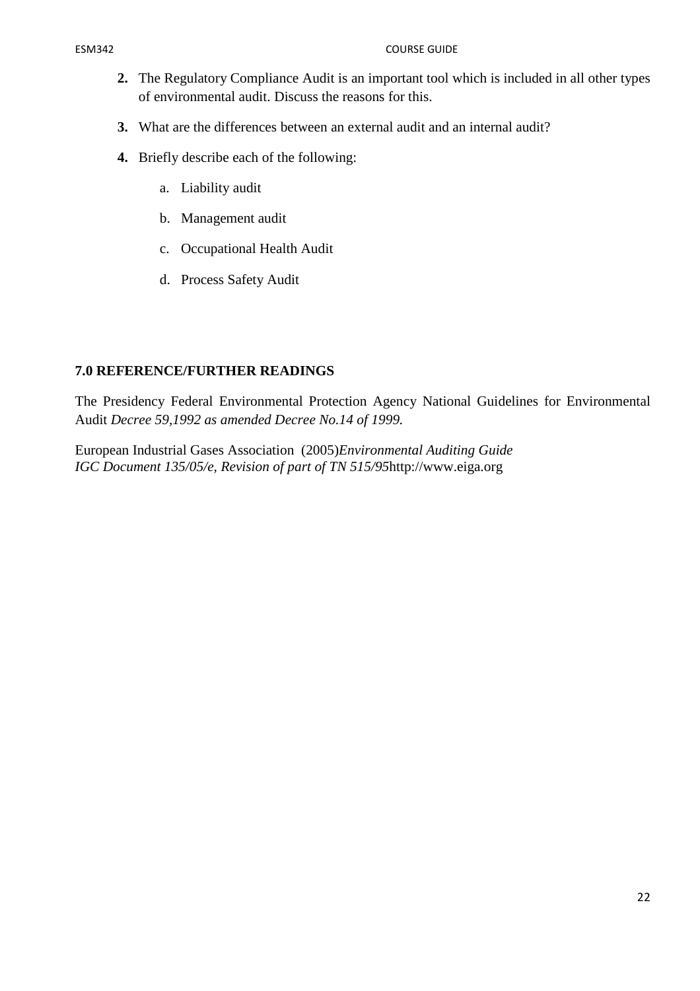#### ESM342 COURSE GUIDE

- **2.** The Regulatory Compliance Audit is an important tool which is included in all other types of environmental audit. Discuss the reasons for this.
- **3.** What are the differences between an external audit and an internal audit?
- **4.** Briefly describe each of the following:
	- a. Liability audit
	- b. Management audit
	- c. Occupational Health Audit
	- d. Process Safety Audit

## **7.0 REFERENCE/FURTHER READINGS**

The Presidency Federal Environmental Protection Agency National Guidelines for Environmental Audit *Decree 59,1992 as amended Decree No.14 of 1999.* 

European Industrial Gases Association (2005)*Environmental Auditing Guide IGC Document 135/05/e, Revision of part of TN 515/95*http://www.eiga.org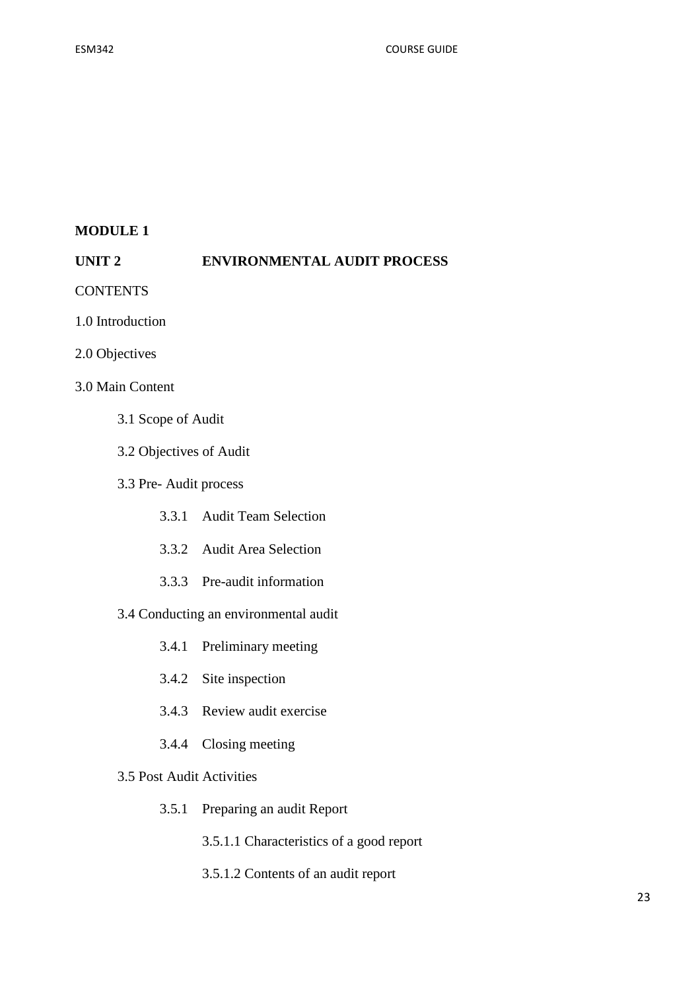### **MODULE 1**

### **UNIT 2 ENVIRONMENTAL AUDIT PROCESS**

- **CONTENTS**
- 1.0 Introduction
- 2.0 Objectives

## 3.0 Main Content

- 3.1 Scope of Audit
- 3.2 Objectives of Audit
- 3.3 Pre- Audit process
	- 3.3.1 Audit Team Selection
	- 3.3.2 Audit Area Selection
	- 3.3.3 Pre-audit information
- 3.4 Conducting an environmental audit
	- 3.4.1 Preliminary meeting
	- 3.4.2 Site inspection
	- 3.4.3 Review audit exercise
	- 3.4.4 Closing meeting
- 3.5 Post Audit Activities
	- 3.5.1 Preparing an audit Report
		- 3.5.1.1 Characteristics of a good report
		- 3.5.1.2 Contents of an audit report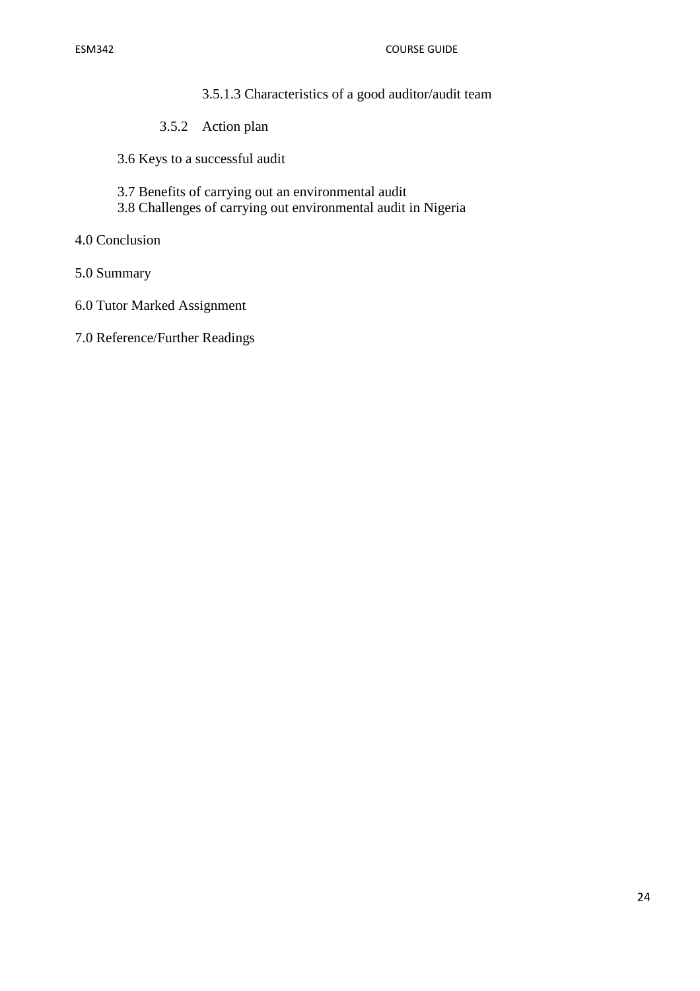- 3.5.1.3 Characteristics of a good auditor/audit team
- 3.5.2 Action plan
- 3.6 Keys to a successful audit
- 3.7 Benefits of carrying out an environmental audit
- 3.8 Challenges of carrying out environmental audit in Nigeria
- 4.0 Conclusion
- 5.0 Summary
- 6.0 Tutor Marked Assignment
- 7.0 Reference/Further Readings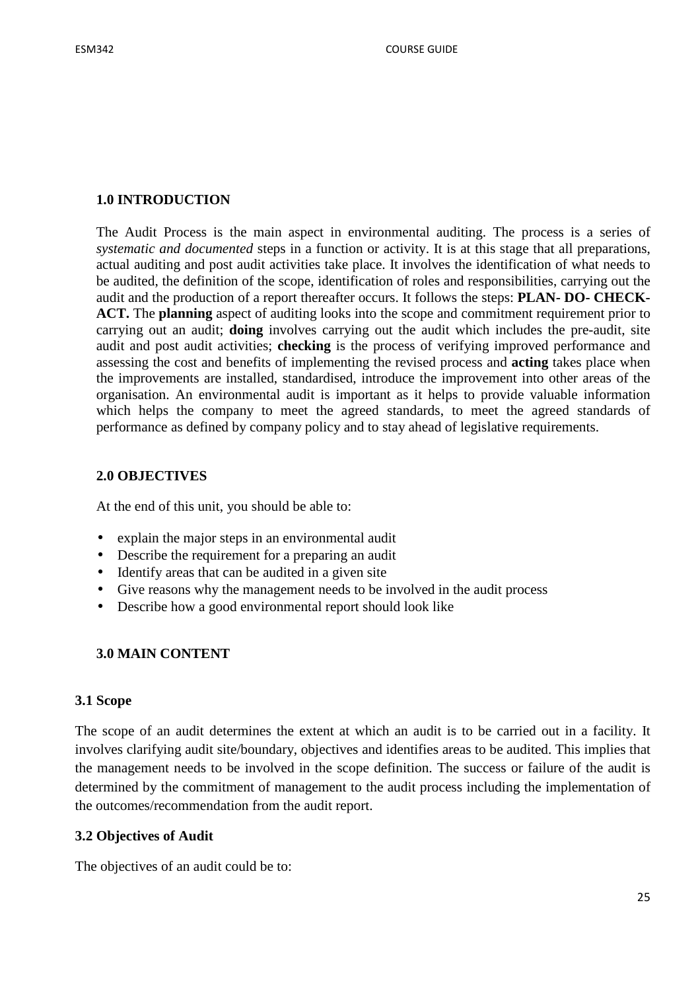# **1.0 INTRODUCTION**

The Audit Process is the main aspect in environmental auditing. The process is a series of *systematic and documented* steps in a function or activity. It is at this stage that all preparations, actual auditing and post audit activities take place. It involves the identification of what needs to be audited, the definition of the scope, identification of roles and responsibilities, carrying out the audit and the production of a report thereafter occurs. It follows the steps: **PLAN- DO- CHECK-ACT.** The **planning** aspect of auditing looks into the scope and commitment requirement prior to carrying out an audit; **doing** involves carrying out the audit which includes the pre-audit, site audit and post audit activities; **checking** is the process of verifying improved performance and assessing the cost and benefits of implementing the revised process and **acting** takes place when the improvements are installed, standardised, introduce the improvement into other areas of the organisation. An environmental audit is important as it helps to provide valuable information which helps the company to meet the agreed standards, to meet the agreed standards of performance as defined by company policy and to stay ahead of legislative requirements.

# **2.0 OBJECTIVES**

At the end of this unit, you should be able to:

- explain the major steps in an environmental audit
- Describe the requirement for a preparing an audit
- Identify areas that can be audited in a given site
- Give reasons why the management needs to be involved in the audit process
- Describe how a good environmental report should look like

# **3.0 MAIN CONTENT**

#### **3.1 Scope**

The scope of an audit determines the extent at which an audit is to be carried out in a facility. It involves clarifying audit site/boundary, objectives and identifies areas to be audited. This implies that the management needs to be involved in the scope definition. The success or failure of the audit is determined by the commitment of management to the audit process including the implementation of the outcomes/recommendation from the audit report.

#### **3.2 Objectives of Audit**

The objectives of an audit could be to: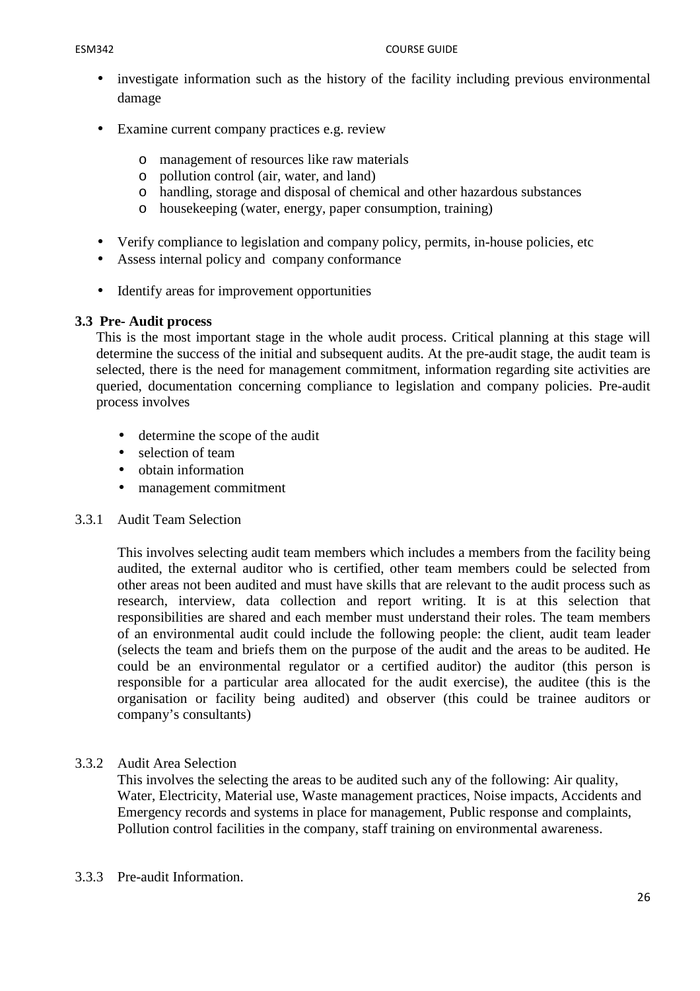- investigate information such as the history of the facility including previous environmental damage
- Examine current company practices e.g. review
	- o management of resources like raw materials
	- o pollution control (air, water, and land)
	- o handling, storage and disposal of chemical and other hazardous substances
	- o housekeeping (water, energy, paper consumption, training)
- Verify compliance to legislation and company policy, permits, in-house policies, etc
- Assess internal policy and company conformance
- Identify areas for improvement opportunities

# **3.3 Pre- Audit process**

This is the most important stage in the whole audit process. Critical planning at this stage will determine the success of the initial and subsequent audits. At the pre-audit stage, the audit team is selected, there is the need for management commitment, information regarding site activities are queried, documentation concerning compliance to legislation and company policies. Pre-audit process involves

- determine the scope of the audit
- selection of team
- obtain information
- management commitment

# 3.3.1 Audit Team Selection

This involves selecting audit team members which includes a members from the facility being audited, the external auditor who is certified, other team members could be selected from other areas not been audited and must have skills that are relevant to the audit process such as research, interview, data collection and report writing. It is at this selection that responsibilities are shared and each member must understand their roles. The team members of an environmental audit could include the following people: the client, audit team leader (selects the team and briefs them on the purpose of the audit and the areas to be audited. He could be an environmental regulator or a certified auditor) the auditor (this person is responsible for a particular area allocated for the audit exercise), the auditee (this is the organisation or facility being audited) and observer (this could be trainee auditors or company's consultants)

# 3.3.2 Audit Area Selection

This involves the selecting the areas to be audited such any of the following: Air quality, Water, Electricity, Material use, Waste management practices, Noise impacts, Accidents and Emergency records and systems in place for management, Public response and complaints, Pollution control facilities in the company, staff training on environmental awareness.

#### 3.3.3 Pre-audit Information.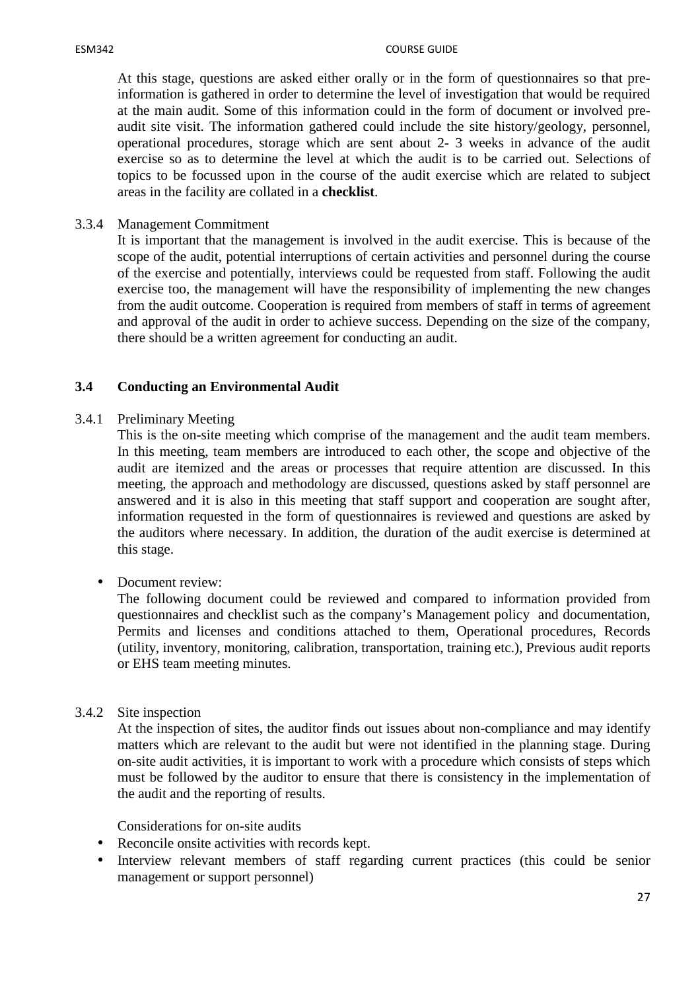At this stage, questions are asked either orally or in the form of questionnaires so that preinformation is gathered in order to determine the level of investigation that would be required at the main audit. Some of this information could in the form of document or involved preaudit site visit. The information gathered could include the site history/geology, personnel, operational procedures, storage which are sent about 2- 3 weeks in advance of the audit exercise so as to determine the level at which the audit is to be carried out. Selections of topics to be focussed upon in the course of the audit exercise which are related to subject areas in the facility are collated in a **checklist**.

3.3.4 Management Commitment

It is important that the management is involved in the audit exercise. This is because of the scope of the audit, potential interruptions of certain activities and personnel during the course of the exercise and potentially, interviews could be requested from staff. Following the audit exercise too, the management will have the responsibility of implementing the new changes from the audit outcome. Cooperation is required from members of staff in terms of agreement and approval of the audit in order to achieve success. Depending on the size of the company, there should be a written agreement for conducting an audit.

# **3.4 Conducting an Environmental Audit**

# 3.4.1 Preliminary Meeting

This is the on-site meeting which comprise of the management and the audit team members. In this meeting, team members are introduced to each other, the scope and objective of the audit are itemized and the areas or processes that require attention are discussed. In this meeting, the approach and methodology are discussed, questions asked by staff personnel are answered and it is also in this meeting that staff support and cooperation are sought after, information requested in the form of questionnaires is reviewed and questions are asked by the auditors where necessary. In addition, the duration of the audit exercise is determined at this stage.

# • Document review:

The following document could be reviewed and compared to information provided from questionnaires and checklist such as the company's Management policy and documentation, Permits and licenses and conditions attached to them, Operational procedures, Records (utility, inventory, monitoring, calibration, transportation, training etc.), Previous audit reports or EHS team meeting minutes.

# 3.4.2 Site inspection

At the inspection of sites, the auditor finds out issues about non-compliance and may identify matters which are relevant to the audit but were not identified in the planning stage. During on-site audit activities, it is important to work with a procedure which consists of steps which must be followed by the auditor to ensure that there is consistency in the implementation of the audit and the reporting of results.

Considerations for on-site audits

- Reconcile onsite activities with records kept.
- Interview relevant members of staff regarding current practices (this could be senior management or support personnel)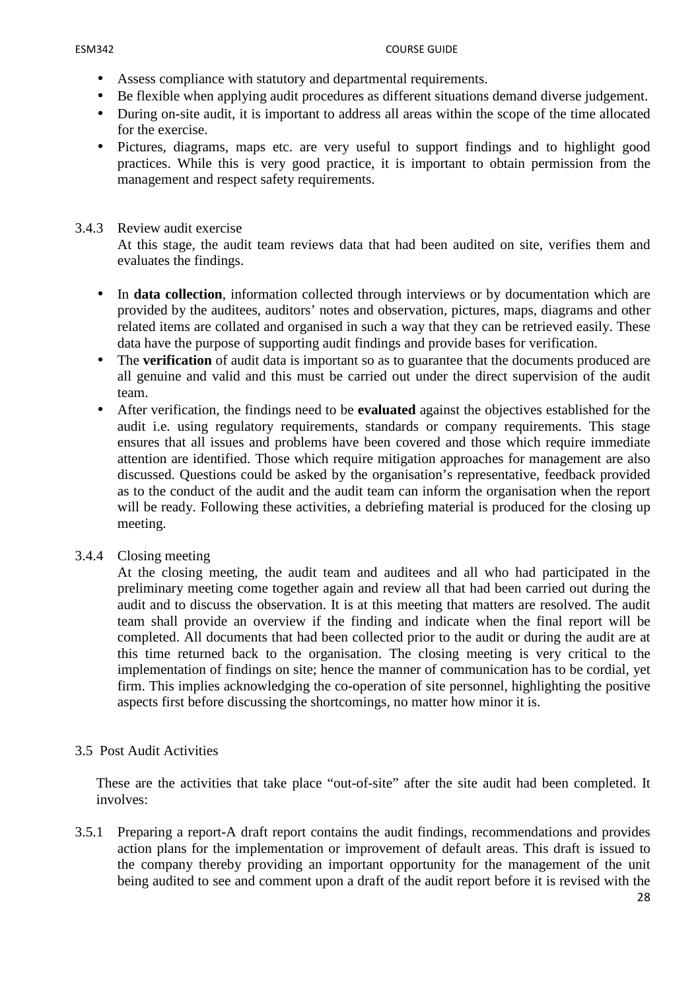#### ESM342 COURSE GUIDE

- Assess compliance with statutory and departmental requirements.
- Be flexible when applying audit procedures as different situations demand diverse judgement.
- During on-site audit, it is important to address all areas within the scope of the time allocated for the exercise.
- Pictures, diagrams, maps etc. are very useful to support findings and to highlight good practices. While this is very good practice, it is important to obtain permission from the management and respect safety requirements.

#### 3.4.3 Review audit exercise

At this stage, the audit team reviews data that had been audited on site, verifies them and evaluates the findings.

- In **data collection**, information collected through interviews or by documentation which are provided by the auditees, auditors' notes and observation, pictures, maps, diagrams and other related items are collated and organised in such a way that they can be retrieved easily. These data have the purpose of supporting audit findings and provide bases for verification.
- The **verification** of audit data is important so as to guarantee that the documents produced are all genuine and valid and this must be carried out under the direct supervision of the audit team.
- After verification, the findings need to be **evaluated** against the objectives established for the audit i.e. using regulatory requirements, standards or company requirements. This stage ensures that all issues and problems have been covered and those which require immediate attention are identified. Those which require mitigation approaches for management are also discussed. Questions could be asked by the organisation's representative, feedback provided as to the conduct of the audit and the audit team can inform the organisation when the report will be ready. Following these activities, a debriefing material is produced for the closing up meeting.

# 3.4.4 Closing meeting

At the closing meeting, the audit team and auditees and all who had participated in the preliminary meeting come together again and review all that had been carried out during the audit and to discuss the observation. It is at this meeting that matters are resolved. The audit team shall provide an overview if the finding and indicate when the final report will be completed. All documents that had been collected prior to the audit or during the audit are at this time returned back to the organisation. The closing meeting is very critical to the implementation of findings on site; hence the manner of communication has to be cordial, yet firm. This implies acknowledging the co-operation of site personnel, highlighting the positive aspects first before discussing the shortcomings, no matter how minor it is.

#### 3.5 Post Audit Activities

These are the activities that take place "out-of-site" after the site audit had been completed. It involves:

3.5.1 Preparing a report-A draft report contains the audit findings, recommendations and provides action plans for the implementation or improvement of default areas. This draft is issued to the company thereby providing an important opportunity for the management of the unit being audited to see and comment upon a draft of the audit report before it is revised with the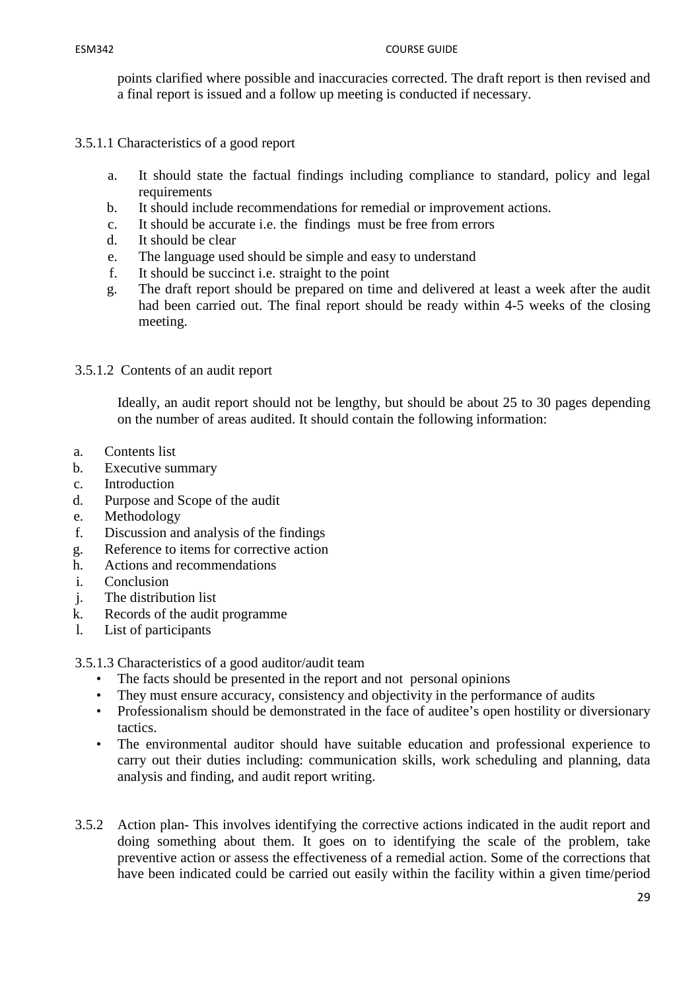points clarified where possible and inaccuracies corrected. The draft report is then revised and a final report is issued and a follow up meeting is conducted if necessary.

- 3.5.1.1 Characteristics of a good report
	- a. It should state the factual findings including compliance to standard, policy and legal requirements
	- b. It should include recommendations for remedial or improvement actions.
	- c. It should be accurate i.e. the findings must be free from errors
	- d. It should be clear
	- e. The language used should be simple and easy to understand
	- f. It should be succinct i.e. straight to the point
	- g. The draft report should be prepared on time and delivered at least a week after the audit had been carried out. The final report should be ready within 4-5 weeks of the closing meeting.

#### 3.5.1.2 Contents of an audit report

Ideally, an audit report should not be lengthy, but should be about 25 to 30 pages depending on the number of areas audited. It should contain the following information:

- a. Contents list
- b. Executive summary
- c. Introduction
- d. Purpose and Scope of the audit
- e. Methodology
- f. Discussion and analysis of the findings
- g. Reference to items for corrective action
- h. Actions and recommendations
- i. Conclusion
- j. The distribution list
- k. Records of the audit programme
- l. List of participants

3.5.1.3 Characteristics of a good auditor/audit team

- The facts should be presented in the report and not personal opinions
- They must ensure accuracy, consistency and objectivity in the performance of audits
- Professionalism should be demonstrated in the face of auditee's open hostility or diversionary tactics.
- The environmental auditor should have suitable education and professional experience to carry out their duties including: communication skills, work scheduling and planning, data analysis and finding, and audit report writing.
- 3.5.2 Action plan- This involves identifying the corrective actions indicated in the audit report and doing something about them. It goes on to identifying the scale of the problem, take preventive action or assess the effectiveness of a remedial action. Some of the corrections that have been indicated could be carried out easily within the facility within a given time/period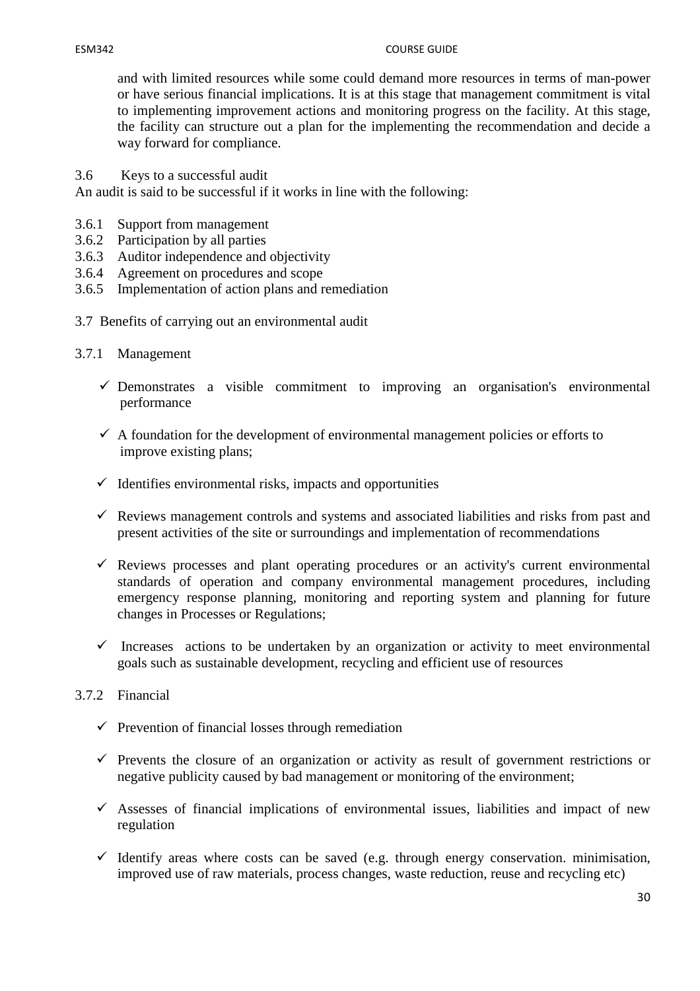#### ESM342 COURSE GUIDE

and with limited resources while some could demand more resources in terms of man-power or have serious financial implications. It is at this stage that management commitment is vital to implementing improvement actions and monitoring progress on the facility. At this stage, the facility can structure out a plan for the implementing the recommendation and decide a way forward for compliance.

3.6 Keys to a successful audit

An audit is said to be successful if it works in line with the following:

- 3.6.1 Support from management
- 3.6.2 Participation by all parties
- 3.6.3 Auditor independence and objectivity
- 3.6.4 Agreement on procedures and scope
- 3.6.5 Implementation of action plans and remediation
- 3.7 Benefits of carrying out an environmental audit
- 3.7.1 Management
	- $\checkmark$  Demonstrates a visible commitment to improving an organisation's environmental performance
	- $\checkmark$  A foundation for the development of environmental management policies or efforts to improve existing plans;
	- $\checkmark$  Identifies environmental risks, impacts and opportunities
	- $\checkmark$  Reviews management controls and systems and associated liabilities and risks from past and present activities of the site or surroundings and implementation of recommendations
	- $\checkmark$  Reviews processes and plant operating procedures or an activity's current environmental standards of operation and company environmental management procedures, including emergency response planning, monitoring and reporting system and planning for future changes in Processes or Regulations;
	- Increases actions to be undertaken by an organization or activity to meet environmental goals such as sustainable development, recycling and efficient use of resources
- 3.7.2 Financial
	- $\checkmark$  Prevention of financial losses through remediation
	- $\checkmark$  Prevents the closure of an organization or activity as result of government restrictions or negative publicity caused by bad management or monitoring of the environment;
	- $\checkmark$  Assesses of financial implications of environmental issues, liabilities and impact of new regulation
	- $\checkmark$  Identify areas where costs can be saved (e.g. through energy conservation, minimisation, improved use of raw materials, process changes, waste reduction, reuse and recycling etc)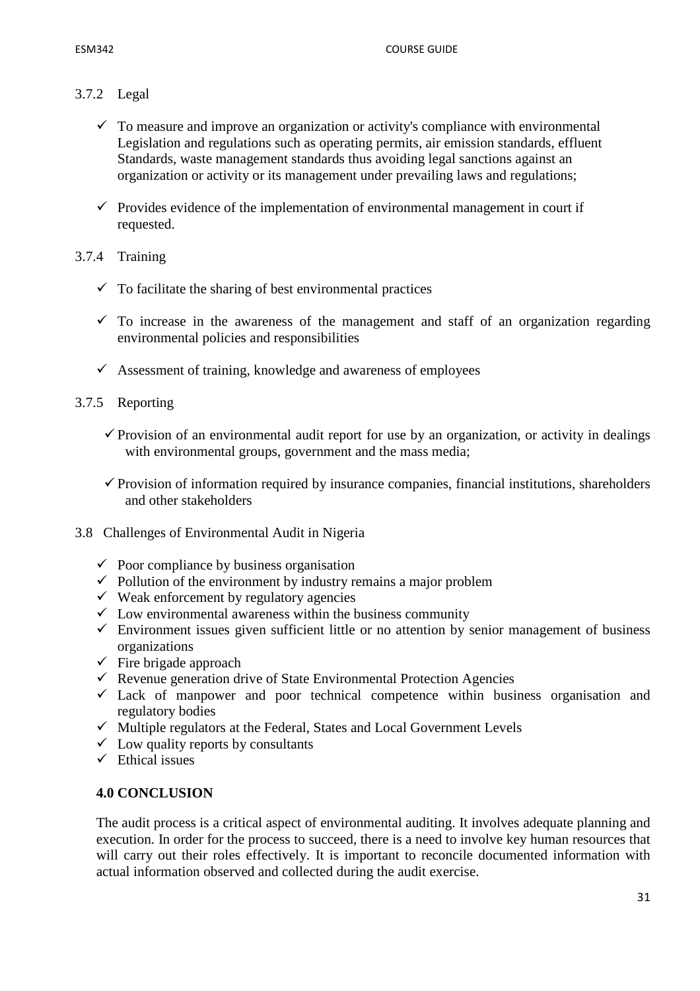# 3.7.2 Legal

- $\checkmark$  To measure and improve an organization or activity's compliance with environmental Legislation and regulations such as operating permits, air emission standards, effluent Standards, waste management standards thus avoiding legal sanctions against an organization or activity or its management under prevailing laws and regulations;
- $\checkmark$  Provides evidence of the implementation of environmental management in court if requested.

# 3.7.4 Training

- $\checkmark$  To facilitate the sharing of best environmental practices
- $\checkmark$  To increase in the awareness of the management and staff of an organization regarding environmental policies and responsibilities
- $\checkmark$  Assessment of training, knowledge and awareness of employees

# 3.7.5 Reporting

- $\checkmark$  Provision of an environmental audit report for use by an organization, or activity in dealings with environmental groups, government and the mass media;
- $\checkmark$  Provision of information required by insurance companies, financial institutions, shareholders and other stakeholders
- 3.8 Challenges of Environmental Audit in Nigeria
	- $\checkmark$  Poor compliance by business organisation
	- $\checkmark$  Pollution of the environment by industry remains a major problem
	- $\checkmark$  Weak enforcement by regulatory agencies
	- $\checkmark$  Low environmental awareness within the business community
	- $\checkmark$  Environment issues given sufficient little or no attention by senior management of business organizations
	- $\checkmark$  Fire brigade approach
	- $\checkmark$  Revenue generation drive of State Environmental Protection Agencies
	- $\checkmark$  Lack of manpower and poor technical competence within business organisation and regulatory bodies
	- $\checkmark$  Multiple regulators at the Federal, States and Local Government Levels
	- $\checkmark$  Low quality reports by consultants
	- $\checkmark$  Ethical issues

# **4.0 CONCLUSION**

The audit process is a critical aspect of environmental auditing. It involves adequate planning and execution. In order for the process to succeed, there is a need to involve key human resources that will carry out their roles effectively. It is important to reconcile documented information with actual information observed and collected during the audit exercise.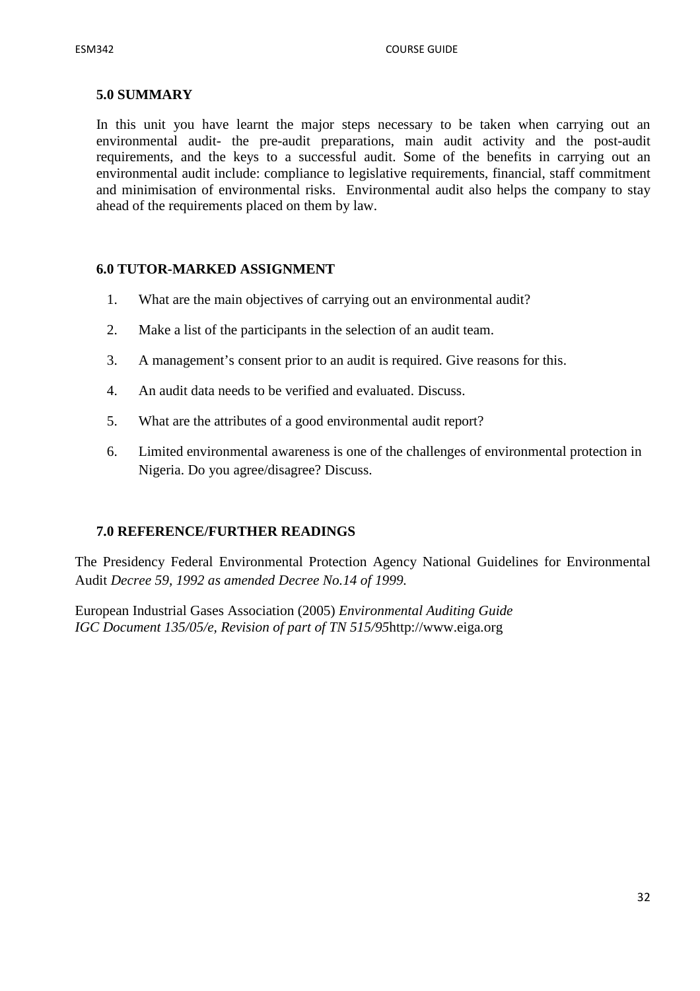#### **5.0 SUMMARY**

In this unit you have learnt the major steps necessary to be taken when carrying out an environmental audit- the pre-audit preparations, main audit activity and the post-audit requirements, and the keys to a successful audit. Some of the benefits in carrying out an environmental audit include: compliance to legislative requirements, financial, staff commitment and minimisation of environmental risks. Environmental audit also helps the company to stay ahead of the requirements placed on them by law.

#### **6.0 TUTOR-MARKED ASSIGNMENT**

- 1. What are the main objectives of carrying out an environmental audit?
- 2. Make a list of the participants in the selection of an audit team.
- 3. A management's consent prior to an audit is required. Give reasons for this.
- 4. An audit data needs to be verified and evaluated. Discuss.
- 5. What are the attributes of a good environmental audit report?
- 6. Limited environmental awareness is one of the challenges of environmental protection in Nigeria. Do you agree/disagree? Discuss.

#### **7.0 REFERENCE/FURTHER READINGS**

The Presidency Federal Environmental Protection Agency National Guidelines for Environmental Audit *Decree 59, 1992 as amended Decree No.14 of 1999.* 

European Industrial Gases Association (2005) *Environmental Auditing Guide IGC Document 135/05/e, Revision of part of TN 515/95*http://www.eiga.org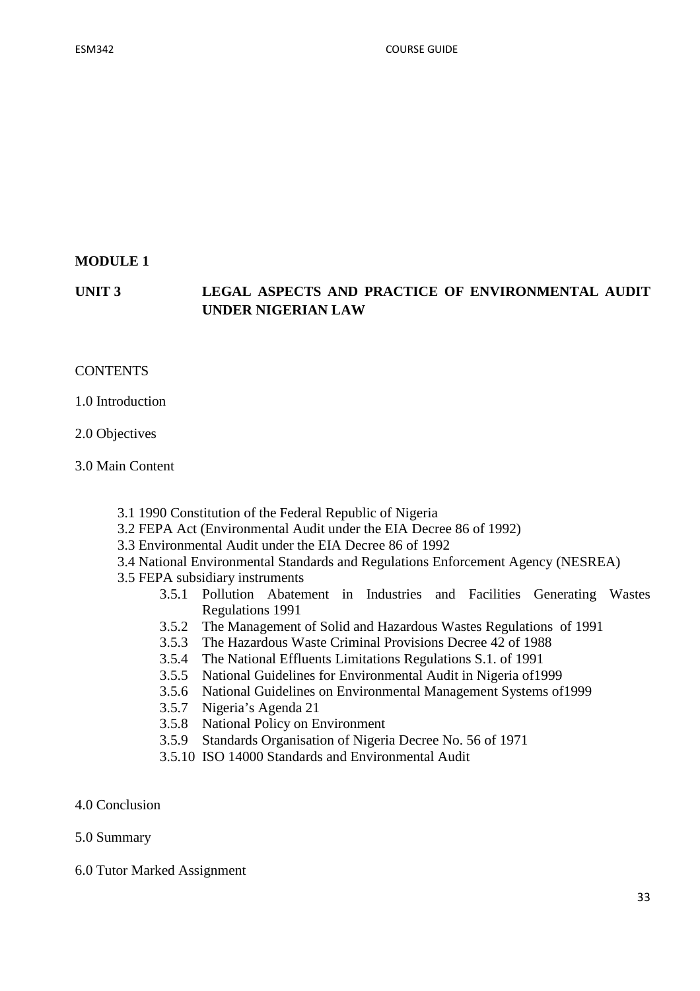### **MODULE 1**

# **UNIT 3 LEGAL ASPECTS AND PRACTICE OF ENVIRONMENTAL AUDIT UNDER NIGERIAN LAW**

#### **CONTENTS**

1.0 Introduction

2.0 Objectives

3.0 Main Content

- 3.1 1990 Constitution of the Federal Republic of Nigeria
- 3.2 FEPA Act (Environmental Audit under the EIA Decree 86 of 1992)
- 3.3 Environmental Audit under the EIA Decree 86 of 1992
- 3.4 National Environmental Standards and Regulations Enforcement Agency (NESREA)
- 3.5 FEPA subsidiary instruments
	- 3.5.1 Pollution Abatement in Industries and Facilities Generating Wastes Regulations 1991
	- 3.5.2 The Management of Solid and Hazardous Wastes Regulations of 1991
	- 3.5.3 The Hazardous Waste Criminal Provisions Decree 42 of 1988
	- 3.5.4 The National Effluents Limitations Regulations S.1. of 1991
	- 3.5.5 National Guidelines for Environmental Audit in Nigeria of1999
	- 3.5.6 National Guidelines on Environmental Management Systems of1999
	- 3.5.7 Nigeria's Agenda 21
	- 3.5.8 National Policy on Environment
	- 3.5.9 Standards Organisation of Nigeria Decree No. 56 of 1971
	- 3.5.10 ISO 14000 Standards and Environmental Audit
- 4.0 Conclusion

#### 5.0 Summary

6.0 Tutor Marked Assignment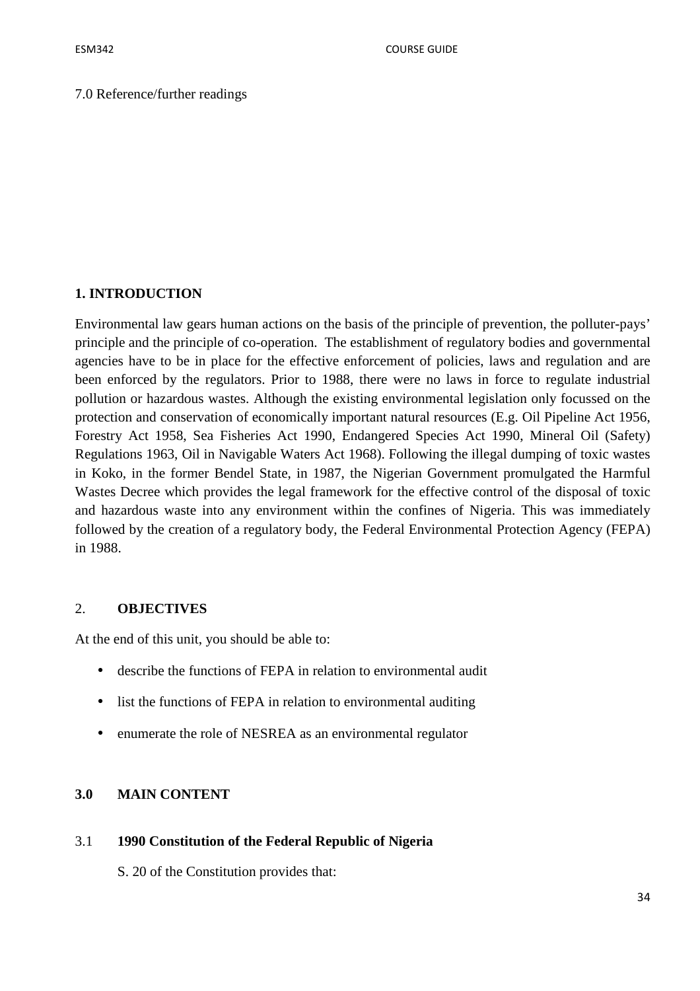#### **1. INTRODUCTION**

Environmental law gears human actions on the basis of the principle of prevention, the polluter-pays' principle and the principle of co-operation. The establishment of regulatory bodies and governmental agencies have to be in place for the effective enforcement of policies, laws and regulation and are been enforced by the regulators. Prior to 1988, there were no laws in force to regulate industrial pollution or hazardous wastes. Although the existing environmental legislation only focussed on the protection and conservation of economically important natural resources (E.g. Oil Pipeline Act 1956, Forestry Act 1958, Sea Fisheries Act 1990, Endangered Species Act 1990, Mineral Oil (Safety) Regulations 1963, Oil in Navigable Waters Act 1968). Following the illegal dumping of toxic wastes in Koko, in the former Bendel State, in 1987, the Nigerian Government promulgated the Harmful Wastes Decree which provides the legal framework for the effective control of the disposal of toxic and hazardous waste into any environment within the confines of Nigeria. This was immediately followed by the creation of a regulatory body, the Federal Environmental Protection Agency (FEPA) in 1988.

#### 2. **OBJECTIVES**

At the end of this unit, you should be able to:

- describe the functions of FEPA in relation to environmental audit
- list the functions of FEPA in relation to environmental auditing
- enumerate the role of NESREA as an environmental regulator

# **3.0 MAIN CONTENT**

#### 3.1 **1990 Constitution of the Federal Republic of Nigeria**

S. 20 of the Constitution provides that: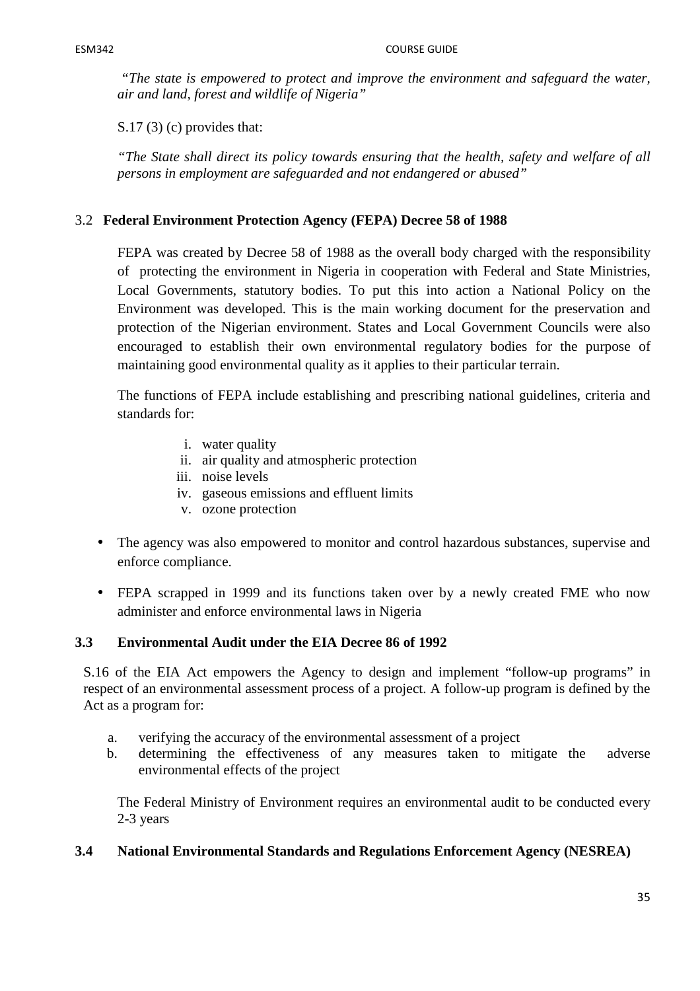*"The state is empowered to protect and improve the environment and safeguard the water, air and land, forest and wildlife of Nigeria"* 

S.17 (3) (c) provides that:

*"The State shall direct its policy towards ensuring that the health, safety and welfare of all persons in employment are safeguarded and not endangered or abused"* 

# 3.2 **Federal Environment Protection Agency (FEPA) Decree 58 of 1988**

FEPA was created by Decree 58 of 1988 as the overall body charged with the responsibility of protecting the environment in Nigeria in cooperation with Federal and State Ministries, Local Governments, statutory bodies. To put this into action a National Policy on the Environment was developed. This is the main working document for the preservation and protection of the Nigerian environment. States and Local Government Councils were also encouraged to establish their own environmental regulatory bodies for the purpose of maintaining good environmental quality as it applies to their particular terrain.

The functions of FEPA include establishing and prescribing national guidelines, criteria and standards for:

- i. water quality
- ii. air quality and atmospheric protection
- iii. noise levels
- iv. gaseous emissions and effluent limits
- v. ozone protection
- The agency was also empowered to monitor and control hazardous substances, supervise and enforce compliance.
- FEPA scrapped in 1999 and its functions taken over by a newly created FME who now administer and enforce environmental laws in Nigeria

# **3.3 Environmental Audit under the EIA Decree 86 of 1992**

S.16 of the EIA Act empowers the Agency to design and implement "follow-up programs" in respect of an environmental assessment process of a project. A follow-up program is defined by the Act as a program for:

- a. verifying the accuracy of the environmental assessment of a project
- b. determining the effectiveness of any measures taken to mitigate the adverse environmental effects of the project

The Federal Ministry of Environment requires an environmental audit to be conducted every 2-3 years

# **3.4 National Environmental Standards and Regulations Enforcement Agency (NESREA)**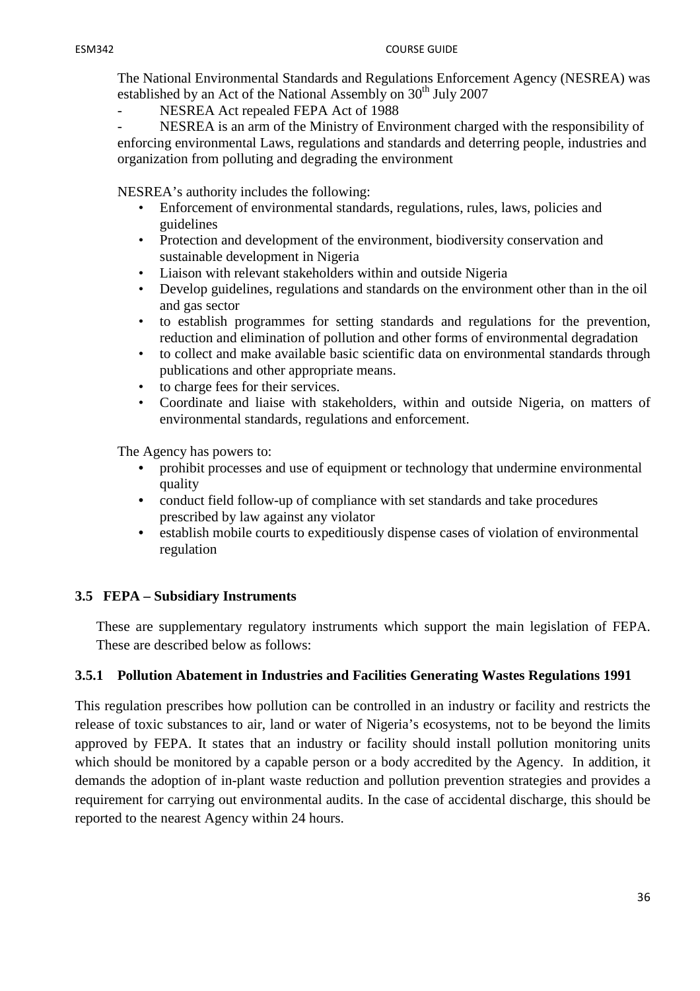The National Environmental Standards and Regulations Enforcement Agency (NESREA) was established by an Act of the National Assembly on 30<sup>th</sup> July 2007

NESREA Act repealed FEPA Act of 1988

- NESREA is an arm of the Ministry of Environment charged with the responsibility of enforcing environmental Laws, regulations and standards and deterring people, industries and organization from polluting and degrading the environment

NESREA's authority includes the following:

- Enforcement of environmental standards, regulations, rules, laws, policies and guidelines
- Protection and development of the environment, biodiversity conservation and sustainable development in Nigeria
- Liaison with relevant stakeholders within and outside Nigeria
- Develop guidelines, regulations and standards on the environment other than in the oil and gas sector
- to establish programmes for setting standards and regulations for the prevention, reduction and elimination of pollution and other forms of environmental degradation
- to collect and make available basic scientific data on environmental standards through publications and other appropriate means.
- to charge fees for their services.
- Coordinate and liaise with stakeholders, within and outside Nigeria, on matters of environmental standards, regulations and enforcement.

The Agency has powers to:

- prohibit processes and use of equipment or technology that undermine environmental quality
- conduct field follow-up of compliance with set standards and take procedures prescribed by law against any violator
- establish mobile courts to expeditiously dispense cases of violation of environmental regulation

# **3.5 FEPA – Subsidiary Instruments**

These are supplementary regulatory instruments which support the main legislation of FEPA. These are described below as follows:

#### **3.5.1 Pollution Abatement in Industries and Facilities Generating Wastes Regulations 1991**

This regulation prescribes how pollution can be controlled in an industry or facility and restricts the release of toxic substances to air, land or water of Nigeria's ecosystems, not to be beyond the limits approved by FEPA. It states that an industry or facility should install pollution monitoring units which should be monitored by a capable person or a body accredited by the Agency. In addition, it demands the adoption of in-plant waste reduction and pollution prevention strategies and provides a requirement for carrying out environmental audits. In the case of accidental discharge, this should be reported to the nearest Agency within 24 hours.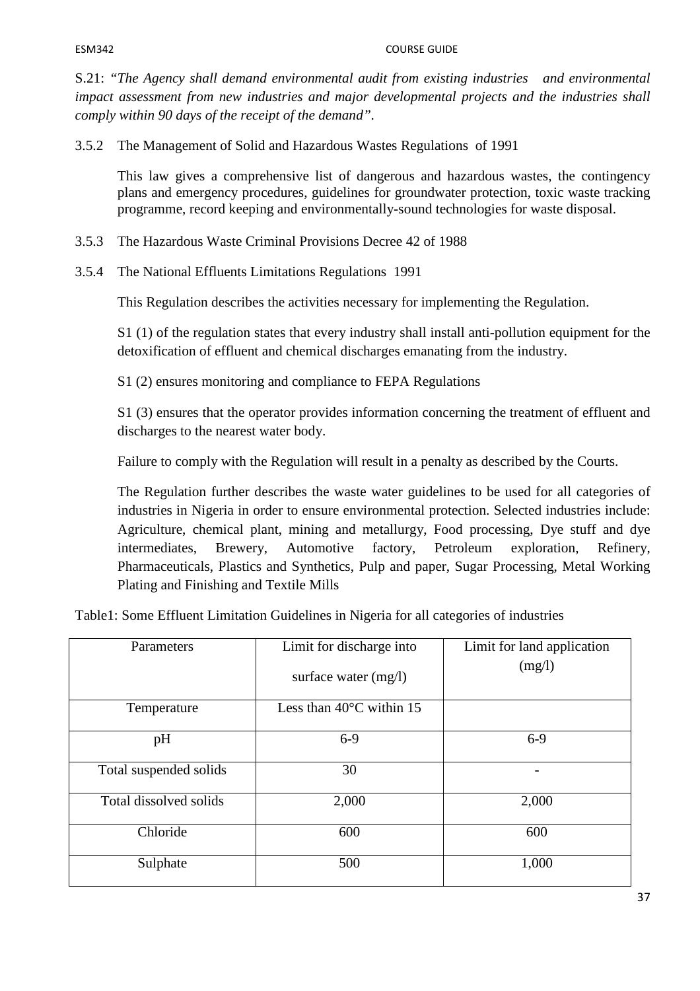#### ESM342 COURSE GUIDE

S.21: *"The Agency shall demand environmental audit from existing industries and environmental impact assessment from new industries and major developmental projects and the industries shall comply within 90 days of the receipt of the demand".*

3.5.2 The Management of Solid and Hazardous Wastes Regulations of 1991

This law gives a comprehensive list of dangerous and hazardous wastes, the contingency plans and emergency procedures, guidelines for groundwater protection, toxic waste tracking programme, record keeping and environmentally-sound technologies for waste disposal.

- 3.5.3 The Hazardous Waste Criminal Provisions Decree 42 of 1988
- 3.5.4 The National Effluents Limitations Regulations 1991

This Regulation describes the activities necessary for implementing the Regulation.

S1 (1) of the regulation states that every industry shall install anti-pollution equipment for the detoxification of effluent and chemical discharges emanating from the industry.

S1 (2) ensures monitoring and compliance to FEPA Regulations

S1 (3) ensures that the operator provides information concerning the treatment of effluent and discharges to the nearest water body.

Failure to comply with the Regulation will result in a penalty as described by the Courts.

The Regulation further describes the waste water guidelines to be used for all categories of industries in Nigeria in order to ensure environmental protection. Selected industries include: Agriculture, chemical plant, mining and metallurgy, Food processing, Dye stuff and dye intermediates, Brewery, Automotive factory, Petroleum exploration, Refinery, Pharmaceuticals, Plastics and Synthetics, Pulp and paper, Sugar Processing, Metal Working Plating and Finishing and Textile Mills

Table1: Some Effluent Limitation Guidelines in Nigeria for all categories of industries

| Parameters             | Limit for discharge into<br>surface water $(mg/l)$ | Limit for land application<br>(mg/l) |
|------------------------|----------------------------------------------------|--------------------------------------|
| Temperature            | Less than $40^{\circ}$ C within 15                 |                                      |
| pH                     | $6-9$                                              | $6-9$                                |
| Total suspended solids | 30                                                 |                                      |
| Total dissolved solids | 2,000                                              | 2,000                                |
| Chloride               | 600                                                | 600                                  |
| Sulphate               | 500                                                | 1,000                                |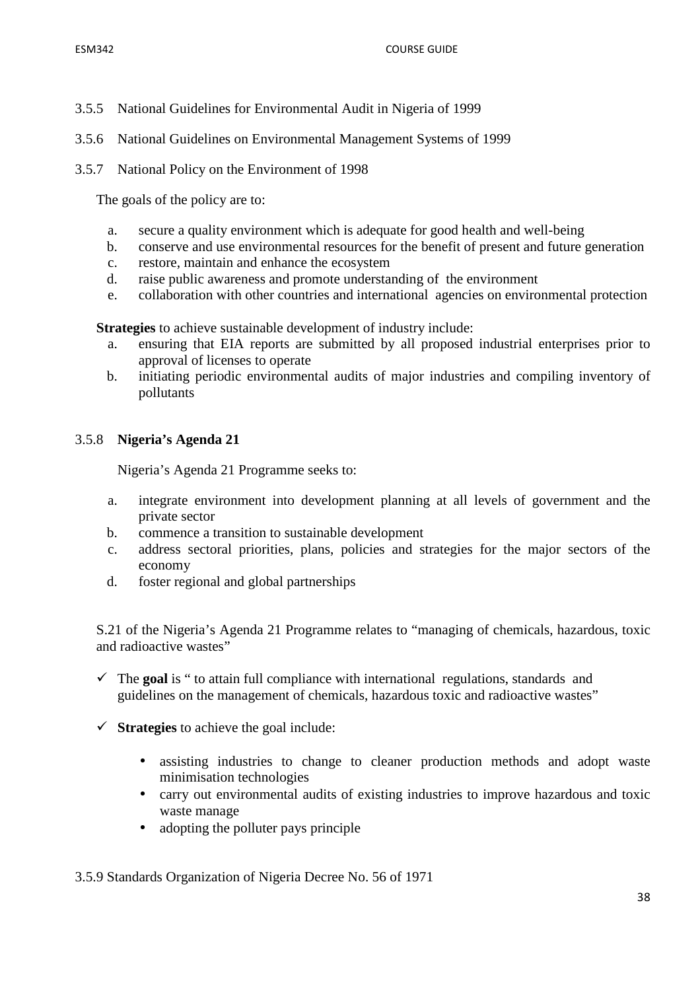- 3.5.5 National Guidelines for Environmental Audit in Nigeria of 1999
- 3.5.6 National Guidelines on Environmental Management Systems of 1999
- 3.5.7 National Policy on the Environment of 1998

The goals of the policy are to:

- a. secure a quality environment which is adequate for good health and well-being
- b. conserve and use environmental resources for the benefit of present and future generation
- c. restore, maintain and enhance the ecosystem
- d. raise public awareness and promote understanding of the environment
- e. collaboration with other countries and international agencies on environmental protection

**Strategies** to achieve sustainable development of industry include:

- a. ensuring that EIA reports are submitted by all proposed industrial enterprises prior to approval of licenses to operate
- b. initiating periodic environmental audits of major industries and compiling inventory of pollutants

## 3.5.8 **Nigeria's Agenda 21**

Nigeria's Agenda 21 Programme seeks to:

- a. integrate environment into development planning at all levels of government and the private sector
- b. commence a transition to sustainable development
- c. address sectoral priorities, plans, policies and strategies for the major sectors of the economy
- d. foster regional and global partnerships

S.21 of the Nigeria's Agenda 21 Programme relates to "managing of chemicals, hazardous, toxic and radioactive wastes"

- $\checkmark$  The **goal** is " to attain full compliance with international regulations, standards and guidelines on the management of chemicals, hazardous toxic and radioactive wastes"
- **Strategies** to achieve the goal include:
	- assisting industries to change to cleaner production methods and adopt waste minimisation technologies
	- carry out environmental audits of existing industries to improve hazardous and toxic waste manage
	- adopting the polluter pays principle

3.5.9 Standards Organization of Nigeria Decree No. 56 of 1971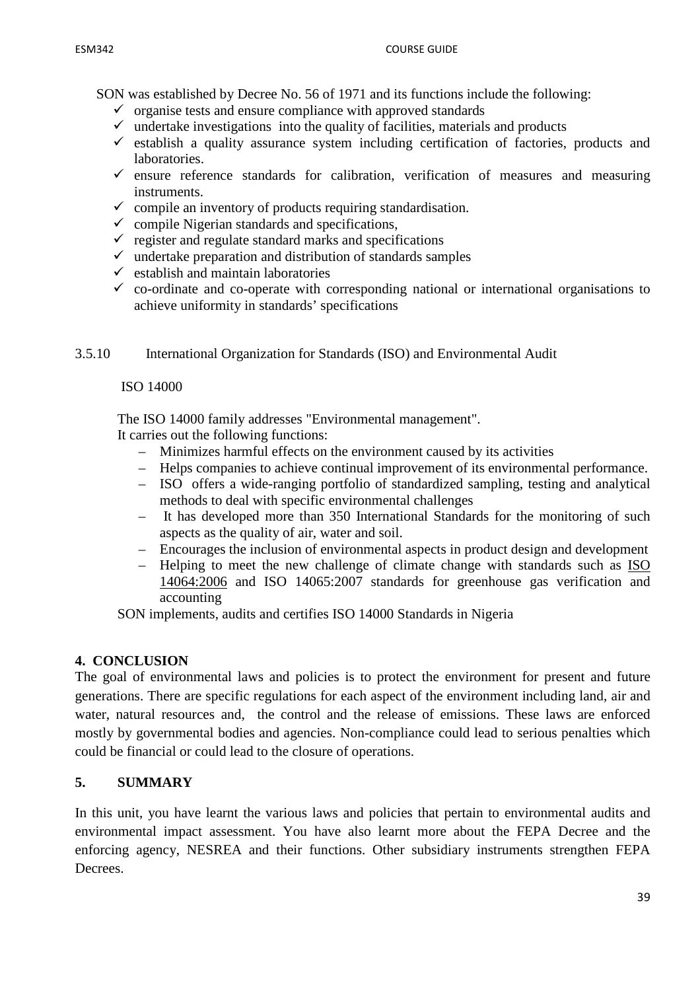SON was established by Decree No. 56 of 1971 and its functions include the following:

- $\checkmark$  organise tests and ensure compliance with approved standards
- $\checkmark$  undertake investigations into the quality of facilities, materials and products
- $\checkmark$  establish a quality assurance system including certification of factories, products and laboratories.
- $\checkmark$  ensure reference standards for calibration, verification of measures and measuring instruments.
- $\checkmark$  compile an inventory of products requiring standardisation.
- $\checkmark$  compile Nigerian standards and specifications,
- $\checkmark$  register and regulate standard marks and specifications
- $\checkmark$  undertake preparation and distribution of standards samples
- $\checkmark$  establish and maintain laboratories
- $\checkmark$  co-ordinate and co-operate with corresponding national or international organisations to achieve uniformity in standards' specifications
- 3.5.10 International Organization for Standards (ISO) and Environmental Audit

## ISO 14000

The ISO 14000 family addresses "Environmental management".

It carries out the following functions:

- Minimizes harmful effects on the environment caused by its activities
- Helps companies to achieve continual improvement of its environmental performance.
- ISO offers a wide-ranging portfolio of standardized sampling, testing and analytical methods to deal with specific environmental challenges
- It has developed more than 350 International Standards for the monitoring of such aspects as the quality of air, water and soil.
- Encourages the inclusion of environmental aspects in product design and development
- Helping to meet the new challenge of climate change with standards such as ISO 14064:2006 and ISO 14065:2007 standards for greenhouse gas verification and accounting

SON implements, audits and certifies ISO 14000 Standards in Nigeria

## **4. CONCLUSION**

The goal of environmental laws and policies is to protect the environment for present and future generations. There are specific regulations for each aspect of the environment including land, air and water, natural resources and, the control and the release of emissions. These laws are enforced mostly by governmental bodies and agencies. Non-compliance could lead to serious penalties which could be financial or could lead to the closure of operations.

## **5. SUMMARY**

In this unit, you have learnt the various laws and policies that pertain to environmental audits and environmental impact assessment. You have also learnt more about the FEPA Decree and the enforcing agency, NESREA and their functions. Other subsidiary instruments strengthen FEPA Decrees.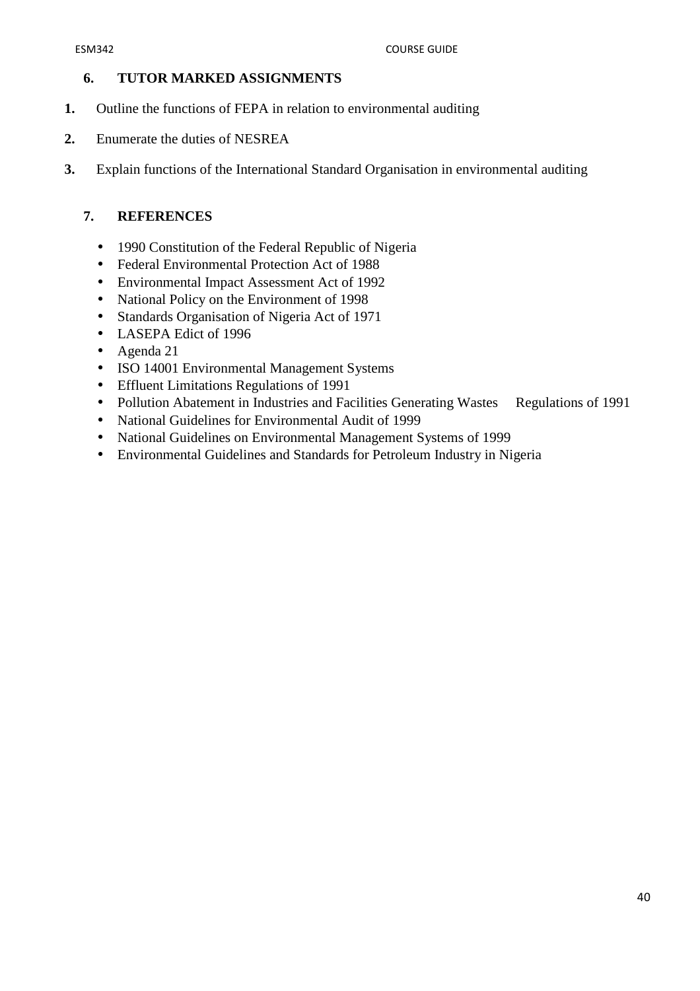## **6. TUTOR MARKED ASSIGNMENTS**

- **1.** Outline the functions of FEPA in relation to environmental auditing
- **2.** Enumerate the duties of NESREA
- **3.** Explain functions of the International Standard Organisation in environmental auditing

## **7. REFERENCES**

- 1990 Constitution of the Federal Republic of Nigeria
- Federal Environmental Protection Act of 1988
- Environmental Impact Assessment Act of 1992
- National Policy on the Environment of 1998
- Standards Organisation of Nigeria Act of 1971
- LASEPA Edict of 1996
- Agenda 21
- ISO 14001 Environmental Management Systems
- Effluent Limitations Regulations of 1991
- Pollution Abatement in Industries and Facilities Generating Wastes Regulations of 1991
- National Guidelines for Environmental Audit of 1999
- National Guidelines on Environmental Management Systems of 1999
- Environmental Guidelines and Standards for Petroleum Industry in Nigeria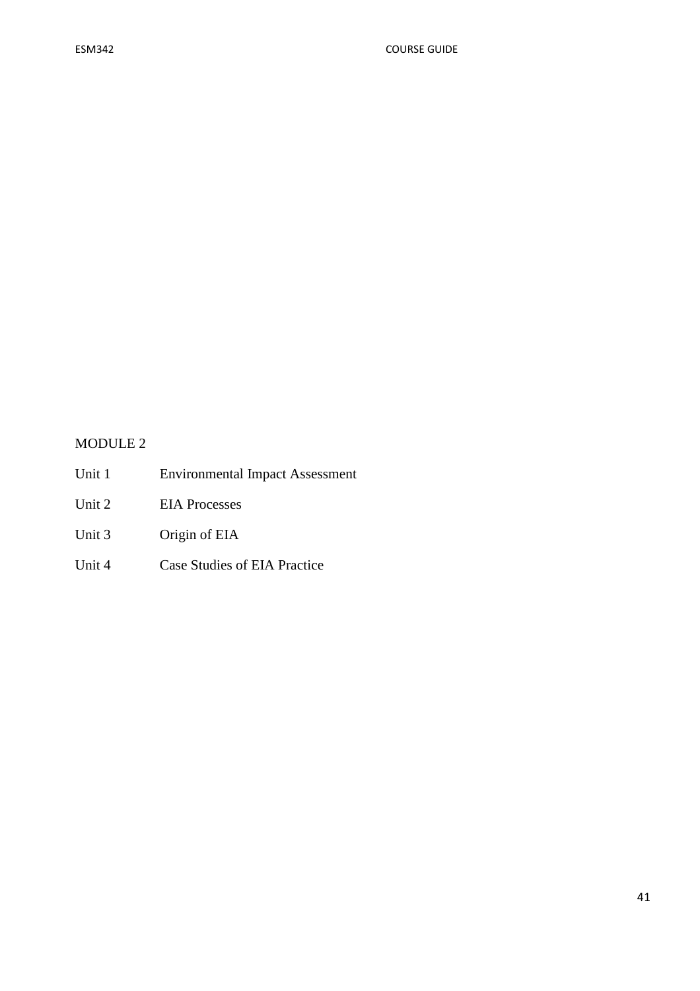# MODULE 2

- Unit 1 Environmental Impact Assessment
- Unit 2 EIA Processes
- Unit 3 Origin of EIA
- Unit 4 Case Studies of EIA Practice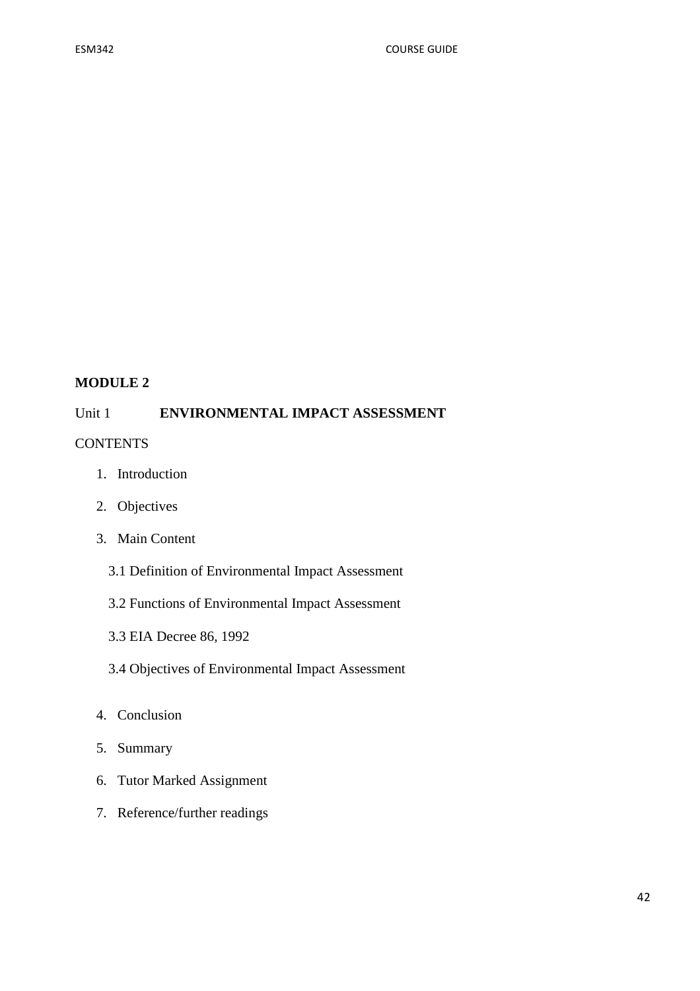## **MODULE 2**

## Unit 1 **ENVIRONMENTAL IMPACT ASSESSMENT**

#### **CONTENTS**

- 1. Introduction
- 2. Objectives
- 3. Main Content
	- 3.1 Definition of Environmental Impact Assessment
	- 3.2 Functions of Environmental Impact Assessment
	- 3.3 EIA Decree 86, 1992
	- 3.4 Objectives of Environmental Impact Assessment
- 4. Conclusion
- 5. Summary
- 6. Tutor Marked Assignment
- 7. Reference/further readings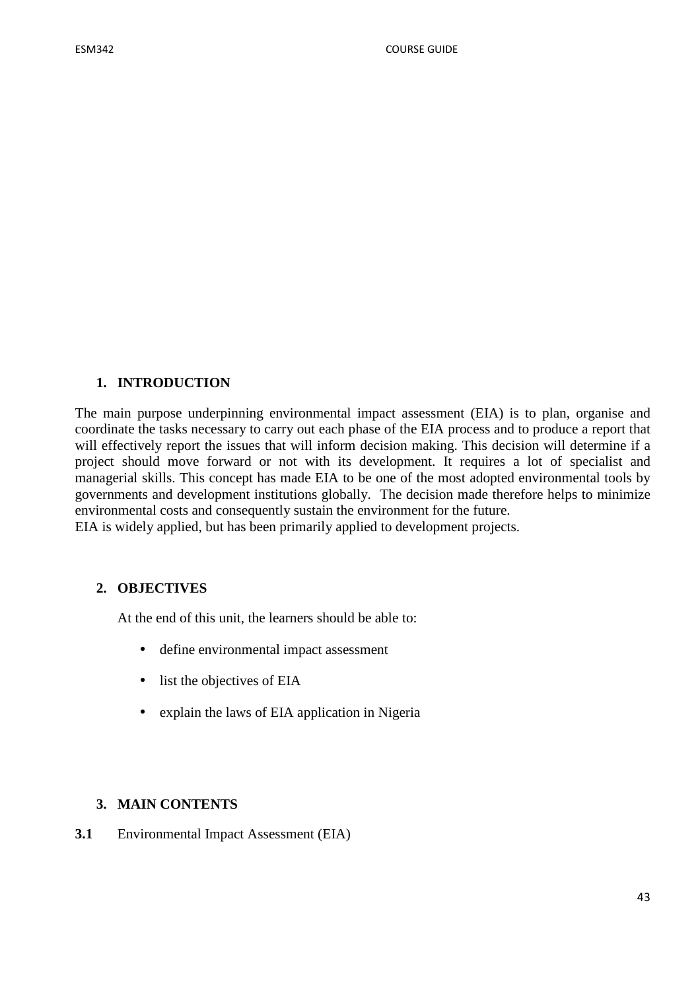## **1. INTRODUCTION**

The main purpose underpinning environmental impact assessment (EIA) is to plan, organise and coordinate the tasks necessary to carry out each phase of the EIA process and to produce a report that will effectively report the issues that will inform decision making. This decision will determine if a project should move forward or not with its development. It requires a lot of specialist and managerial skills. This concept has made EIA to be one of the most adopted environmental tools by governments and development institutions globally. The decision made therefore helps to minimize environmental costs and consequently sustain the environment for the future.

EIA is widely applied, but has been primarily applied to development projects.

## **2. OBJECTIVES**

At the end of this unit, the learners should be able to:

- define environmental impact assessment
- list the objectives of EIA
- explain the laws of EIA application in Nigeria

## **3. MAIN CONTENTS**

**3.1** Environmental Impact Assessment (EIA)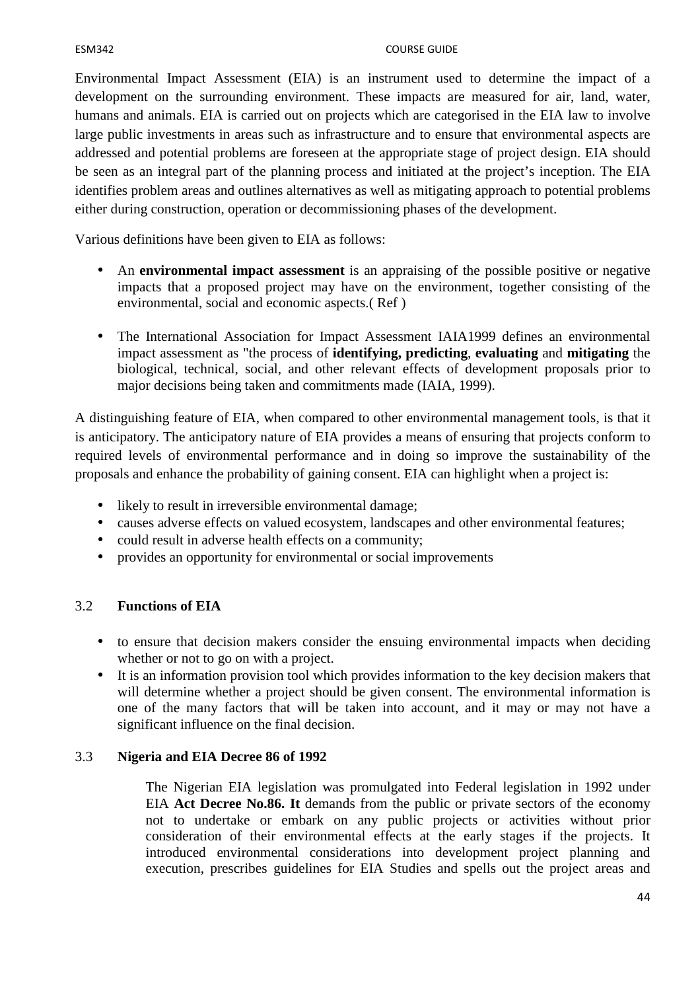Environmental Impact Assessment (EIA) is an instrument used to determine the impact of a development on the surrounding environment. These impacts are measured for air, land, water, humans and animals. EIA is carried out on projects which are categorised in the EIA law to involve large public investments in areas such as infrastructure and to ensure that environmental aspects are addressed and potential problems are foreseen at the appropriate stage of project design. EIA should be seen as an integral part of the planning process and initiated at the project's inception. The EIA identifies problem areas and outlines alternatives as well as mitigating approach to potential problems either during construction, operation or decommissioning phases of the development.

Various definitions have been given to EIA as follows:

- An **environmental impact assessment** is an appraising of the possible positive or negative impacts that a proposed project may have on the environment, together consisting of the environmental, social and economic aspects.( Ref )
- The International Association for Impact Assessment IAIA1999 defines an environmental impact assessment as "the process of **identifying, predicting**, **evaluating** and **mitigating** the biological, technical, social, and other relevant effects of development proposals prior to major decisions being taken and commitments made (IAIA, 1999).

A distinguishing feature of EIA, when compared to other environmental management tools, is that it is anticipatory. The anticipatory nature of EIA provides a means of ensuring that projects conform to required levels of environmental performance and in doing so improve the sustainability of the proposals and enhance the probability of gaining consent. EIA can highlight when a project is:

- likely to result in irreversible environmental damage;
- causes adverse effects on valued ecosystem, landscapes and other environmental features;
- could result in adverse health effects on a community;
- provides an opportunity for environmental or social improvements

#### 3.2 **Functions of EIA**

- to ensure that decision makers consider the ensuing environmental impacts when deciding whether or not to go on with a project.
- It is an information provision tool which provides information to the key decision makers that will determine whether a project should be given consent. The environmental information is one of the many factors that will be taken into account, and it may or may not have a significant influence on the final decision.

#### 3.3 **Nigeria and EIA Decree 86 of 1992**

The Nigerian EIA legislation was promulgated into Federal legislation in 1992 under EIA **Act Decree No.86. It** demands from the public or private sectors of the economy not to undertake or embark on any public projects or activities without prior consideration of their environmental effects at the early stages if the projects. It introduced environmental considerations into development project planning and execution, prescribes guidelines for EIA Studies and spells out the project areas and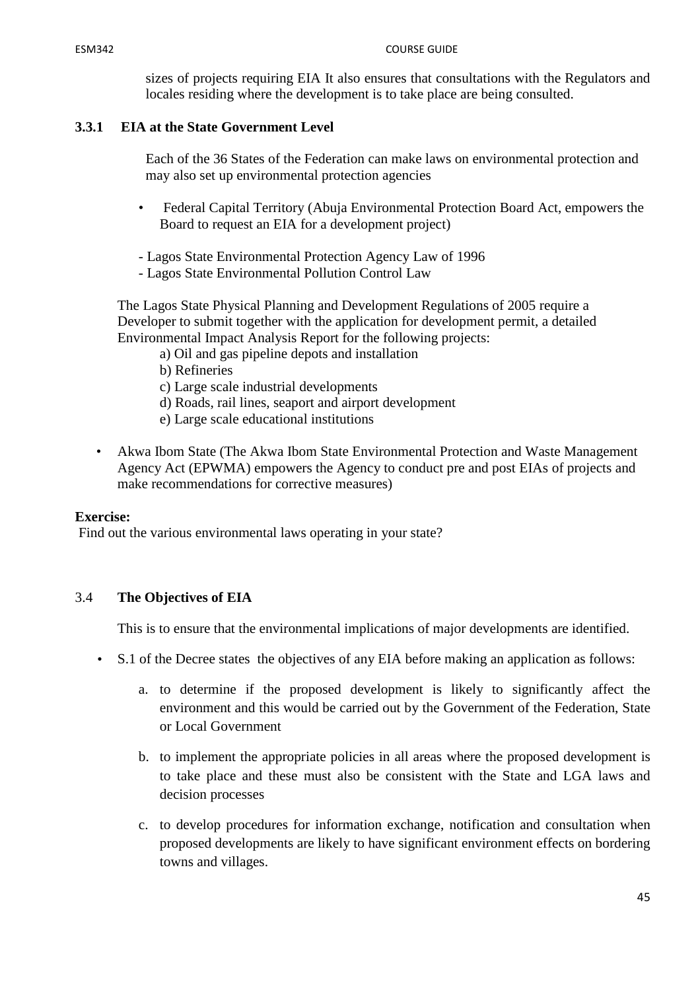sizes of projects requiring EIA It also ensures that consultations with the Regulators and locales residing where the development is to take place are being consulted.

## **3.3.1 EIA at the State Government Level**

Each of the 36 States of the Federation can make laws on environmental protection and may also set up environmental protection agencies

- Federal Capital Territory (Abuja Environmental Protection Board Act, empowers the Board to request an EIA for a development project)
- Lagos State Environmental Protection Agency Law of 1996
- Lagos State Environmental Pollution Control Law

The Lagos State Physical Planning and Development Regulations of 2005 require a Developer to submit together with the application for development permit, a detailed Environmental Impact Analysis Report for the following projects:

- a) Oil and gas pipeline depots and installation
- b) Refineries
- c) Large scale industrial developments
- d) Roads, rail lines, seaport and airport development
- e) Large scale educational institutions
- Akwa Ibom State (The Akwa Ibom State Environmental Protection and Waste Management Agency Act (EPWMA) empowers the Agency to conduct pre and post EIAs of projects and make recommendations for corrective measures)

#### **Exercise:**

Find out the various environmental laws operating in your state?

#### 3.4 **The Objectives of EIA**

This is to ensure that the environmental implications of major developments are identified.

- S.1 of the Decree states the objectives of any EIA before making an application as follows:
	- a. to determine if the proposed development is likely to significantly affect the environment and this would be carried out by the Government of the Federation, State or Local Government
	- b. to implement the appropriate policies in all areas where the proposed development is to take place and these must also be consistent with the State and LGA laws and decision processes
	- c. to develop procedures for information exchange, notification and consultation when proposed developments are likely to have significant environment effects on bordering towns and villages.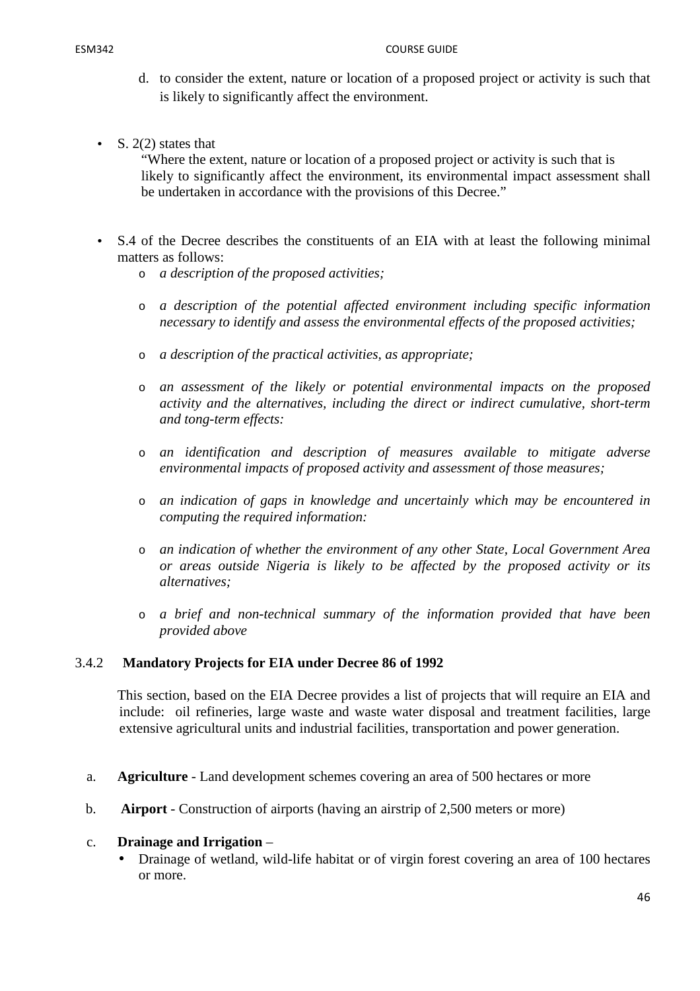- d. to consider the extent, nature or location of a proposed project or activity is such that is likely to significantly affect the environment.
- S.  $2(2)$  states that

"Where the extent, nature or location of a proposed project or activity is such that is likely to significantly affect the environment, its environmental impact assessment shall be undertaken in accordance with the provisions of this Decree."

- S.4 of the Decree describes the constituents of an EIA with at least the following minimal matters as follows:
	- o *a description of the proposed activities;*
	- o *a description of the potential affected environment including specific information necessary to identify and assess the environmental effects of the proposed activities;*
	- o *a description of the practical activities, as appropriate;*
	- o *an assessment of the likely or potential environmental impacts on the proposed activity and the alternatives, including the direct or indirect cumulative, short-term and tong-term effects:*
	- o *an identification and description of measures available to mitigate adverse environmental impacts of proposed activity and assessment of those measures;*
	- o *an indication of gaps in knowledge and uncertainly which may be encountered in computing the required information:*
	- o *an indication of whether the environment of any other State, Local Government Area or areas outside Nigeria is likely to be affected by the proposed activity or its alternatives;*
	- o *a brief and non-technical summary of the information provided that have been provided above*

## 3.4.2 **Mandatory Projects for EIA under Decree 86 of 1992**

This section, based on the EIA Decree provides a list of projects that will require an EIA and include: oil refineries, large waste and waste water disposal and treatment facilities, large extensive agricultural units and industrial facilities, transportation and power generation.

- a. **Agriculture**  Land development schemes covering an area of 500 hectares or more
- b. **Airport**  Construction of airports (having an airstrip of 2,500 meters or more)

#### c. **Drainage and Irrigation** –

• Drainage of wetland, wild-life habitat or of virgin forest covering an area of 100 hectares or more.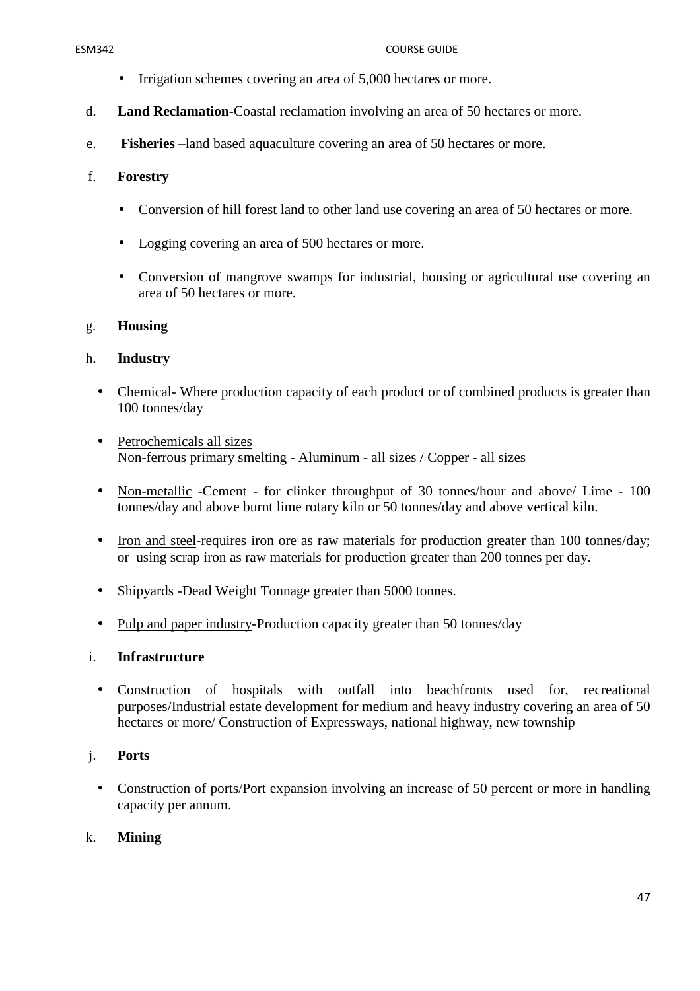#### ESM342 COURSE GUIDE

- Irrigation schemes covering an area of 5,000 hectares or more.
- d. **Land Reclamation-**Coastal reclamation involving an area of 50 hectares or more.
- e. **Fisheries –**land based aquaculture covering an area of 50 hectares or more.

# f. **Forestry**

- Conversion of hill forest land to other land use covering an area of 50 hectares or more.
- Logging covering an area of 500 hectares or more.
- Conversion of mangrove swamps for industrial, housing or agricultural use covering an area of 50 hectares or more.

## g. **Housing**

## h. **Industry**

- Chemical-Where production capacity of each product or of combined products is greater than 100 tonnes/day
- Petrochemicals all sizes Non-ferrous primary smelting - Aluminum - all sizes / Copper - all sizes
- Non-metallic -Cement for clinker throughput of 30 tonnes/hour and above/ Lime 100 tonnes/day and above burnt lime rotary kiln or 50 tonnes/day and above vertical kiln.
- Iron and steel-requires iron ore as raw materials for production greater than 100 tonnes/day; or using scrap iron as raw materials for production greater than 200 tonnes per day.
- Shipyards -Dead Weight Tonnage greater than 5000 tonnes.
- Pulp and paper industry-Production capacity greater than 50 tonnes/day

## i. **Infrastructure**

• Construction of hospitals with outfall into beachfronts used for, recreational purposes/Industrial estate development for medium and heavy industry covering an area of 50 hectares or more/ Construction of Expressways, national highway, new township

# j. **Ports**

• Construction of ports/Port expansion involving an increase of 50 percent or more in handling capacity per annum.

## k. **Mining**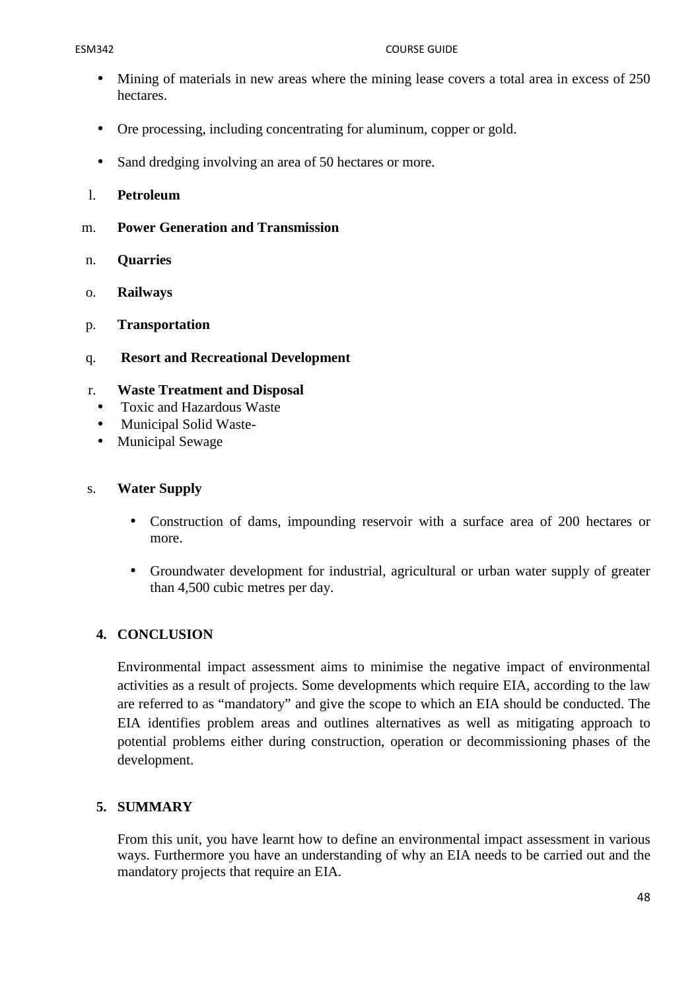#### ESM342 COURSE GUIDE

- Mining of materials in new areas where the mining lease covers a total area in excess of 250 hectares.
- Ore processing, including concentrating for aluminum, copper or gold.
- Sand dredging involving an area of 50 hectares or more.
- l. **Petroleum**
- m. **Power Generation and Transmission**
- n. **Quarries**
- o. **Railways**
- p. **Transportation**
- q. **Resort and Recreational Development**

# r. **Waste Treatment and Disposal**

- Toxic and Hazardous Waste
- Municipal Solid Waste-
- Municipal Sewage

## s. **Water Supply**

- Construction of dams, impounding reservoir with a surface area of 200 hectares or more.
- Groundwater development for industrial, agricultural or urban water supply of greater than 4,500 cubic metres per day.

# **4. CONCLUSION**

Environmental impact assessment aims to minimise the negative impact of environmental activities as a result of projects. Some developments which require EIA, according to the law are referred to as "mandatory" and give the scope to which an EIA should be conducted. The EIA identifies problem areas and outlines alternatives as well as mitigating approach to potential problems either during construction, operation or decommissioning phases of the development.

# **5. SUMMARY**

From this unit, you have learnt how to define an environmental impact assessment in various ways. Furthermore you have an understanding of why an EIA needs to be carried out and the mandatory projects that require an EIA.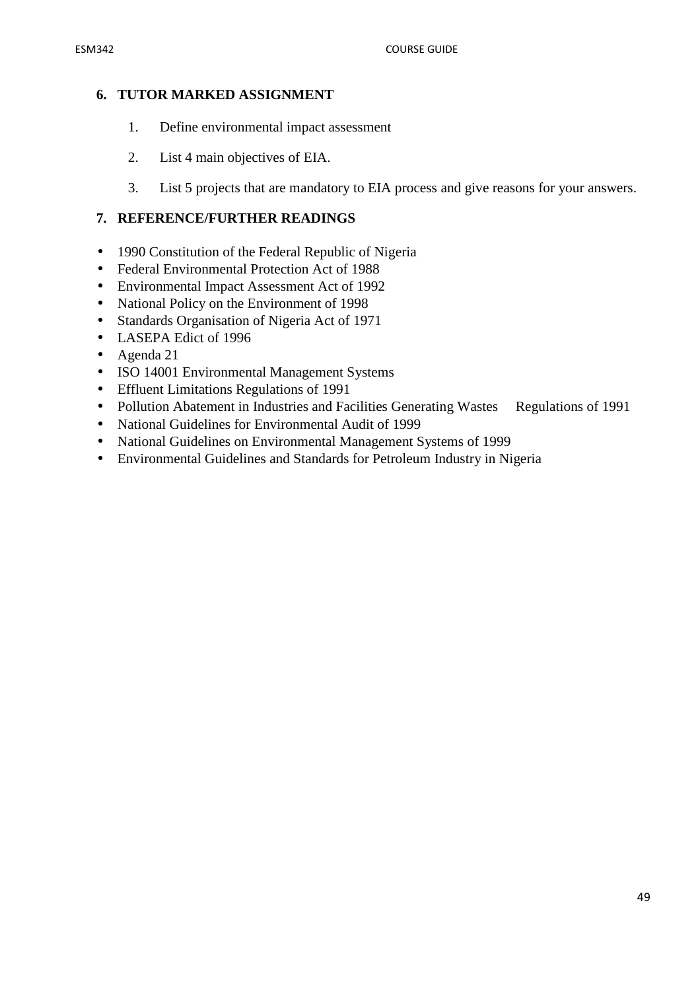# **6. TUTOR MARKED ASSIGNMENT**

- 1. Define environmental impact assessment
- 2. List 4 main objectives of EIA.
- 3. List 5 projects that are mandatory to EIA process and give reasons for your answers.

# **7. REFERENCE/FURTHER READINGS**

- 1990 Constitution of the Federal Republic of Nigeria
- Federal Environmental Protection Act of 1988
- Environmental Impact Assessment Act of 1992
- National Policy on the Environment of 1998
- Standards Organisation of Nigeria Act of 1971
- LASEPA Edict of 1996
- Agenda 21
- ISO 14001 Environmental Management Systems
- Effluent Limitations Regulations of 1991
- Pollution Abatement in Industries and Facilities Generating Wastes Regulations of 1991
- National Guidelines for Environmental Audit of 1999
- National Guidelines on Environmental Management Systems of 1999
- Environmental Guidelines and Standards for Petroleum Industry in Nigeria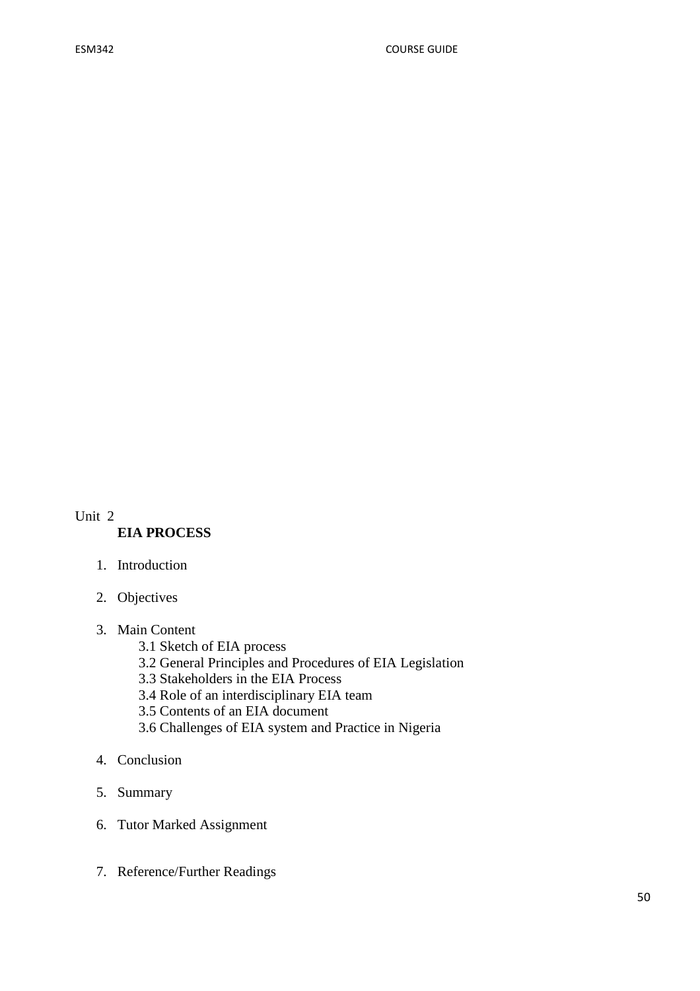#### Unit 2 **EIA PROCESS**

- 1. Introduction
- 2. Objectives
- 3. Main Content
	- 3.1 Sketch of EIA process
	- 3.2 General Principles and Procedures of EIA Legislation
	- 3.3 Stakeholders in the EIA Process
	- 3.4 Role of an interdisciplinary EIA team
	- 3.5 Contents of an EIA document
	- 3.6 Challenges of EIA system and Practice in Nigeria
- 4. Conclusion
- 5. Summary
- 6. Tutor Marked Assignment
- 7. Reference/Further Readings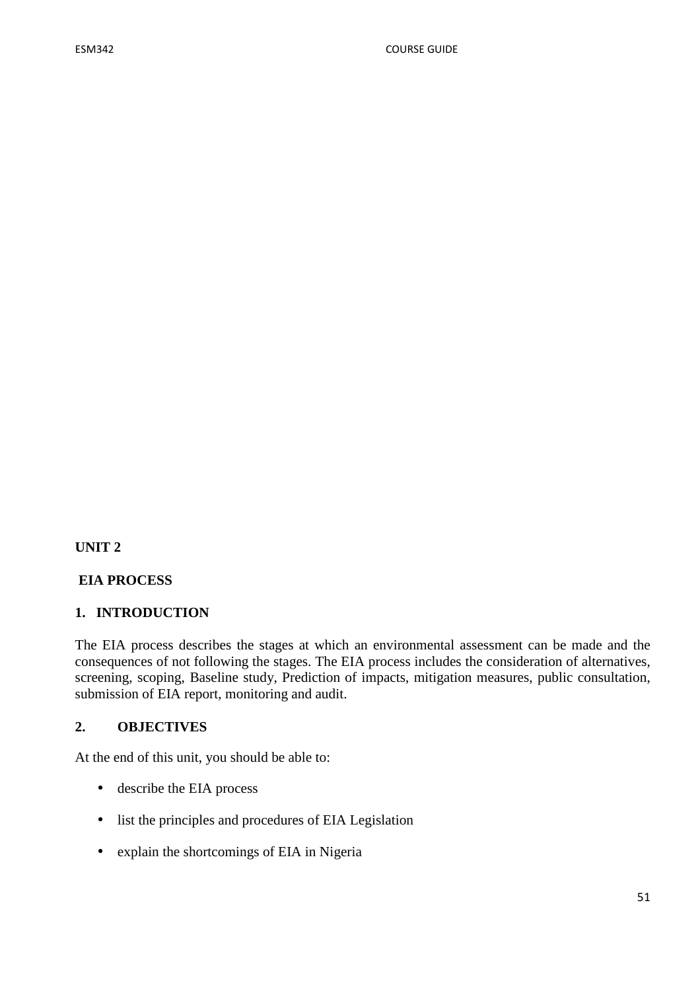**UNIT 2** 

#### **EIA PROCESS**

#### **1. INTRODUCTION**

The EIA process describes the stages at which an environmental assessment can be made and the consequences of not following the stages. The EIA process includes the consideration of alternatives, screening, scoping, Baseline study, Prediction of impacts, mitigation measures, public consultation, submission of EIA report, monitoring and audit.

## **2. OBJECTIVES**

At the end of this unit, you should be able to:

- describe the EIA process
- list the principles and procedures of EIA Legislation
- explain the shortcomings of EIA in Nigeria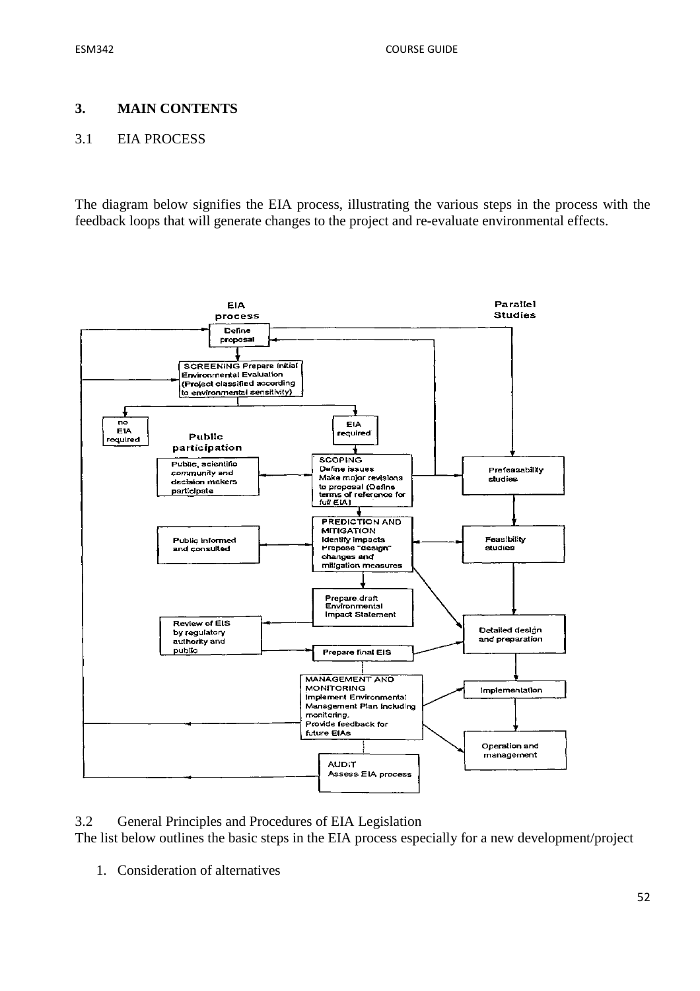#### **3. MAIN CONTENTS**

#### 3.1 EIA PROCESS

The diagram below signifies the EIA process, illustrating the various steps in the process with the feedback loops that will generate changes to the project and re-evaluate environmental effects.



3.2 General Principles and Procedures of EIA Legislation

The list below outlines the basic steps in the EIA process especially for a new development/project

1. Consideration of alternatives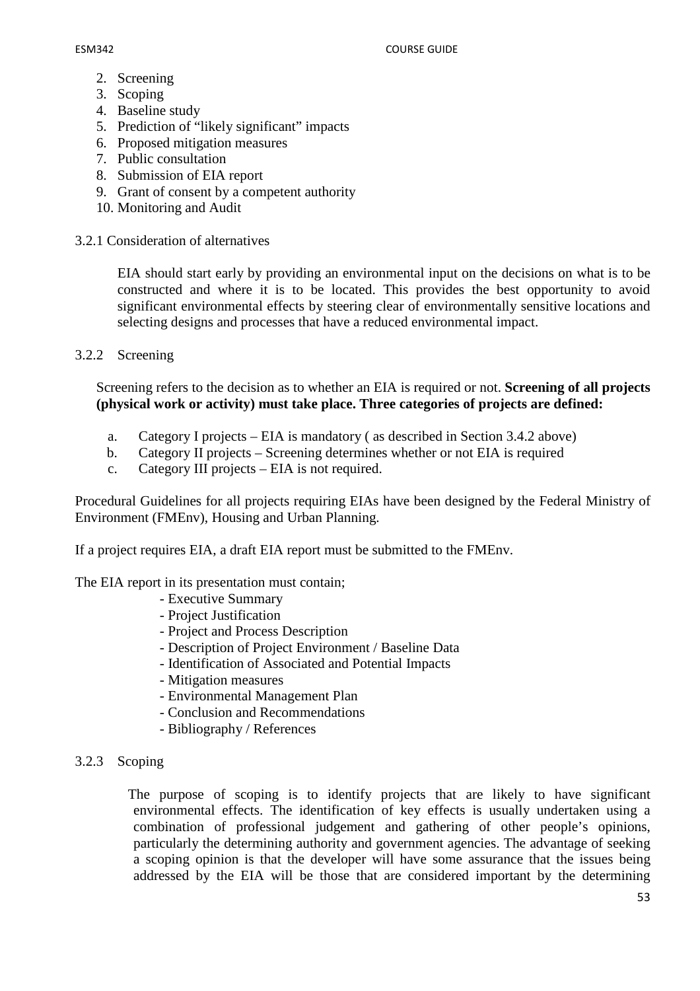- 2. Screening
- 3. Scoping
- 4. Baseline study
- 5. Prediction of "likely significant" impacts
- 6. Proposed mitigation measures
- 7. Public consultation
- 8. Submission of EIA report
- 9. Grant of consent by a competent authority
- 10. Monitoring and Audit
- 3.2.1 Consideration of alternatives

EIA should start early by providing an environmental input on the decisions on what is to be constructed and where it is to be located. This provides the best opportunity to avoid significant environmental effects by steering clear of environmentally sensitive locations and selecting designs and processes that have a reduced environmental impact.

3.2.2 Screening

Screening refers to the decision as to whether an EIA is required or not. **Screening of all projects (physical work or activity) must take place. Three categories of projects are defined:**

- a. Category I projects EIA is mandatory ( as described in Section 3.4.2 above)
- b. Category II projects Screening determines whether or not EIA is required
- c. Category III projects EIA is not required.

Procedural Guidelines for all projects requiring EIAs have been designed by the Federal Ministry of Environment (FMEnv), Housing and Urban Planning.

If a project requires EIA, a draft EIA report must be submitted to the FMEnv.

#### The EIA report in its presentation must contain;

- Executive Summary
- Project Justification
- Project and Process Description
- Description of Project Environment / Baseline Data
- Identification of Associated and Potential Impacts
- Mitigation measures
- Environmental Management Plan
- Conclusion and Recommendations
- Bibliography / References

#### 3.2.3 Scoping

 The purpose of scoping is to identify projects that are likely to have significant environmental effects. The identification of key effects is usually undertaken using a combination of professional judgement and gathering of other people's opinions, particularly the determining authority and government agencies. The advantage of seeking a scoping opinion is that the developer will have some assurance that the issues being addressed by the EIA will be those that are considered important by the determining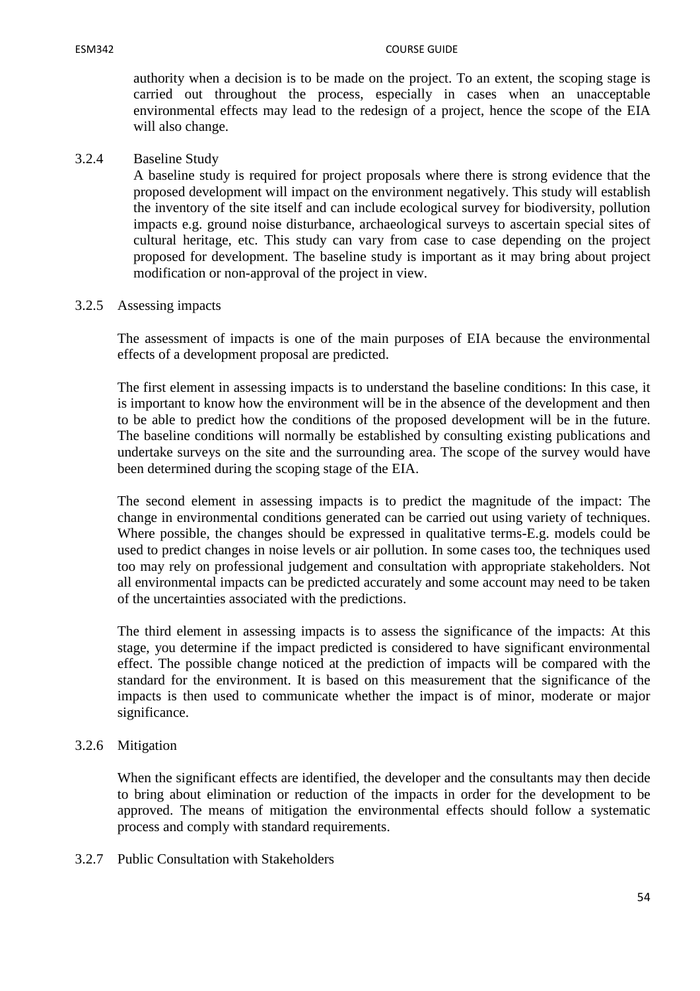authority when a decision is to be made on the project. To an extent, the scoping stage is carried out throughout the process, especially in cases when an unacceptable environmental effects may lead to the redesign of a project, hence the scope of the EIA will also change.

3.2.4 Baseline Study

 A baseline study is required for project proposals where there is strong evidence that the proposed development will impact on the environment negatively. This study will establish the inventory of the site itself and can include ecological survey for biodiversity, pollution impacts e.g. ground noise disturbance, archaeological surveys to ascertain special sites of cultural heritage, etc. This study can vary from case to case depending on the project proposed for development. The baseline study is important as it may bring about project modification or non-approval of the project in view.

#### 3.2.5 Assessing impacts

The assessment of impacts is one of the main purposes of EIA because the environmental effects of a development proposal are predicted.

The first element in assessing impacts is to understand the baseline conditions: In this case, it is important to know how the environment will be in the absence of the development and then to be able to predict how the conditions of the proposed development will be in the future. The baseline conditions will normally be established by consulting existing publications and undertake surveys on the site and the surrounding area. The scope of the survey would have been determined during the scoping stage of the EIA.

The second element in assessing impacts is to predict the magnitude of the impact: The change in environmental conditions generated can be carried out using variety of techniques. Where possible, the changes should be expressed in qualitative terms-E.g. models could be used to predict changes in noise levels or air pollution. In some cases too, the techniques used too may rely on professional judgement and consultation with appropriate stakeholders. Not all environmental impacts can be predicted accurately and some account may need to be taken of the uncertainties associated with the predictions.

The third element in assessing impacts is to assess the significance of the impacts: At this stage, you determine if the impact predicted is considered to have significant environmental effect. The possible change noticed at the prediction of impacts will be compared with the standard for the environment. It is based on this measurement that the significance of the impacts is then used to communicate whether the impact is of minor, moderate or major significance.

#### 3.2.6 Mitigation

When the significant effects are identified, the developer and the consultants may then decide to bring about elimination or reduction of the impacts in order for the development to be approved. The means of mitigation the environmental effects should follow a systematic process and comply with standard requirements.

3.2.7 Public Consultation with Stakeholders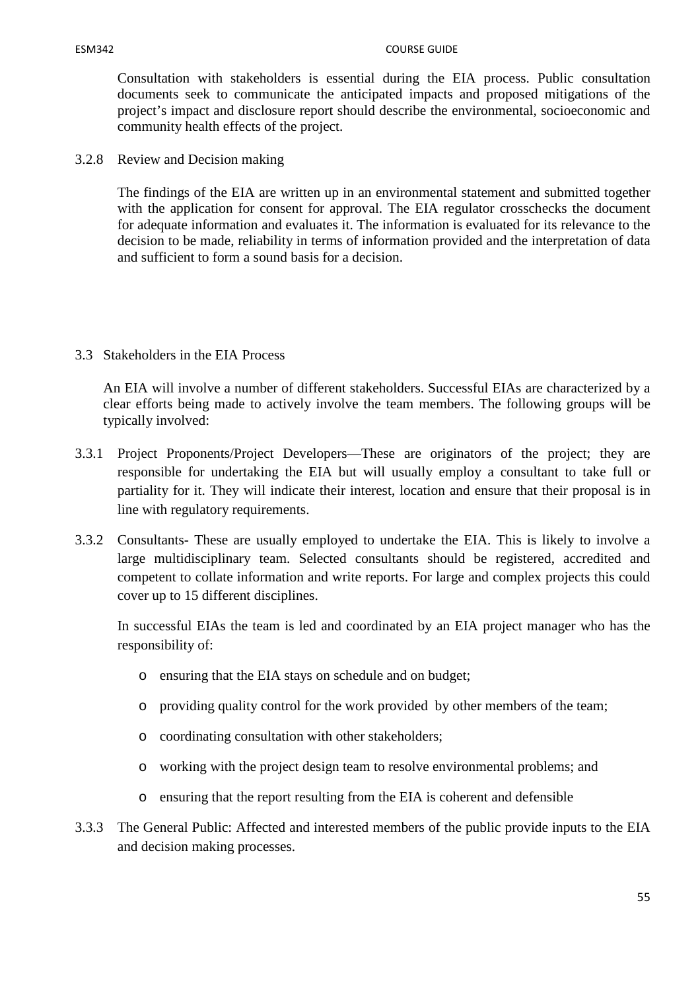Consultation with stakeholders is essential during the EIA process. Public consultation documents seek to communicate the anticipated impacts and proposed mitigations of the project's impact and disclosure report should describe the environmental, socioeconomic and community health effects of the project.

3.2.8 Review and Decision making

The findings of the EIA are written up in an environmental statement and submitted together with the application for consent for approval. The EIA regulator crosschecks the document for adequate information and evaluates it. The information is evaluated for its relevance to the decision to be made, reliability in terms of information provided and the interpretation of data and sufficient to form a sound basis for a decision.

3.3 Stakeholders in the EIA Process

An EIA will involve a number of different stakeholders. Successful EIAs are characterized by a clear efforts being made to actively involve the team members. The following groups will be typically involved:

- 3.3.1 Project Proponents/Project Developers—These are originators of the project; they are responsible for undertaking the EIA but will usually employ a consultant to take full or partiality for it. They will indicate their interest, location and ensure that their proposal is in line with regulatory requirements.
- 3.3.2 Consultants- These are usually employed to undertake the EIA. This is likely to involve a large multidisciplinary team. Selected consultants should be registered, accredited and competent to collate information and write reports. For large and complex projects this could cover up to 15 different disciplines.

In successful EIAs the team is led and coordinated by an EIA project manager who has the responsibility of:

- o ensuring that the EIA stays on schedule and on budget;
- o providing quality control for the work provided by other members of the team;
- o coordinating consultation with other stakeholders;
- o working with the project design team to resolve environmental problems; and
- o ensuring that the report resulting from the EIA is coherent and defensible
- 3.3.3 The General Public: Affected and interested members of the public provide inputs to the EIA and decision making processes.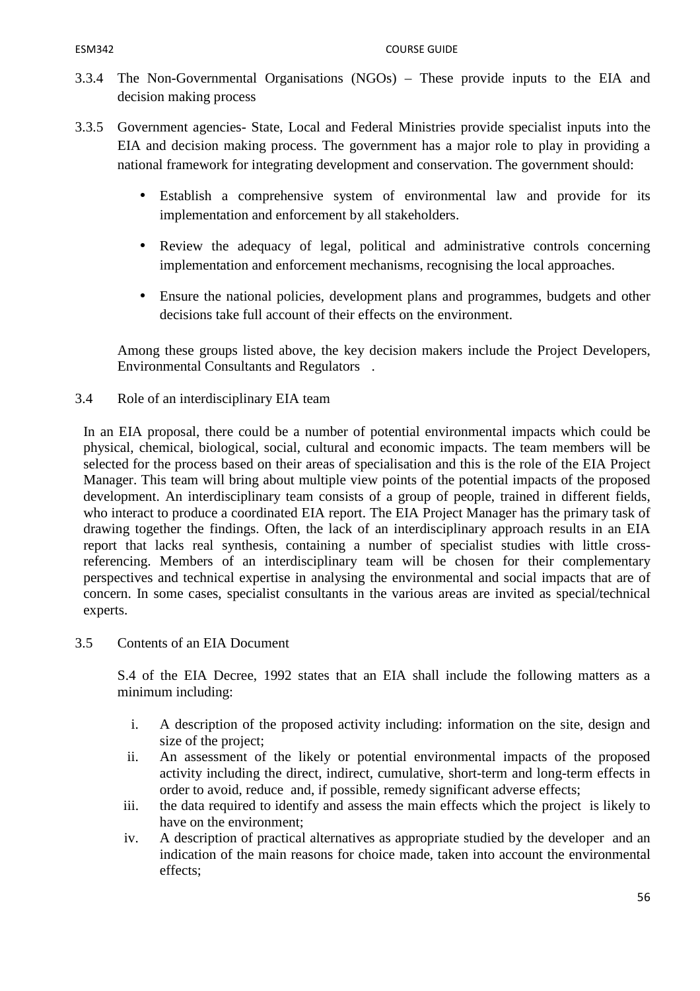- 3.3.4 The Non-Governmental Organisations (NGOs) These provide inputs to the EIA and decision making process
- 3.3.5 Government agencies- State, Local and Federal Ministries provide specialist inputs into the EIA and decision making process. The government has a major role to play in providing a national framework for integrating development and conservation. The government should:
	- Establish a comprehensive system of environmental law and provide for its implementation and enforcement by all stakeholders.
	- Review the adequacy of legal, political and administrative controls concerning implementation and enforcement mechanisms, recognising the local approaches.
	- Ensure the national policies, development plans and programmes, budgets and other decisions take full account of their effects on the environment.

Among these groups listed above, the key decision makers include the Project Developers, Environmental Consultants and Regulators .

3.4 Role of an interdisciplinary EIA team

In an EIA proposal, there could be a number of potential environmental impacts which could be physical, chemical, biological, social, cultural and economic impacts. The team members will be selected for the process based on their areas of specialisation and this is the role of the EIA Project Manager. This team will bring about multiple view points of the potential impacts of the proposed development. An interdisciplinary team consists of a group of people, trained in different fields, who interact to produce a coordinated EIA report. The EIA Project Manager has the primary task of drawing together the findings. Often, the lack of an interdisciplinary approach results in an EIA report that lacks real synthesis, containing a number of specialist studies with little crossreferencing. Members of an interdisciplinary team will be chosen for their complementary perspectives and technical expertise in analysing the environmental and social impacts that are of concern. In some cases, specialist consultants in the various areas are invited as special/technical experts.

3.5 Contents of an EIA Document

S.4 of the EIA Decree, 1992 states that an EIA shall include the following matters as a minimum including:

- i. A description of the proposed activity including: information on the site, design and size of the project;
- ii. An assessment of the likely or potential environmental impacts of the proposed activity including the direct, indirect, cumulative, short-term and long-term effects in order to avoid, reduce and, if possible, remedy significant adverse effects;
- iii. the data required to identify and assess the main effects which the project is likely to have on the environment;
- iv. A description of practical alternatives as appropriate studied by the developer and an indication of the main reasons for choice made, taken into account the environmental effects;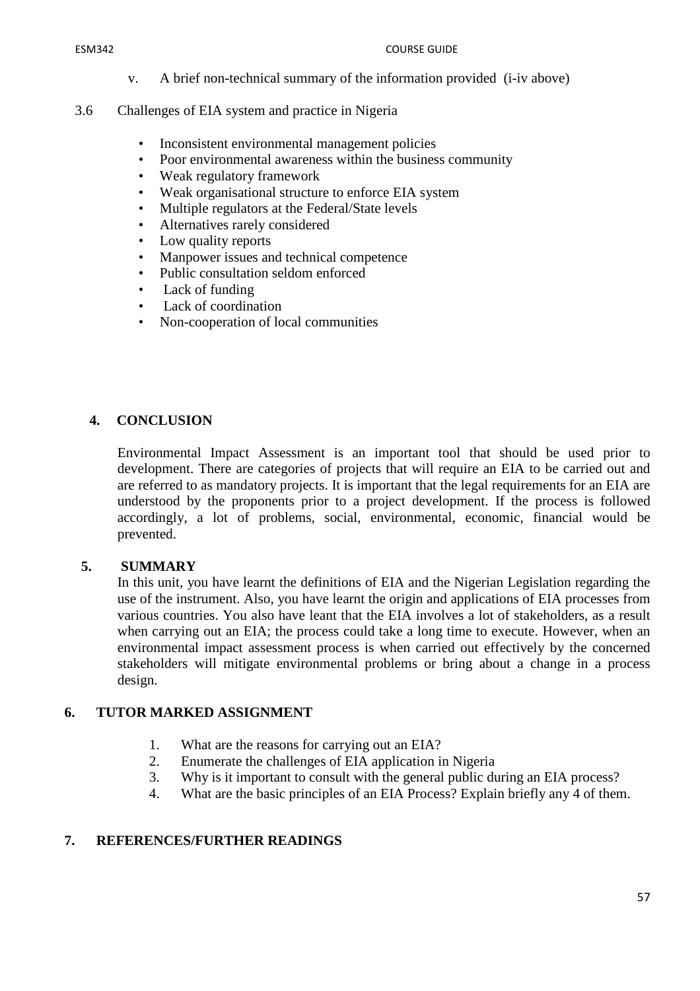- v. A brief non-technical summary of the information provided (i-iv above)
- 3.6 Challenges of EIA system and practice in Nigeria
	- Inconsistent environmental management policies
	- Poor environmental awareness within the business community
	- Weak regulatory framework
	- Weak organisational structure to enforce EIA system
	- Multiple regulators at the Federal/State levels
	- Alternatives rarely considered
	- Low quality reports
	- Manpower issues and technical competence
	- Public consultation seldom enforced
	- Lack of funding
	- Lack of coordination
	- Non-cooperation of local communities

# **4. CONCLUSION**

Environmental Impact Assessment is an important tool that should be used prior to development. There are categories of projects that will require an EIA to be carried out and are referred to as mandatory projects. It is important that the legal requirements for an EIA are understood by the proponents prior to a project development. If the process is followed accordingly, a lot of problems, social, environmental, economic, financial would be prevented.

## **5. SUMMARY**

In this unit, you have learnt the definitions of EIA and the Nigerian Legislation regarding the use of the instrument. Also, you have learnt the origin and applications of EIA processes from various countries. You also have leant that the EIA involves a lot of stakeholders, as a result when carrying out an EIA; the process could take a long time to execute. However, when an environmental impact assessment process is when carried out effectively by the concerned stakeholders will mitigate environmental problems or bring about a change in a process design.

# **6. TUTOR MARKED ASSIGNMENT**

- 1. What are the reasons for carrying out an EIA?
- 2. Enumerate the challenges of EIA application in Nigeria
- 3. Why is it important to consult with the general public during an EIA process?
- 4. What are the basic principles of an EIA Process? Explain briefly any 4 of them.

## **7. REFERENCES/FURTHER READINGS**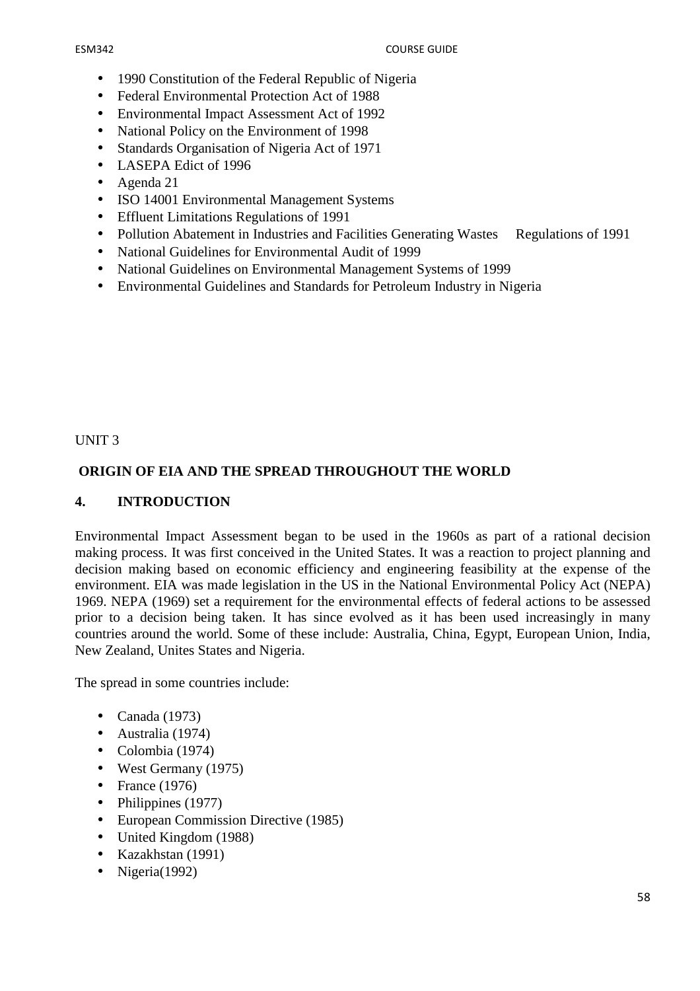- 1990 Constitution of the Federal Republic of Nigeria
- Federal Environmental Protection Act of 1988
- Environmental Impact Assessment Act of 1992
- National Policy on the Environment of 1998
- Standards Organisation of Nigeria Act of 1971
- LASEPA Edict of 1996
- Agenda 21
- ISO 14001 Environmental Management Systems
- Effluent Limitations Regulations of 1991
- Pollution Abatement in Industries and Facilities Generating Wastes Regulations of 1991
- National Guidelines for Environmental Audit of 1999
- National Guidelines on Environmental Management Systems of 1999
- Environmental Guidelines and Standards for Petroleum Industry in Nigeria

## UNIT 3

# **ORIGIN OF EIA AND THE SPREAD THROUGHOUT THE WORLD**

## **4. INTRODUCTION**

Environmental Impact Assessment began to be used in the 1960s as part of a rational decision making process. It was first conceived in the United States. It was a reaction to project planning and decision making based on economic efficiency and engineering feasibility at the expense of the environment. EIA was made legislation in the US in the National Environmental Policy Act (NEPA) 1969. NEPA (1969) set a requirement for the environmental effects of federal actions to be assessed prior to a decision being taken. It has since evolved as it has been used increasingly in many countries around the world. Some of these include: Australia, China, Egypt, European Union, India, New Zealand, Unites States and Nigeria.

The spread in some countries include:

- Canada (1973)
- Australia (1974)
- Colombia (1974)
- West Germany (1975)
- France (1976)
- Philippines (1977)
- European Commission Directive (1985)
- United Kingdom (1988)
- Kazakhstan (1991)
- Nigeria(1992)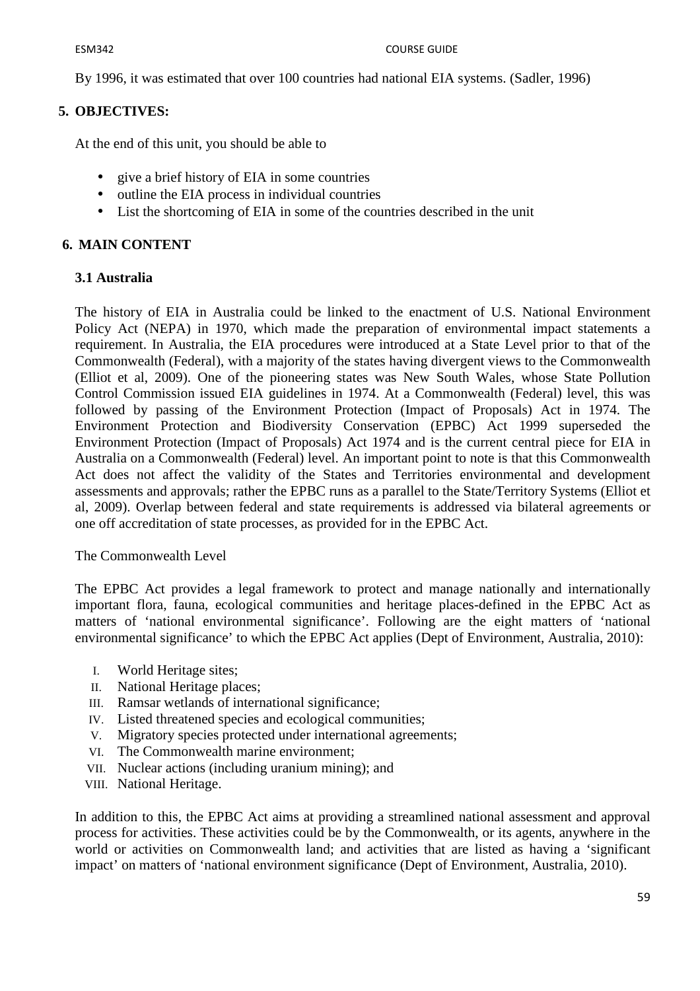By 1996, it was estimated that over 100 countries had national EIA systems. (Sadler, 1996)

## **5. OBJECTIVES:**

At the end of this unit, you should be able to

- give a brief history of EIA in some countries
- outline the EIA process in individual countries
- List the shortcoming of EIA in some of the countries described in the unit

## **6. MAIN CONTENT**

## **3.1 Australia**

The history of EIA in Australia could be linked to the enactment of U.S. National Environment Policy Act (NEPA) in 1970, which made the preparation of environmental impact statements a requirement. In Australia, the EIA procedures were introduced at a State Level prior to that of the Commonwealth (Federal), with a majority of the states having divergent views to the Commonwealth (Elliot et al, 2009). One of the pioneering states was New South Wales, whose State Pollution Control Commission issued EIA guidelines in 1974. At a Commonwealth (Federal) level, this was followed by passing of the Environment Protection (Impact of Proposals) Act in 1974. The Environment Protection and Biodiversity Conservation (EPBC) Act 1999 superseded the Environment Protection (Impact of Proposals) Act 1974 and is the current central piece for EIA in Australia on a Commonwealth (Federal) level. An important point to note is that this Commonwealth Act does not affect the validity of the States and Territories environmental and development assessments and approvals; rather the EPBC runs as a parallel to the State/Territory Systems (Elliot et al, 2009). Overlap between federal and state requirements is addressed via bilateral agreements or one off accreditation of state processes, as provided for in the EPBC Act.

The Commonwealth Level

The EPBC Act provides a legal framework to protect and manage nationally and internationally important flora, fauna, ecological communities and heritage places-defined in the EPBC Act as matters of 'national environmental significance'. Following are the eight matters of 'national environmental significance' to which the EPBC Act applies (Dept of Environment, Australia, 2010):

- I. World Heritage sites;
- II. National Heritage places;
- III. Ramsar wetlands of international significance;
- IV. Listed threatened species and ecological communities;
- V. Migratory species protected under international agreements;
- VI. The Commonwealth marine environment;
- VII. Nuclear actions (including uranium mining); and
- VIII. National Heritage.

In addition to this, the EPBC Act aims at providing a streamlined national assessment and approval process for activities. These activities could be by the Commonwealth, or its agents, anywhere in the world or activities on Commonwealth land; and activities that are listed as having a 'significant impact' on matters of 'national environment significance (Dept of Environment, Australia, 2010).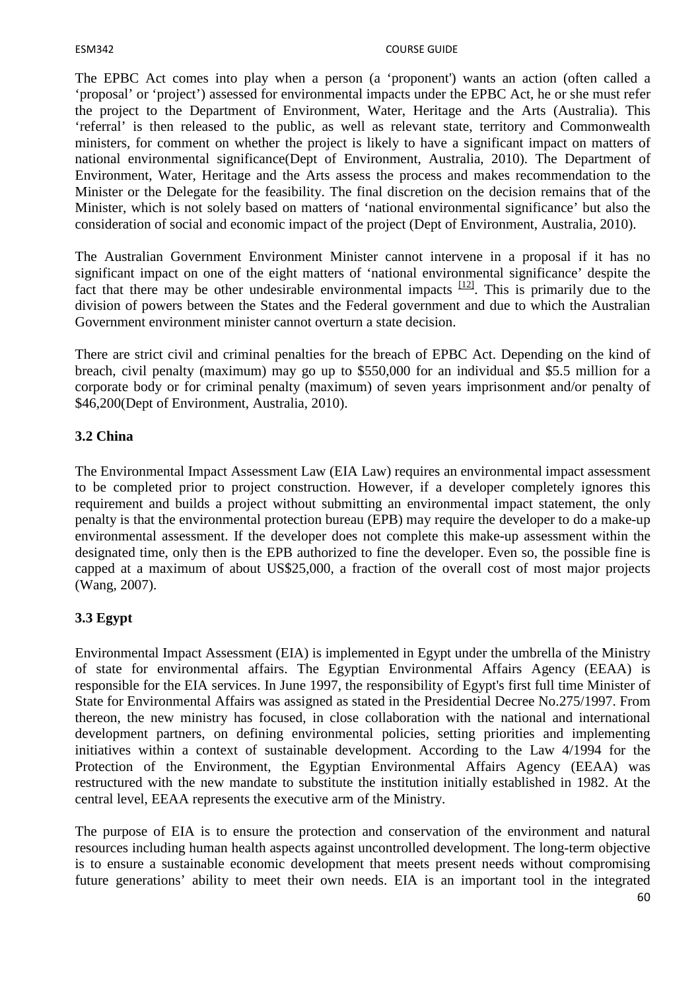The EPBC Act comes into play when a person (a 'proponent') wants an action (often called a 'proposal' or 'project') assessed for environmental impacts under the EPBC Act, he or she must refer the project to the Department of Environment, Water, Heritage and the Arts (Australia). This 'referral' is then released to the public, as well as relevant state, territory and Commonwealth ministers, for comment on whether the project is likely to have a significant impact on matters of national environmental significance(Dept of Environment, Australia, 2010). The Department of Environment, Water, Heritage and the Arts assess the process and makes recommendation to the Minister or the Delegate for the feasibility. The final discretion on the decision remains that of the Minister, which is not solely based on matters of 'national environmental significance' but also the consideration of social and economic impact of the project (Dept of Environment, Australia, 2010).

The Australian Government Environment Minister cannot intervene in a proposal if it has no significant impact on one of the eight matters of 'national environmental significance' despite the fact that there may be other undesirable environmental impacts  $[12]$ . This is primarily due to the division of powers between the States and the Federal government and due to which the Australian Government environment minister cannot overturn a state decision.

There are strict civil and criminal penalties for the breach of EPBC Act. Depending on the kind of breach, civil penalty (maximum) may go up to \$550,000 for an individual and \$5.5 million for a corporate body or for criminal penalty (maximum) of seven years imprisonment and/or penalty of \$46,200(Dept of Environment, Australia, 2010).

## **3.2 China**

The Environmental Impact Assessment Law (EIA Law) requires an environmental impact assessment to be completed prior to project construction. However, if a developer completely ignores this requirement and builds a project without submitting an environmental impact statement, the only penalty is that the environmental protection bureau (EPB) may require the developer to do a make-up environmental assessment. If the developer does not complete this make-up assessment within the designated time, only then is the EPB authorized to fine the developer. Even so, the possible fine is capped at a maximum of about US\$25,000, a fraction of the overall cost of most major projects (Wang, 2007).

# **3.3 Egypt**

Environmental Impact Assessment (EIA) is implemented in Egypt under the umbrella of the Ministry of state for environmental affairs. The Egyptian Environmental Affairs Agency (EEAA) is responsible for the EIA services. In June 1997, the responsibility of Egypt's first full time Minister of State for Environmental Affairs was assigned as stated in the Presidential Decree No.275/1997. From thereon, the new ministry has focused, in close collaboration with the national and international development partners, on defining environmental policies, setting priorities and implementing initiatives within a context of sustainable development. According to the Law 4/1994 for the Protection of the Environment, the Egyptian Environmental Affairs Agency (EEAA) was restructured with the new mandate to substitute the institution initially established in 1982. At the central level, EEAA represents the executive arm of the Ministry.

The purpose of EIA is to ensure the protection and conservation of the environment and natural resources including human health aspects against uncontrolled development. The long-term objective is to ensure a sustainable economic development that meets present needs without compromising future generations' ability to meet their own needs. EIA is an important tool in the integrated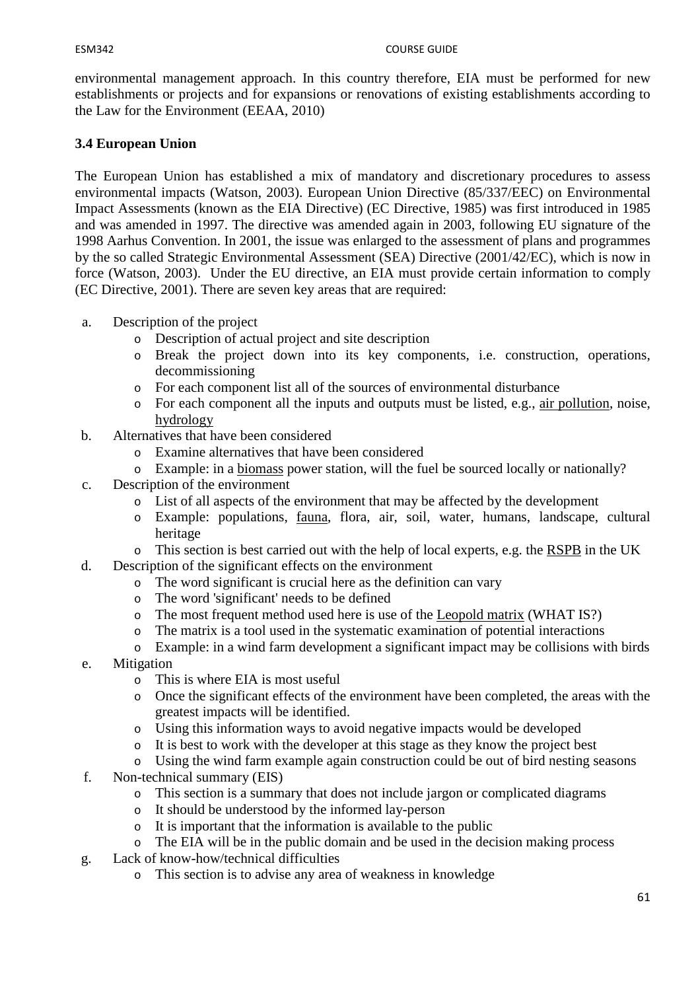environmental management approach. In this country therefore, EIA must be performed for new establishments or projects and for expansions or renovations of existing establishments according to the Law for the Environment (EEAA, 2010)

# **3.4 European Union**

The European Union has established a mix of mandatory and discretionary procedures to assess environmental impacts (Watson, 2003). European Union Directive (85/337/EEC) on Environmental Impact Assessments (known as the EIA Directive) (EC Directive, 1985) was first introduced in 1985 and was amended in 1997. The directive was amended again in 2003, following EU signature of the 1998 Aarhus Convention. In 2001, the issue was enlarged to the assessment of plans and programmes by the so called Strategic Environmental Assessment (SEA) Directive (2001/42/EC), which is now in force (Watson, 2003). Under the EU directive, an EIA must provide certain information to comply (EC Directive, 2001). There are seven key areas that are required:

- a. Description of the project
	- o Description of actual project and site description
	- o Break the project down into its key components, i.e. construction, operations, decommissioning
	- o For each component list all of the sources of environmental disturbance
	- o For each component all the inputs and outputs must be listed, e.g., air pollution, noise, hydrology
- b. Alternatives that have been considered
	- o Examine alternatives that have been considered
	- o Example: in a biomass power station, will the fuel be sourced locally or nationally?
- c. Description of the environment
	- o List of all aspects of the environment that may be affected by the development
	- o Example: populations, fauna, flora, air, soil, water, humans, landscape, cultural heritage
	- o This section is best carried out with the help of local experts, e.g. the RSPB in the UK
- d. Description of the significant effects on the environment
	- o The word significant is crucial here as the definition can vary
	- o The word 'significant' needs to be defined
	- o The most frequent method used here is use of the Leopold matrix (WHAT IS?)
	- o The matrix is a tool used in the systematic examination of potential interactions
	- o Example: in a wind farm development a significant impact may be collisions with birds
- e. Mitigation
	- o This is where EIA is most useful
	- o Once the significant effects of the environment have been completed, the areas with the greatest impacts will be identified.
	- o Using this information ways to avoid negative impacts would be developed
	- o It is best to work with the developer at this stage as they know the project best
	- o Using the wind farm example again construction could be out of bird nesting seasons
- f. Non-technical summary (EIS)
	- o This section is a summary that does not include jargon or complicated diagrams
	- o It should be understood by the informed lay-person
	- o It is important that the information is available to the public
	- o The EIA will be in the public domain and be used in the decision making process
- g. Lack of know-how/technical difficulties
	- o This section is to advise any area of weakness in knowledge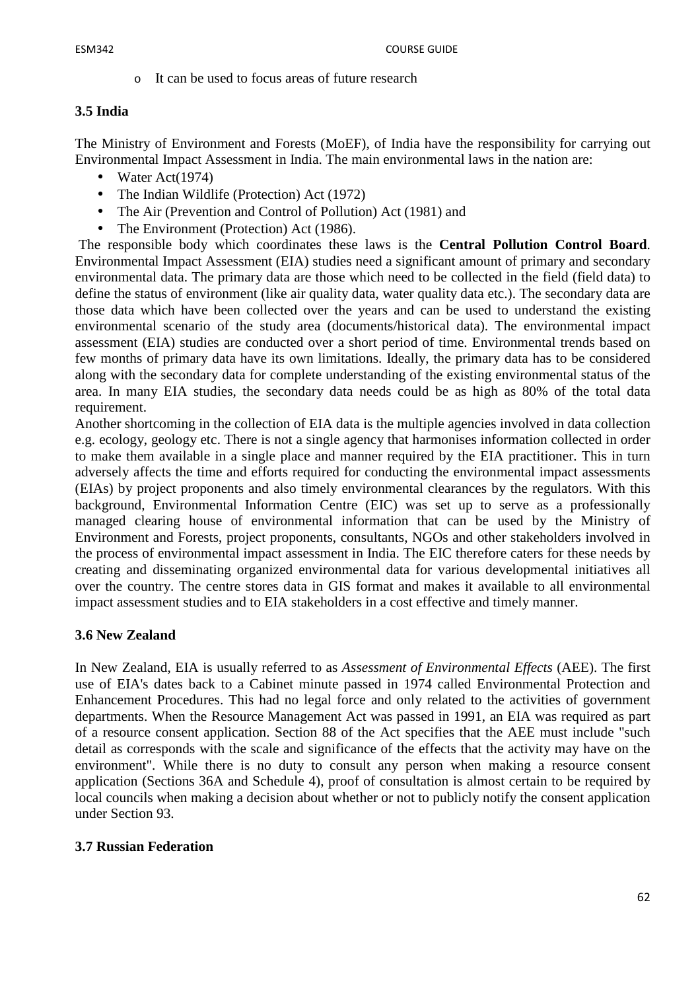o It can be used to focus areas of future research

## **3.5 India**

The Ministry of Environment and Forests (MoEF), of India have the responsibility for carrying out Environmental Impact Assessment in India. The main environmental laws in the nation are:

- Water  $Act(1974)$
- The Indian Wildlife (Protection) Act (1972)
- The Air (Prevention and Control of Pollution) Act (1981) and
- The Environment (Protection) Act (1986).

 The responsible body which coordinates these laws is the **Central Pollution Control Board**. Environmental Impact Assessment (EIA) studies need a significant amount of primary and secondary environmental data. The primary data are those which need to be collected in the field (field data) to define the status of environment (like air quality data, water quality data etc.). The secondary data are those data which have been collected over the years and can be used to understand the existing environmental scenario of the study area (documents/historical data). The environmental impact assessment (EIA) studies are conducted over a short period of time. Environmental trends based on few months of primary data have its own limitations. Ideally, the primary data has to be considered along with the secondary data for complete understanding of the existing environmental status of the area. In many EIA studies, the secondary data needs could be as high as 80% of the total data requirement.

Another shortcoming in the collection of EIA data is the multiple agencies involved in data collection e.g. ecology, geology etc. There is not a single agency that harmonises information collected in order to make them available in a single place and manner required by the EIA practitioner. This in turn adversely affects the time and efforts required for conducting the environmental impact assessments (EIAs) by project proponents and also timely environmental clearances by the regulators. With this background, Environmental Information Centre (EIC) was set up to serve as a professionally managed clearing house of environmental information that can be used by the Ministry of Environment and Forests, project proponents, consultants, NGOs and other stakeholders involved in the process of environmental impact assessment in India. The EIC therefore caters for these needs by creating and disseminating organized environmental data for various developmental initiatives all over the country. The centre stores data in GIS format and makes it available to all environmental impact assessment studies and to EIA stakeholders in a cost effective and timely manner.

#### **3.6 New Zealand**

In New Zealand, EIA is usually referred to as *Assessment of Environmental Effects* (AEE). The first use of EIA's dates back to a Cabinet minute passed in 1974 called Environmental Protection and Enhancement Procedures. This had no legal force and only related to the activities of government departments. When the Resource Management Act was passed in 1991, an EIA was required as part of a resource consent application. Section 88 of the Act specifies that the AEE must include "such detail as corresponds with the scale and significance of the effects that the activity may have on the environment". While there is no duty to consult any person when making a resource consent application (Sections 36A and Schedule 4), proof of consultation is almost certain to be required by local councils when making a decision about whether or not to publicly notify the consent application under Section 93.

#### **3.7 Russian Federation**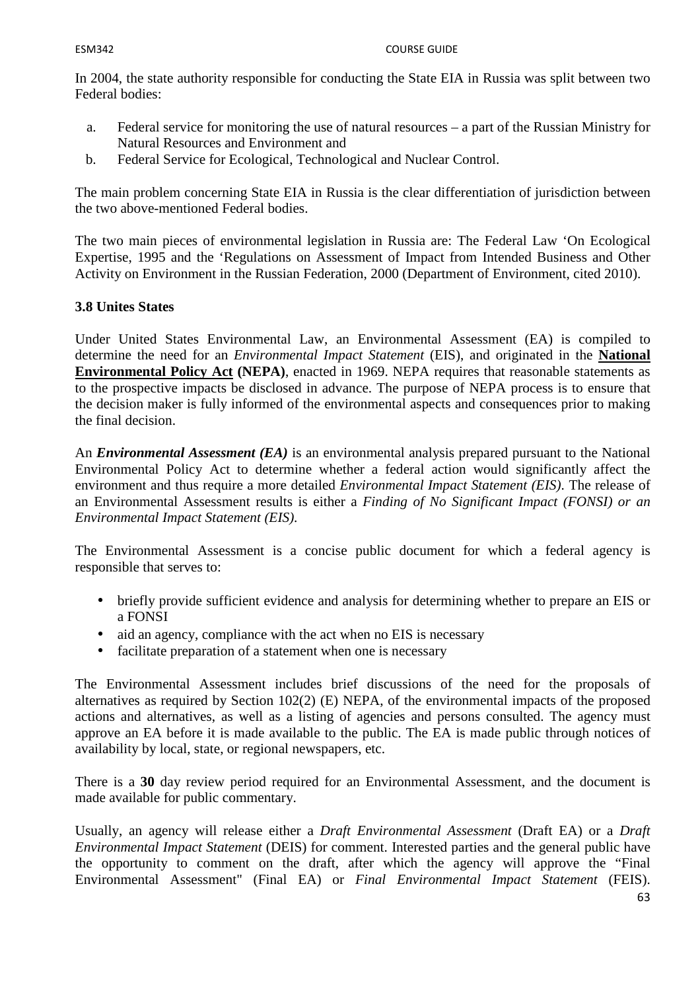In 2004, the state authority responsible for conducting the State EIA in Russia was split between two Federal bodies:

- a. Federal service for monitoring the use of natural resources a part of the Russian Ministry for Natural Resources and Environment and
- b. Federal Service for Ecological, Technological and Nuclear Control.

The main problem concerning State EIA in Russia is the clear differentiation of jurisdiction between the two above-mentioned Federal bodies.

The two main pieces of environmental legislation in Russia are: The Federal Law 'On Ecological Expertise, 1995 and the 'Regulations on Assessment of Impact from Intended Business and Other Activity on Environment in the Russian Federation, 2000 (Department of Environment, cited 2010).

## **3.8 Unites States**

Under United States Environmental Law, an Environmental Assessment (EA) is compiled to determine the need for an *Environmental Impact Statement* (EIS), and originated in the **National Environmental Policy Act (NEPA)**, enacted in 1969. NEPA requires that reasonable statements as to the prospective impacts be disclosed in advance. The purpose of NEPA process is to ensure that the decision maker is fully informed of the environmental aspects and consequences prior to making the final decision.

An *Environmental Assessment (EA)* is an environmental analysis prepared pursuant to the National Environmental Policy Act to determine whether a federal action would significantly affect the environment and thus require a more detailed *Environmental Impact Statement (EIS)*. The release of an Environmental Assessment results is either a *Finding of No Significant Impact (FONSI) or an Environmental Impact Statement (EIS).* 

The Environmental Assessment is a concise public document for which a federal agency is responsible that serves to:

- briefly provide sufficient evidence and analysis for determining whether to prepare an EIS or a FONSI
- aid an agency, compliance with the act when no EIS is necessary
- facilitate preparation of a statement when one is necessary

The Environmental Assessment includes brief discussions of the need for the proposals of alternatives as required by Section 102(2) (E) NEPA, of the environmental impacts of the proposed actions and alternatives, as well as a listing of agencies and persons consulted. The agency must approve an EA before it is made available to the public. The EA is made public through notices of availability by local, state, or regional newspapers, etc.

There is a **30** day review period required for an Environmental Assessment, and the document is made available for public commentary.

Usually, an agency will release either a *Draft Environmental Assessment* (Draft EA) or a *Draft Environmental Impact Statement* (DEIS) for comment. Interested parties and the general public have the opportunity to comment on the draft, after which the agency will approve the "Final Environmental Assessment" (Final EA) or *Final Environmental Impact Statement* (FEIS).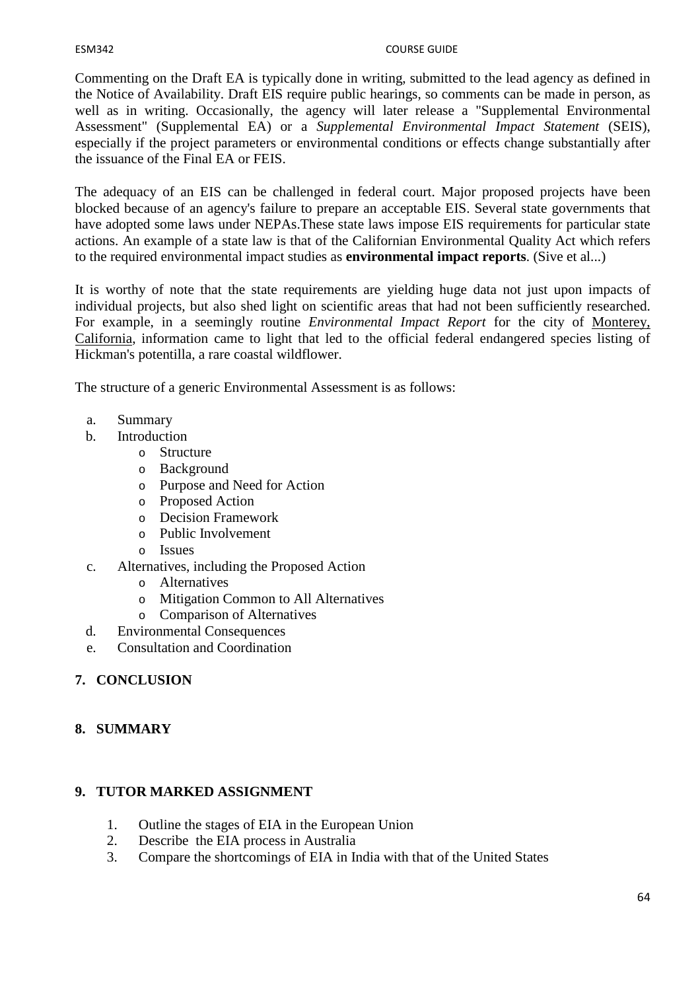#### ESM342 COURSE GUIDE

Commenting on the Draft EA is typically done in writing, submitted to the lead agency as defined in the Notice of Availability. Draft EIS require public hearings, so comments can be made in person, as well as in writing. Occasionally, the agency will later release a "Supplemental Environmental Assessment" (Supplemental EA) or a *Supplemental Environmental Impact Statement* (SEIS), especially if the project parameters or environmental conditions or effects change substantially after the issuance of the Final EA or FEIS.

The adequacy of an EIS can be challenged in federal court. Major proposed projects have been blocked because of an agency's failure to prepare an acceptable EIS. Several state governments that have adopted some laws under NEPAs.These state laws impose EIS requirements for particular state actions. An example of a state law is that of the Californian Environmental Quality Act which refers to the required environmental impact studies as **environmental impact reports**. (Sive et al...)

It is worthy of note that the state requirements are yielding huge data not just upon impacts of individual projects, but also shed light on scientific areas that had not been sufficiently researched. For example, in a seemingly routine *Environmental Impact Report* for the city of Monterey, California, information came to light that led to the official federal endangered species listing of Hickman's potentilla, a rare coastal wildflower.

The structure of a generic Environmental Assessment is as follows:

- a. Summary
- b. Introduction
	- o Structure
	- o Background
	- o Purpose and Need for Action
	- o Proposed Action
	- o Decision Framework
	- o Public Involvement
	- o Issues
- c. Alternatives, including the Proposed Action
	- o Alternatives
	- o Mitigation Common to All Alternatives
	- o Comparison of Alternatives
- d. Environmental Consequences
- e. Consultation and Coordination

# **7. CONCLUSION**

## **8. SUMMARY**

## **9. TUTOR MARKED ASSIGNMENT**

- 1. Outline the stages of EIA in the European Union
- 2. Describe the EIA process in Australia
- 3. Compare the shortcomings of EIA in India with that of the United States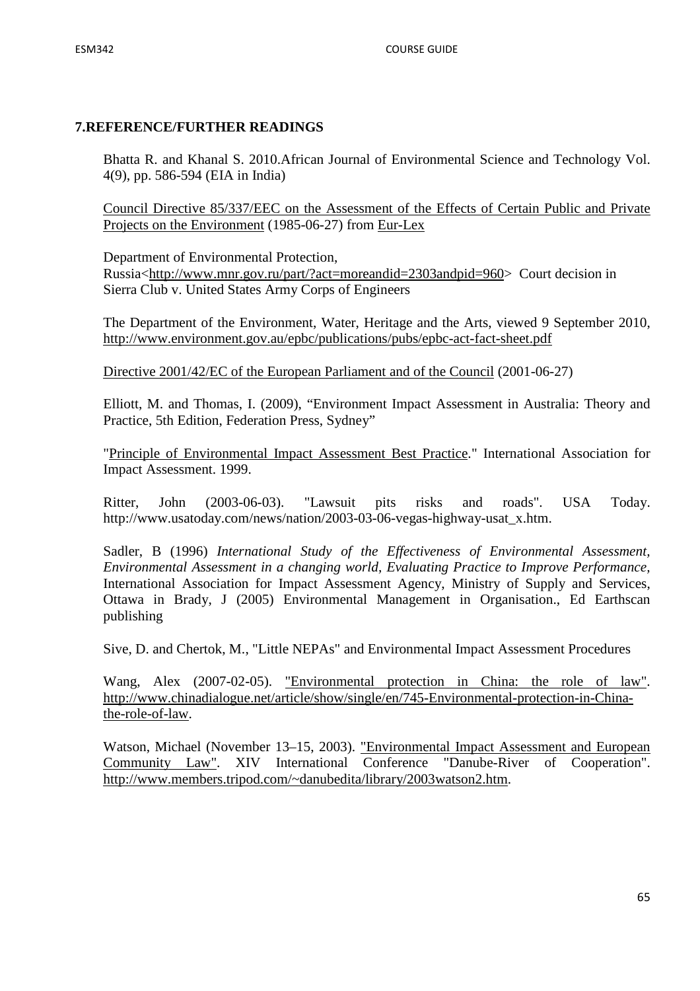## **7.REFERENCE/FURTHER READINGS**

Bhatta R. and Khanal S. 2010.African Journal of Environmental Science and Technology Vol. 4(9), pp. 586-594 (EIA in India)

Council Directive 85/337/EEC on the Assessment of the Effects of Certain Public and Private Projects on the Environment (1985-06-27) from Eur-Lex

Department of Environmental Protection, Russia<http://www.mnr.gov.ru/part/?act=moreandid=2303andpid=960> Court decision in Sierra Club v. United States Army Corps of Engineers

The Department of the Environment, Water, Heritage and the Arts, viewed 9 September 2010, http://www.environment.gov.au/epbc/publications/pubs/epbc-act-fact-sheet.pdf

Directive 2001/42/EC of the European Parliament and of the Council (2001-06-27)

Elliott, M. and Thomas, I. (2009), "Environment Impact Assessment in Australia: Theory and Practice, 5th Edition, Federation Press, Sydney"

"Principle of Environmental Impact Assessment Best Practice." International Association for Impact Assessment. 1999.

Ritter, John (2003-06-03). "Lawsuit pits risks and roads". USA Today. http://www.usatoday.com/news/nation/2003-03-06-vegas-highway-usat\_x.htm.

Sadler, B (1996) *International Study of the Effectiveness of Environmental Assessment, Environmental Assessment in a changing world, Evaluating Practice to Improve Performance,*  International Association for Impact Assessment Agency, Ministry of Supply and Services, Ottawa in Brady, J (2005) Environmental Management in Organisation., Ed Earthscan publishing

Sive, D. and Chertok, M., "Little NEPAs" and Environmental Impact Assessment Procedures

Wang, Alex (2007-02-05). <u>"Environmental protection in China: the role of law"</u>. http://www.chinadialogue.net/article/show/single/en/745-Environmental-protection-in-Chinathe-role-of-law.

Watson, Michael (November 13–15, 2003). "Environmental Impact Assessment and European Community Law". XIV International Conference "Danube-River of Cooperation". http://www.members.tripod.com/~danubedita/library/2003watson2.htm.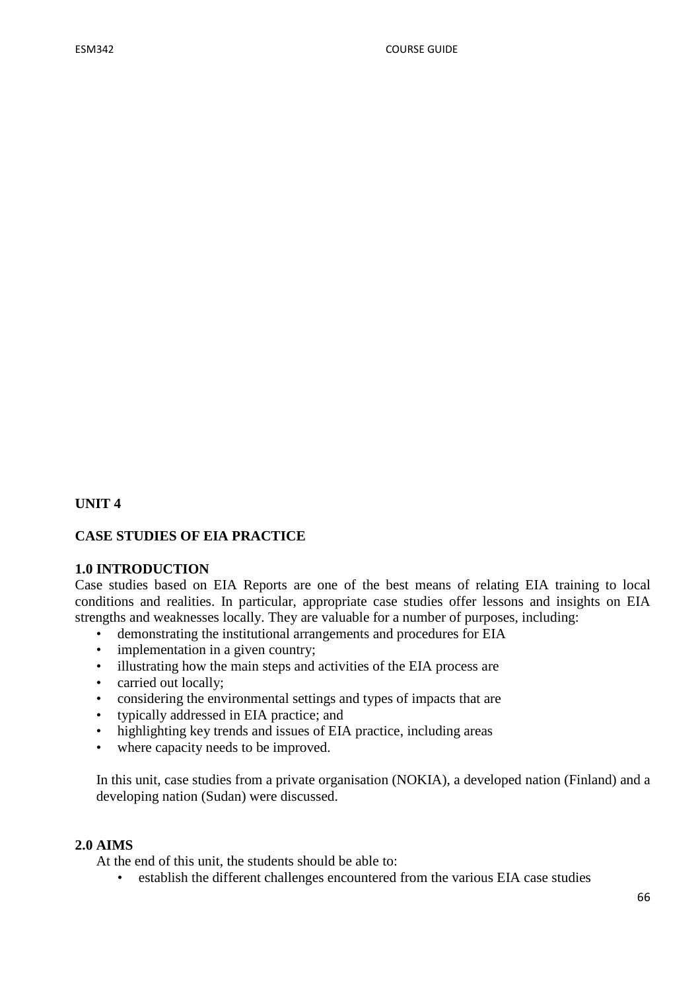# **UNIT 4**

#### **CASE STUDIES OF EIA PRACTICE**

#### **1.0 INTRODUCTION**

Case studies based on EIA Reports are one of the best means of relating EIA training to local conditions and realities. In particular, appropriate case studies offer lessons and insights on EIA strengths and weaknesses locally. They are valuable for a number of purposes, including:

- demonstrating the institutional arrangements and procedures for EIA
- implementation in a given country;
- illustrating how the main steps and activities of the EIA process are
- carried out locally;
- considering the environmental settings and types of impacts that are
- typically addressed in EIA practice; and
- highlighting key trends and issues of EIA practice, including areas
- where capacity needs to be improved.

In this unit, case studies from a private organisation (NOKIA), a developed nation (Finland) and a developing nation (Sudan) were discussed.

#### **2.0 AIMS**

At the end of this unit, the students should be able to:

• establish the different challenges encountered from the various EIA case studies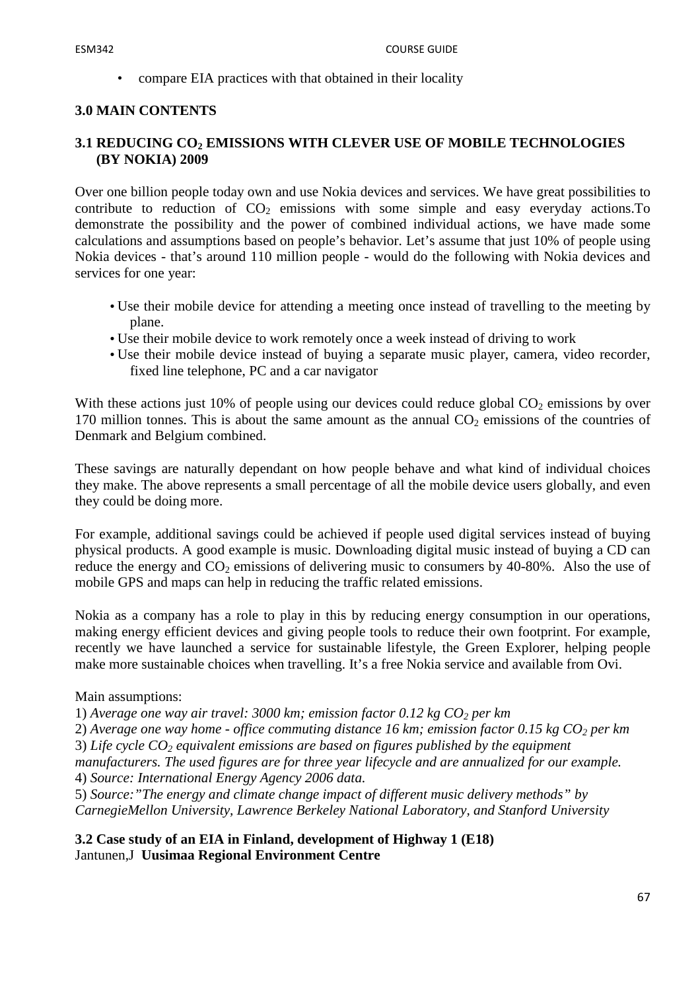• compare EIA practices with that obtained in their locality

## **3.0 MAIN CONTENTS**

## **3.1 REDUCING CO2 EMISSIONS WITH CLEVER USE OF MOBILE TECHNOLOGIES (BY NOKIA) 2009**

Over one billion people today own and use Nokia devices and services. We have great possibilities to contribute to reduction of  $CO<sub>2</sub>$  emissions with some simple and easy everyday actions. To demonstrate the possibility and the power of combined individual actions, we have made some calculations and assumptions based on people's behavior. Let's assume that just 10% of people using Nokia devices - that's around 110 million people - would do the following with Nokia devices and services for one year:

- Use their mobile device for attending a meeting once instead of travelling to the meeting by plane.
- Use their mobile device to work remotely once a week instead of driving to work
- Use their mobile device instead of buying a separate music player, camera, video recorder, fixed line telephone, PC and a car navigator

With these actions just 10% of people using our devices could reduce global  $CO<sub>2</sub>$  emissions by over 170 million tonnes. This is about the same amount as the annual  $CO<sub>2</sub>$  emissions of the countries of Denmark and Belgium combined.

These savings are naturally dependant on how people behave and what kind of individual choices they make. The above represents a small percentage of all the mobile device users globally, and even they could be doing more.

For example, additional savings could be achieved if people used digital services instead of buying physical products. A good example is music. Downloading digital music instead of buying a CD can reduce the energy and  $CO_2$  emissions of delivering music to consumers by 40-80%. Also the use of mobile GPS and maps can help in reducing the traffic related emissions.

Nokia as a company has a role to play in this by reducing energy consumption in our operations, making energy efficient devices and giving people tools to reduce their own footprint. For example, recently we have launched a service for sustainable lifestyle, the Green Explorer, helping people make more sustainable choices when travelling. It's a free Nokia service and available from Ovi.

#### Main assumptions:

1) *Average one way air travel: 3000 km; emission factor 0.12 kg CO2 per km*

2) *Average one way home - office commuting distance 16 km; emission factor 0.15 kg CO2 per km* 

3) *Life cycle CO2 equivalent emissions are based on figures published by the equipment* 

*manufacturers. The used figures are for three year lifecycle and are annualized for our example.* 4) *Source: International Energy Agency 2006 data.*

5) *Source:"The energy and climate change impact of different music delivery methods" by CarnegieMellon University, Lawrence Berkeley National Laboratory, and Stanford University*

**3.2 Case study of an EIA in Finland, development of Highway 1 (E18)**  Jantunen,J **Uusimaa Regional Environment Centre**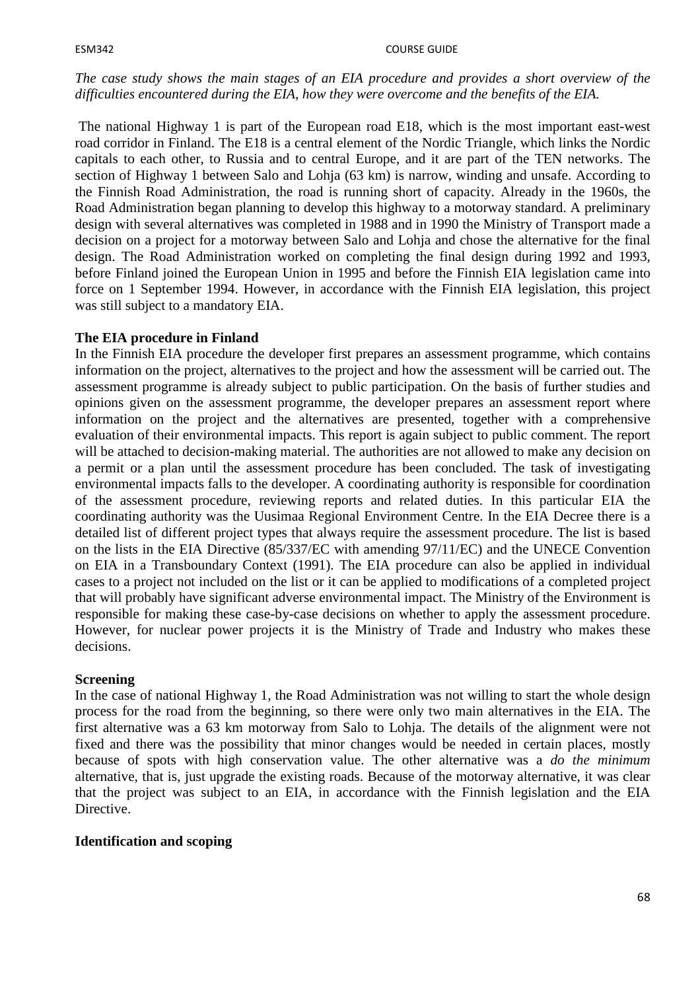#### ESM342 COURSE GUIDE

#### *The case study shows the main stages of an EIA procedure and provides a short overview of the difficulties encountered during the EIA, how they were overcome and the benefits of the EIA.*

The national Highway 1 is part of the European road E18, which is the most important east-west road corridor in Finland. The E18 is a central element of the Nordic Triangle, which links the Nordic capitals to each other, to Russia and to central Europe, and it are part of the TEN networks. The section of Highway 1 between Salo and Lohja (63 km) is narrow, winding and unsafe. According to the Finnish Road Administration, the road is running short of capacity. Already in the 1960s, the Road Administration began planning to develop this highway to a motorway standard. A preliminary design with several alternatives was completed in 1988 and in 1990 the Ministry of Transport made a decision on a project for a motorway between Salo and Lohja and chose the alternative for the final design. The Road Administration worked on completing the final design during 1992 and 1993, before Finland joined the European Union in 1995 and before the Finnish EIA legislation came into force on 1 September 1994. However, in accordance with the Finnish EIA legislation, this project was still subject to a mandatory EIA.

## **The EIA procedure in Finland**

In the Finnish EIA procedure the developer first prepares an assessment programme, which contains information on the project, alternatives to the project and how the assessment will be carried out. The assessment programme is already subject to public participation. On the basis of further studies and opinions given on the assessment programme, the developer prepares an assessment report where information on the project and the alternatives are presented, together with a comprehensive evaluation of their environmental impacts. This report is again subject to public comment. The report will be attached to decision-making material. The authorities are not allowed to make any decision on a permit or a plan until the assessment procedure has been concluded. The task of investigating environmental impacts falls to the developer. A coordinating authority is responsible for coordination of the assessment procedure, reviewing reports and related duties. In this particular EIA the coordinating authority was the Uusimaa Regional Environment Centre. In the EIA Decree there is a detailed list of different project types that always require the assessment procedure. The list is based on the lists in the EIA Directive (85/337/EC with amending 97/11/EC) and the UNECE Convention on EIA in a Transboundary Context (1991). The EIA procedure can also be applied in individual cases to a project not included on the list or it can be applied to modifications of a completed project that will probably have significant adverse environmental impact. The Ministry of the Environment is responsible for making these case-by-case decisions on whether to apply the assessment procedure. However, for nuclear power projects it is the Ministry of Trade and Industry who makes these decisions.

#### **Screening**

In the case of national Highway 1, the Road Administration was not willing to start the whole design process for the road from the beginning, so there were only two main alternatives in the EIA. The first alternative was a 63 km motorway from Salo to Lohja. The details of the alignment were not fixed and there was the possibility that minor changes would be needed in certain places, mostly because of spots with high conservation value. The other alternative was a *do the minimum*  alternative, that is, just upgrade the existing roads. Because of the motorway alternative, it was clear that the project was subject to an EIA, in accordance with the Finnish legislation and the EIA Directive.

#### **Identification and scoping**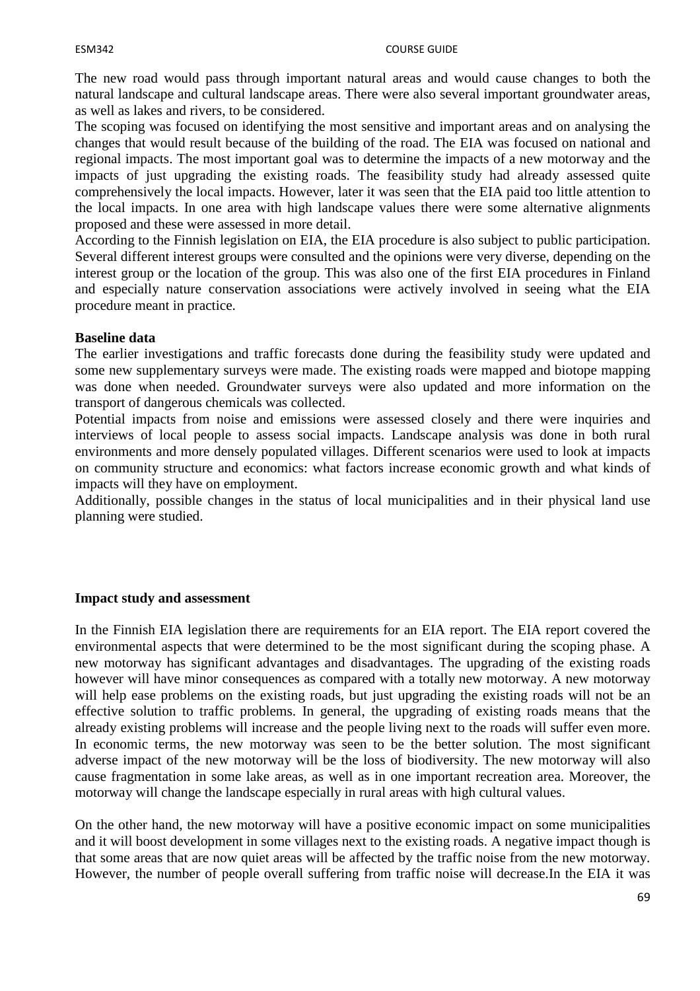The new road would pass through important natural areas and would cause changes to both the natural landscape and cultural landscape areas. There were also several important groundwater areas, as well as lakes and rivers, to be considered.

The scoping was focused on identifying the most sensitive and important areas and on analysing the changes that would result because of the building of the road. The EIA was focused on national and regional impacts. The most important goal was to determine the impacts of a new motorway and the impacts of just upgrading the existing roads. The feasibility study had already assessed quite comprehensively the local impacts. However, later it was seen that the EIA paid too little attention to the local impacts. In one area with high landscape values there were some alternative alignments proposed and these were assessed in more detail.

According to the Finnish legislation on EIA, the EIA procedure is also subject to public participation. Several different interest groups were consulted and the opinions were very diverse, depending on the interest group or the location of the group. This was also one of the first EIA procedures in Finland and especially nature conservation associations were actively involved in seeing what the EIA procedure meant in practice.

#### **Baseline data**

The earlier investigations and traffic forecasts done during the feasibility study were updated and some new supplementary surveys were made. The existing roads were mapped and biotope mapping was done when needed. Groundwater surveys were also updated and more information on the transport of dangerous chemicals was collected.

Potential impacts from noise and emissions were assessed closely and there were inquiries and interviews of local people to assess social impacts. Landscape analysis was done in both rural environments and more densely populated villages. Different scenarios were used to look at impacts on community structure and economics: what factors increase economic growth and what kinds of impacts will they have on employment.

Additionally, possible changes in the status of local municipalities and in their physical land use planning were studied.

#### **Impact study and assessment**

In the Finnish EIA legislation there are requirements for an EIA report. The EIA report covered the environmental aspects that were determined to be the most significant during the scoping phase. A new motorway has significant advantages and disadvantages. The upgrading of the existing roads however will have minor consequences as compared with a totally new motorway. A new motorway will help ease problems on the existing roads, but just upgrading the existing roads will not be an effective solution to traffic problems. In general, the upgrading of existing roads means that the already existing problems will increase and the people living next to the roads will suffer even more. In economic terms, the new motorway was seen to be the better solution. The most significant adverse impact of the new motorway will be the loss of biodiversity. The new motorway will also cause fragmentation in some lake areas, as well as in one important recreation area. Moreover, the motorway will change the landscape especially in rural areas with high cultural values.

On the other hand, the new motorway will have a positive economic impact on some municipalities and it will boost development in some villages next to the existing roads. A negative impact though is that some areas that are now quiet areas will be affected by the traffic noise from the new motorway. However, the number of people overall suffering from traffic noise will decrease.In the EIA it was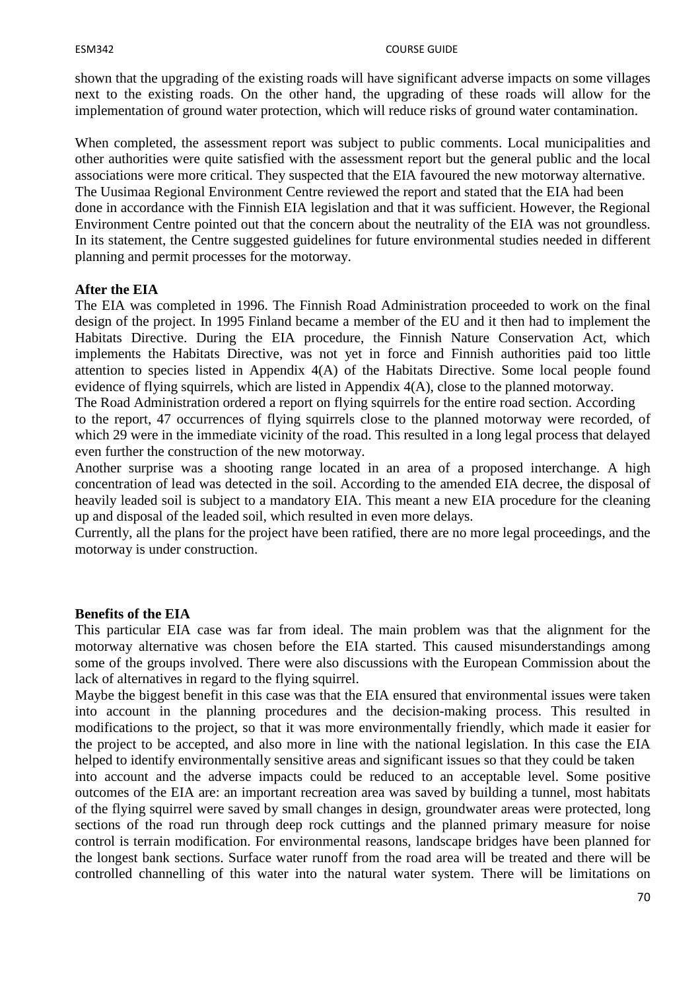#### ESM342 COURSE GUIDE

shown that the upgrading of the existing roads will have significant adverse impacts on some villages next to the existing roads. On the other hand, the upgrading of these roads will allow for the implementation of ground water protection, which will reduce risks of ground water contamination.

When completed, the assessment report was subject to public comments. Local municipalities and other authorities were quite satisfied with the assessment report but the general public and the local associations were more critical. They suspected that the EIA favoured the new motorway alternative. The Uusimaa Regional Environment Centre reviewed the report and stated that the EIA had been done in accordance with the Finnish EIA legislation and that it was sufficient. However, the Regional Environment Centre pointed out that the concern about the neutrality of the EIA was not groundless. In its statement, the Centre suggested guidelines for future environmental studies needed in different planning and permit processes for the motorway.

#### **After the EIA**

The EIA was completed in 1996. The Finnish Road Administration proceeded to work on the final design of the project. In 1995 Finland became a member of the EU and it then had to implement the Habitats Directive. During the EIA procedure, the Finnish Nature Conservation Act, which implements the Habitats Directive, was not yet in force and Finnish authorities paid too little attention to species listed in Appendix 4(A) of the Habitats Directive. Some local people found evidence of flying squirrels, which are listed in Appendix 4(A), close to the planned motorway.

The Road Administration ordered a report on flying squirrels for the entire road section. According to the report, 47 occurrences of flying squirrels close to the planned motorway were recorded, of which 29 were in the immediate vicinity of the road. This resulted in a long legal process that delayed even further the construction of the new motorway.

Another surprise was a shooting range located in an area of a proposed interchange. A high concentration of lead was detected in the soil. According to the amended EIA decree, the disposal of heavily leaded soil is subject to a mandatory EIA. This meant a new EIA procedure for the cleaning up and disposal of the leaded soil, which resulted in even more delays.

Currently, all the plans for the project have been ratified, there are no more legal proceedings, and the motorway is under construction.

#### **Benefits of the EIA**

This particular EIA case was far from ideal. The main problem was that the alignment for the motorway alternative was chosen before the EIA started. This caused misunderstandings among some of the groups involved. There were also discussions with the European Commission about the lack of alternatives in regard to the flying squirrel.

Maybe the biggest benefit in this case was that the EIA ensured that environmental issues were taken into account in the planning procedures and the decision-making process. This resulted in modifications to the project, so that it was more environmentally friendly, which made it easier for the project to be accepted, and also more in line with the national legislation. In this case the EIA helped to identify environmentally sensitive areas and significant issues so that they could be taken

into account and the adverse impacts could be reduced to an acceptable level. Some positive outcomes of the EIA are: an important recreation area was saved by building a tunnel, most habitats of the flying squirrel were saved by small changes in design, groundwater areas were protected, long sections of the road run through deep rock cuttings and the planned primary measure for noise control is terrain modification. For environmental reasons, landscape bridges have been planned for the longest bank sections. Surface water runoff from the road area will be treated and there will be controlled channelling of this water into the natural water system. There will be limitations on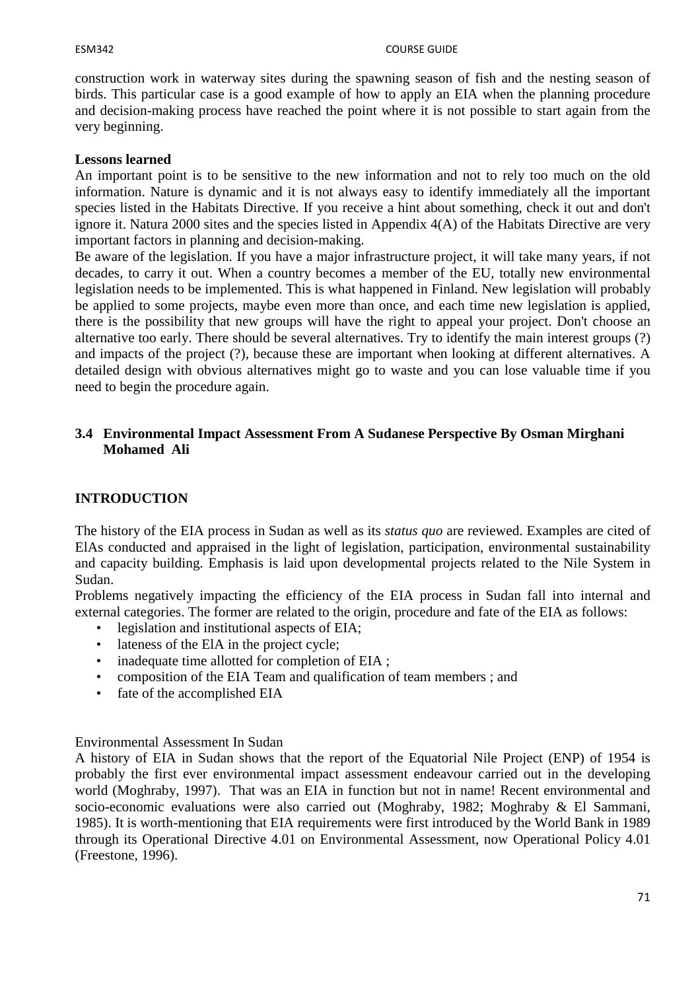#### ESM342 COURSE GUIDE

construction work in waterway sites during the spawning season of fish and the nesting season of birds. This particular case is a good example of how to apply an EIA when the planning procedure and decision-making process have reached the point where it is not possible to start again from the very beginning.

#### **Lessons learned**

An important point is to be sensitive to the new information and not to rely too much on the old information. Nature is dynamic and it is not always easy to identify immediately all the important species listed in the Habitats Directive. If you receive a hint about something, check it out and don't ignore it. Natura 2000 sites and the species listed in Appendix 4(A) of the Habitats Directive are very important factors in planning and decision-making.

Be aware of the legislation. If you have a major infrastructure project, it will take many years, if not decades, to carry it out. When a country becomes a member of the EU, totally new environmental legislation needs to be implemented. This is what happened in Finland. New legislation will probably be applied to some projects, maybe even more than once, and each time new legislation is applied, there is the possibility that new groups will have the right to appeal your project. Don't choose an alternative too early. There should be several alternatives. Try to identify the main interest groups (?) and impacts of the project (?), because these are important when looking at different alternatives. A detailed design with obvious alternatives might go to waste and you can lose valuable time if you need to begin the procedure again.

## **3.4 Environmental Impact Assessment From A Sudanese Perspective By Osman Mirghani Mohamed Ali**

# **INTRODUCTION**

The history of the EIA process in Sudan as well as its *status quo* are reviewed. Examples are cited of ElAs conducted and appraised in the light of legislation, participation, environmental sustainability and capacity building. Emphasis is laid upon developmental projects related to the Nile System in Sudan.

Problems negatively impacting the efficiency of the EIA process in Sudan fall into internal and external categories. The former are related to the origin, procedure and fate of the EIA as follows:

- legislation and institutional aspects of EIA;
- lateness of the ElA in the project cycle;
- inadequate time allotted for completion of EIA;
- composition of the EIA Team and qualification of team members ; and
- fate of the accomplished EIA

#### Environmental Assessment In Sudan

A history of EIA in Sudan shows that the report of the Equatorial Nile Project (ENP) of 1954 is probably the first ever environmental impact assessment endeavour carried out in the developing world (Moghraby, 1997). That was an EIA in function but not in name! Recent environmental and socio-economic evaluations were also carried out (Moghraby, 1982; Moghraby & El Sammani, 1985). It is worth-mentioning that EIA requirements were first introduced by the World Bank in 1989 through its Operational Directive 4.01 on Environmental Assessment, now Operational Policy 4.01 (Freestone, 1996).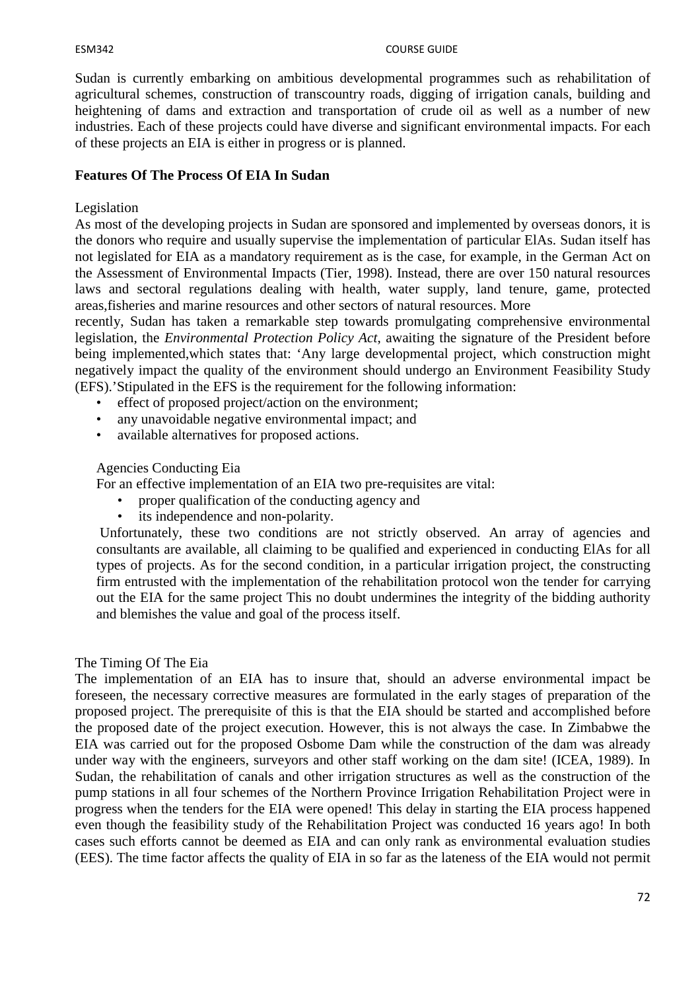Sudan is currently embarking on ambitious developmental programmes such as rehabilitation of agricultural schemes, construction of transcountry roads, digging of irrigation canals, building and heightening of dams and extraction and transportation of crude oil as well as a number of new industries. Each of these projects could have diverse and significant environmental impacts. For each of these projects an EIA is either in progress or is planned.

## **Features Of The Process Of EIA In Sudan**

#### Legislation

As most of the developing projects in Sudan are sponsored and implemented by overseas donors, it is the donors who require and usually supervise the implementation of particular ElAs. Sudan itself has not legislated for EIA as a mandatory requirement as is the case, for example, in the German Act on the Assessment of Environmental Impacts (Tier, 1998). Instead, there are over 150 natural resources laws and sectoral regulations dealing with health, water supply, land tenure, game, protected areas,fisheries and marine resources and other sectors of natural resources. More

recently, Sudan has taken a remarkable step towards promulgating comprehensive environmental legislation, the *Environmental Protection Policy Act*, awaiting the signature of the President before being implemented,which states that: 'Any large developmental project, which construction might negatively impact the quality of the environment should undergo an Environment Feasibility Study (EFS).'Stipulated in the EFS is the requirement for the following information:

- effect of proposed project/action on the environment;
- any unavoidable negative environmental impact; and
- available alternatives for proposed actions.

## Agencies Conducting Eia

For an effective implementation of an EIA two pre-requisites are vital:

- proper qualification of the conducting agency and
- its independence and non-polarity.

 Unfortunately, these two conditions are not strictly observed. An array of agencies and consultants are available, all claiming to be qualified and experienced in conducting ElAs for all types of projects. As for the second condition, in a particular irrigation project, the constructing firm entrusted with the implementation of the rehabilitation protocol won the tender for carrying out the EIA for the same project This no doubt undermines the integrity of the bidding authority and blemishes the value and goal of the process itself.

#### The Timing Of The Eia

The implementation of an EIA has to insure that, should an adverse environmental impact be foreseen, the necessary corrective measures are formulated in the early stages of preparation of the proposed project. The prerequisite of this is that the EIA should be started and accomplished before the proposed date of the project execution. However, this is not always the case. In Zimbabwe the EIA was carried out for the proposed Osbome Dam while the construction of the dam was already under way with the engineers, surveyors and other staff working on the dam site! (ICEA, 1989). In Sudan, the rehabilitation of canals and other irrigation structures as well as the construction of the pump stations in all four schemes of the Northern Province Irrigation Rehabilitation Project were in progress when the tenders for the EIA were opened! This delay in starting the EIA process happened even though the feasibility study of the Rehabilitation Project was conducted 16 years ago! In both cases such efforts cannot be deemed as EIA and can only rank as environmental evaluation studies (EES). The time factor affects the quality of EIA in so far as the lateness of the EIA would not permit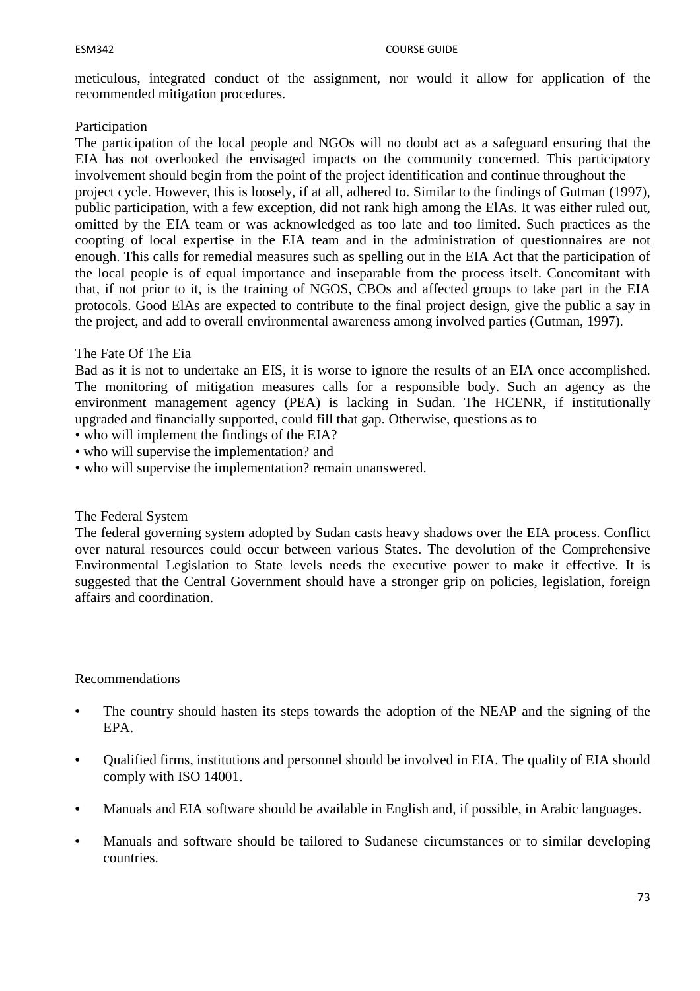meticulous, integrated conduct of the assignment, nor would it allow for application of the recommended mitigation procedures.

#### Participation

The participation of the local people and NGOs will no doubt act as a safeguard ensuring that the EIA has not overlooked the envisaged impacts on the community concerned. This participatory involvement should begin from the point of the project identification and continue throughout the project cycle. However, this is loosely, if at all, adhered to. Similar to the findings of Gutman (1997), public participation, with a few exception, did not rank high among the ElAs. It was either ruled out, omitted by the EIA team or was acknowledged as too late and too limited. Such practices as the coopting of local expertise in the EIA team and in the administration of questionnaires are not enough. This calls for remedial measures such as spelling out in the EIA Act that the participation of the local people is of equal importance and inseparable from the process itself. Concomitant with that, if not prior to it, is the training of NGOS, CBOs and affected groups to take part in the EIA protocols. Good ElAs are expected to contribute to the final project design, give the public a say in the project, and add to overall environmental awareness among involved parties (Gutman, 1997).

#### The Fate Of The Eia

Bad as it is not to undertake an EIS, it is worse to ignore the results of an EIA once accomplished. The monitoring of mitigation measures calls for a responsible body. Such an agency as the environment management agency (PEA) is lacking in Sudan. The HCENR, if institutionally upgraded and financially supported, could fill that gap. Otherwise, questions as to

- who will implement the findings of the EIA?
- who will supervise the implementation? and
- who will supervise the implementation? remain unanswered.

#### The Federal System

The federal governing system adopted by Sudan casts heavy shadows over the EIA process. Conflict over natural resources could occur between various States. The devolution of the Comprehensive Environmental Legislation to State levels needs the executive power to make it effective. It is suggested that the Central Government should have a stronger grip on policies, legislation, foreign affairs and coordination.

#### Recommendations

- The country should hasten its steps towards the adoption of the NEAP and the signing of the EPA.
- **•** Qualified firms, institutions and personnel should be involved in EIA. The quality of EIA should comply with ISO 14001.
- **•** Manuals and EIA software should be available in English and, if possible, in Arabic languages.
- **•** Manuals and software should be tailored to Sudanese circumstances or to similar developing countries.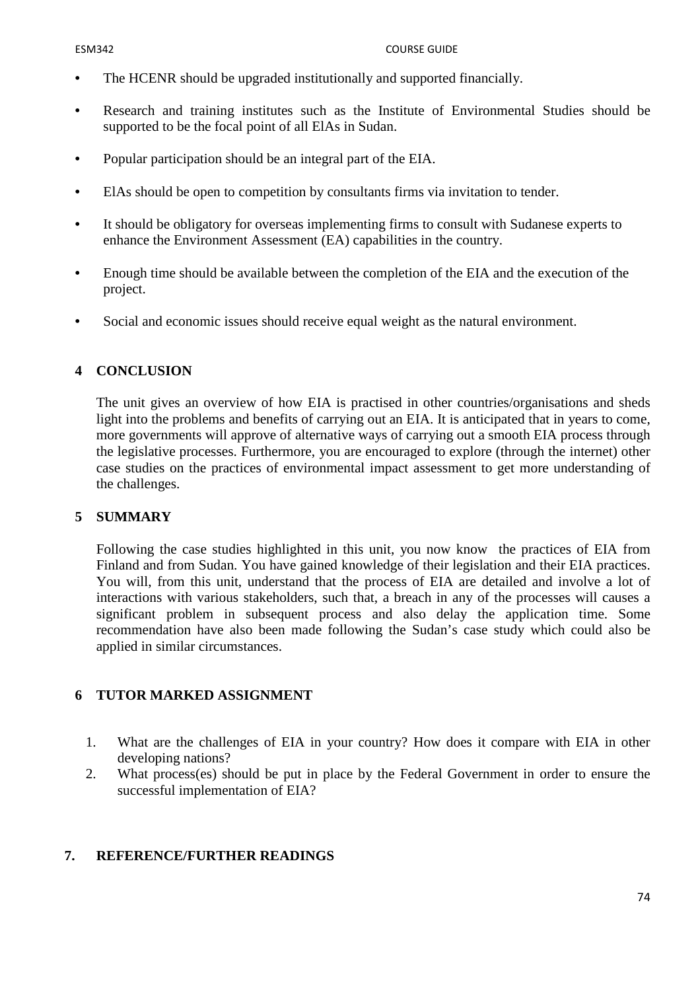- **•** The HCENR should be upgraded institutionally and supported financially.
- **•** Research and training institutes such as the Institute of Environmental Studies should be supported to be the focal point of all ElAs in Sudan.
- **•** Popular participation should be an integral part of the EIA.
- **•** ElAs should be open to competition by consultants firms via invitation to tender.
- **•** It should be obligatory for overseas implementing firms to consult with Sudanese experts to enhance the Environment Assessment (EA) capabilities in the country.
- **•** Enough time should be available between the completion of the EIA and the execution of the project.
- **•** Social and economic issues should receive equal weight as the natural environment.

# **4 CONCLUSION**

The unit gives an overview of how EIA is practised in other countries/organisations and sheds light into the problems and benefits of carrying out an EIA. It is anticipated that in years to come, more governments will approve of alternative ways of carrying out a smooth EIA process through the legislative processes. Furthermore, you are encouraged to explore (through the internet) other case studies on the practices of environmental impact assessment to get more understanding of the challenges.

## **5 SUMMARY**

Following the case studies highlighted in this unit, you now know the practices of EIA from Finland and from Sudan. You have gained knowledge of their legislation and their EIA practices. You will, from this unit, understand that the process of EIA are detailed and involve a lot of interactions with various stakeholders, such that, a breach in any of the processes will causes a significant problem in subsequent process and also delay the application time. Some recommendation have also been made following the Sudan's case study which could also be applied in similar circumstances.

## **6 TUTOR MARKED ASSIGNMENT**

- 1. What are the challenges of EIA in your country? How does it compare with EIA in other developing nations?
- 2. What process(es) should be put in place by the Federal Government in order to ensure the successful implementation of EIA?

## **7. REFERENCE/FURTHER READINGS**